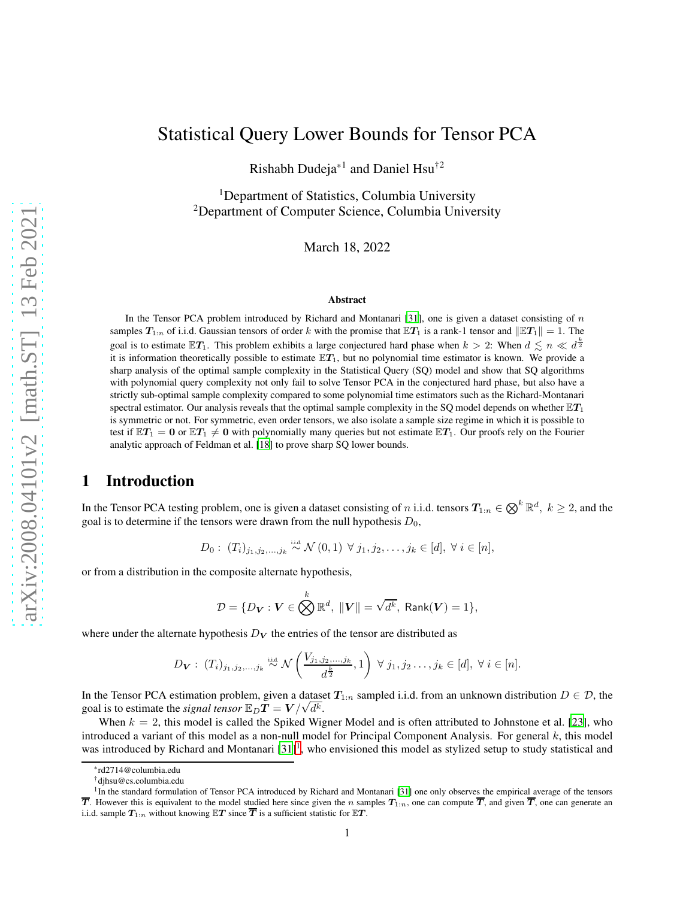# Statistical Query Lower Bounds for Tensor PCA

Rishabh Dudeja\*1 and Daniel Hsu†2

<sup>1</sup>Department of Statistics, Columbia University <sup>2</sup>Department of Computer Science, Columbia University

March 18, 2022

#### Abstract

In the Tensor PCA problem introduced by Richard and Montanari [\[31\]](#page-39-0), one is given a dataset consisting of  $n$ samples  $T_{1:n}$  of i.i.d. Gaussian tensors of order k with the promise that  $\mathbb{E}T_1$  is a rank-1 tensor and  $\|\mathbb{E}T_1\| = 1$ . The goal is to estimate  $\mathbb{E}T_1$ . This problem exhibits a large conjectured hard phase when  $k > 2$ : When  $d \lesssim n \ll d^{\frac{k}{2}}$ it is information theoretically possible to estimate  $\mathbb{E}T_1$ , but no polynomial time estimator is known. We provide a sharp analysis of the optimal sample complexity in the Statistical Query (SQ) model and show that SQ algorithms with polynomial query complexity not only fail to solve Tensor PCA in the conjectured hard phase, but also have a strictly sub-optimal sample complexity compared to some polynomial time estimators such as the Richard-Montanari spectral estimator. Our analysis reveals that the optimal sample complexity in the SQ model depends on whether  $\mathbb{E}T_1$ is symmetric or not. For symmetric, even order tensors, we also isolate a sample size regime in which it is possible to test if  $\mathbb{E}T_1 = 0$  or  $\mathbb{E}T_1 \neq 0$  with polynomially many queries but not estimate  $\mathbb{E}T_1$ . Our proofs rely on the Fourier analytic approach of Feldman et al. [\[18](#page-38-0)] to prove sharp SQ lower bounds.

# 1 Introduction

In the Tensor PCA testing problem, one is given a dataset consisting of n i.i.d. tensors  $T_{1:n} \in \bigotimes^k \mathbb{R}^d$ ,  $k \ge 2$ , and the goal is to determine if the tensors were drawn from the null hypothesis  $D_0$ ,

$$
D_0: (T_i)_{j_1, j_2, ..., j_k} \stackrel{\text{iid}}{\sim} \mathcal{N}(0, 1) \ \forall \ j_1, j_2, ..., j_k \in [d], \ \forall \ i \in [n],
$$

or from a distribution in the composite alternate hypothesis,

$$
\mathcal{D} = \{D_{\boldsymbol{V}}: \boldsymbol{V} \in \bigotimes^k \mathbb{R}^d, \; \|\boldsymbol{V}\| = \sqrt{d^k}, \; \mathsf{Rank}(\boldsymbol{V}) = 1\},
$$

where under the alternate hypothesis  $D<sub>V</sub>$  the entries of the tensor are distributed as

$$
D_{\mathbf{V}}: (T_i)_{j_1, j_2, \ldots, j_k} \stackrel{\text{iid}}{\sim} \mathcal{N}\left(\frac{V_{j_1, j_2, \ldots, j_k}}{d^{\frac{k}{2}}}, 1\right) \ \forall \ j_1, j_2 \ldots, j_k \in [d], \ \forall \ i \in [n].
$$

In the Tensor PCA estimation problem, given a dataset  $T_{1:n}$  sampled i.i.d. from an unknown distribution  $D \in \mathcal{D}$ , the goal is to estimate the *signal tensor*  $\mathbb{E}_D T = V / \sqrt{d^k}$ .

When  $k = 2$ , this model is called the Spiked Wigner Model and is often attributed to Johnstone et al. [\[23\]](#page-38-1), who introduced a variant of this model as a non-null model for Principal Component Analysis. For general  $k$ , this model was introduced by Richard and Montanari  $[31]^1$  $[31]^1$  $[31]^1$ , who envisioned this model as stylized setup to study statistical and

<sup>\*</sup>rd2714@columbia.edu

<sup>†</sup>djhsu@cs.columbia.edu

<span id="page-0-0"></span><sup>&</sup>lt;sup>1</sup>In the standard formulation of Tensor PCA introduced by Richard and Montanari [\[31](#page-39-0)] one only observes the empirical average of the tensors  $\overline{T}$ . However this is equivalent to the model studied here since given the n samples  $T_{1:n}$ , one can compute  $\overline{T}$ , and given  $\overline{T}$ , one can generate an i.i.d. sample  $T_{1:n}$  without knowing  $\mathbb{E}T$  since  $\overline{T}$  is a sufficient statistic for  $\mathbb{E}T$ .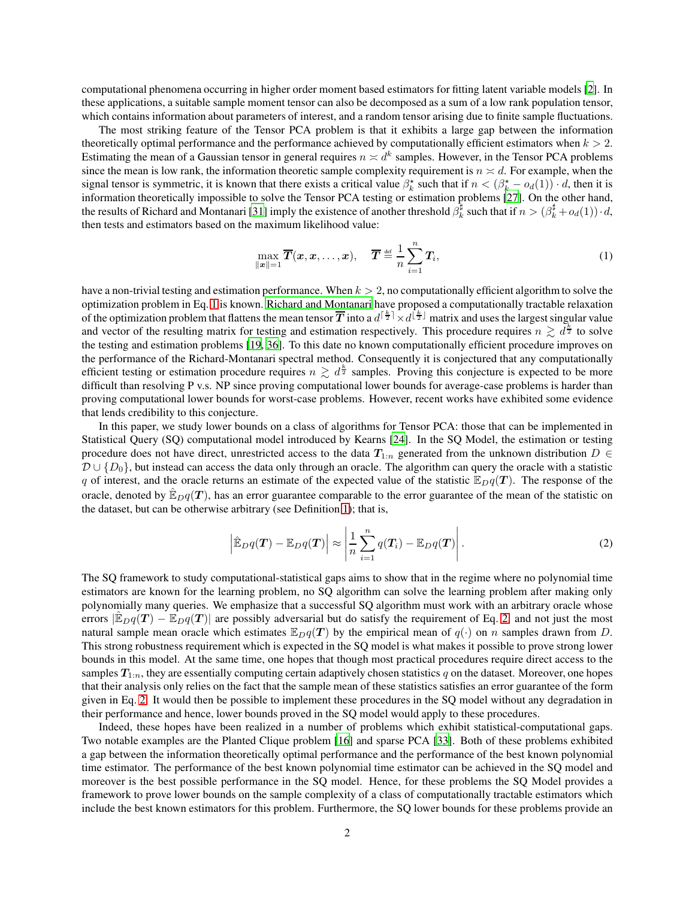computational phenomena occurring in higher order moment based estimators for fitting latent variable models [\[2\]](#page-37-0). In these applications, a suitable sample moment tensor can also be decomposed as a sum of a low rank population tensor, which contains information about parameters of interest, and a random tensor arising due to finite sample fluctuations.

The most striking feature of the Tensor PCA problem is that it exhibits a large gap between the information theoretically optimal performance and the performance achieved by computationally efficient estimators when  $k > 2$ . Estimating the mean of a Gaussian tensor in general requires  $n \asymp d^k$  samples. However, in the Tensor PCA problems since the mean is low rank, the information theoretic sample complexity requirement is  $n \approx d$ . For example, when the signal tensor is symmetric, it is known that there exists a critical value  $\beta_k^*$  such that if  $n < (\beta_k^* - o_d(1)) \cdot d$ , then it is information theoretically impossible to solve the Tensor PCA testing or estimation problems [\[27\]](#page-39-1). On the other hand, the results of Richard and Montanari [\[31\]](#page-39-0) imply the existence of another threshold  $\beta_k^{\sharp}$  such that if  $n > (\beta_k^{\sharp} + o_d(1)) \cdot d$ , then tests and estimators based on the maximum likelihood value:

<span id="page-1-0"></span>
$$
\max_{\|\boldsymbol{x}\|=1} \overline{\boldsymbol{T}}(\boldsymbol{x}, \boldsymbol{x}, \dots, \boldsymbol{x}), \quad \overline{\boldsymbol{T}} \stackrel{\text{def}}{=} \frac{1}{n} \sum_{i=1}^{n} \boldsymbol{T}_i,
$$
\n(1)

have a non-trivial testing and estimation performance. When  $k > 2$ , no computationally efficient algorithm to solve the optimization problem in Eq. [1](#page-1-0) is known. [Richard and Montanari](#page-39-0) have proposed a computationally tractable relaxation of the optimization problem that flattens the mean tensor  $\overline{T}$  into a  $d^{[\frac{k}{2}]} \times d^{[\frac{k}{2}]}$  matrix and uses the largest singular value and vector of the resulting matrix for testing and estimation respectively. This procedure requires  $n \geq d^{\frac{k}{2}}$  to solve the testing and estimation problems [\[19](#page-38-2), [36](#page-39-2)]. To this date no known computationally efficient procedure improves on the performance of the Richard-Montanari spectral method. Consequently it is conjectured that any computationally efficient testing or estimation procedure requires  $n \gtrsim d^{\frac{k}{2}}$  samples. Proving this conjecture is expected to be more difficult than resolving P v.s. NP since proving computational lower bounds for average-case problems is harder than proving computational lower bounds for worst-case problems. However, recent works have exhibited some evidence that lends credibility to this conjecture.

In this paper, we study lower bounds on a class of algorithms for Tensor PCA: those that can be implemented in Statistical Query (SQ) computational model introduced by Kearns [\[24\]](#page-38-3). In the SQ Model, the estimation or testing procedure does not have direct, unrestricted access to the data  $T_{1:n}$  generated from the unknown distribution  $D \in$  $\mathcal{D} \cup \{D_0\}$ , but instead can access the data only through an oracle. The algorithm can query the oracle with a statistic q of interest, and the oracle returns an estimate of the expected value of the statistic  $\mathbb{E}_D q(T)$ . The response of the oracle, denoted by  $\mathbb{E}_{D}q(T)$ , has an error guarantee comparable to the error guarantee of the mean of the statistic on the dataset, but can be otherwise arbitrary (see Definition [1\)](#page-2-0); that is,

<span id="page-1-1"></span>
$$
\left|\hat{\mathbb{E}}_D q(\boldsymbol{T}) - \mathbb{E}_D q(\boldsymbol{T})\right| \approx \left|\frac{1}{n}\sum_{i=1}^n q(\boldsymbol{T}_i) - \mathbb{E}_D q(\boldsymbol{T})\right|.
$$
\n(2)

The SQ framework to study computational-statistical gaps aims to show that in the regime where no polynomial time estimators are known for the learning problem, no SQ algorithm can solve the learning problem after making only polynomially many queries. We emphasize that a successful SQ algorithm must work with an arbitrary oracle whose errors  $\mathbb{E}_{D}q(T) - \mathbb{E}_{D}q(T)$  are possibly adversarial but do satisfy the requirement of Eq. [2,](#page-1-1) and not just the most natural sample mean oracle which estimates  $\mathbb{E}_D q(T)$  by the empirical mean of  $q(\cdot)$  on n samples drawn from D. This strong robustness requirement which is expected in the SQ model is what makes it possible to prove strong lower bounds in this model. At the same time, one hopes that though most practical procedures require direct access to the samples  $T_{1:n}$ , they are essentially computing certain adaptively chosen statistics q on the dataset. Moreover, one hopes that their analysis only relies on the fact that the sample mean of these statistics satisfies an error guarantee of the form given in Eq. [2.](#page-1-1) It would then be possible to implement these procedures in the SQ model without any degradation in their performance and hence, lower bounds proved in the SQ model would apply to these procedures.

Indeed, these hopes have been realized in a number of problems which exhibit statistical-computational gaps. Two notable examples are the Planted Clique problem [\[16\]](#page-38-4) and sparse PCA [\[33](#page-39-3)]. Both of these problems exhibited a gap between the information theoretically optimal performance and the performance of the best known polynomial time estimator. The performance of the best known polynomial time estimator can be achieved in the SQ model and moreover is the best possible performance in the SQ model. Hence, for these problems the SQ Model provides a framework to prove lower bounds on the sample complexity of a class of computationally tractable estimators which include the best known estimators for this problem. Furthermore, the SQ lower bounds for these problems provide an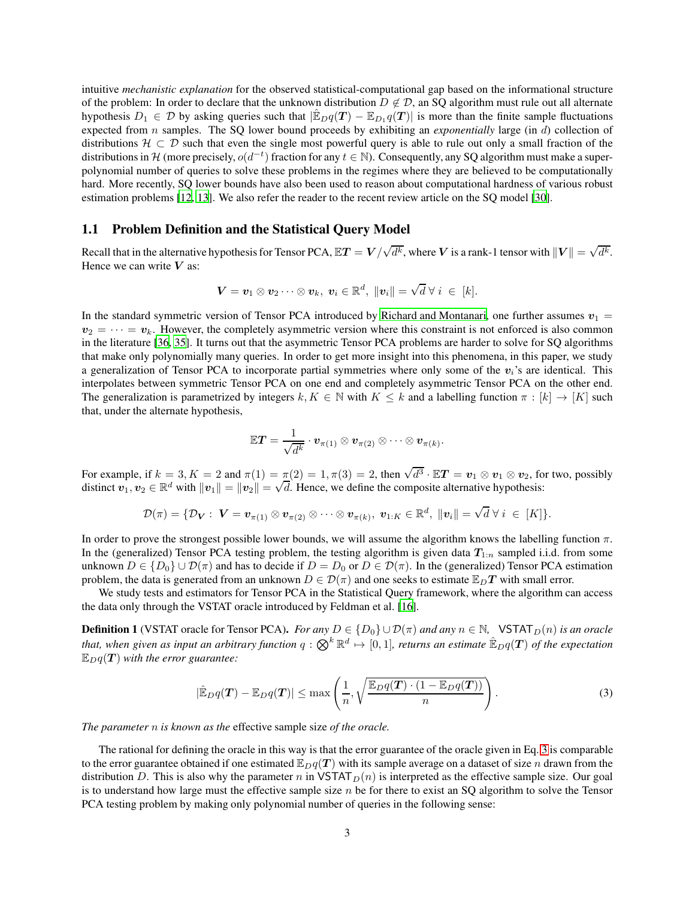intuitive *mechanistic explanation* for the observed statistical-computational gap based on the informational structure of the problem: In order to declare that the unknown distribution  $D \notin \mathcal{D}$ , an SQ algorithm must rule out all alternate hypothesis  $D_1 \in \mathcal{D}$  by asking queries such that  $|\hat{\mathbb{E}}_D q(T) - \mathbb{E}_{D_1} q(T)|$  is more than the finite sample fluctuations expected from n samples. The SQ lower bound proceeds by exhibiting an *exponentially* large (in d) collection of distributions  $H \subset \mathcal{D}$  such that even the single most powerful query is able to rule out only a small fraction of the distributions in H (more precisely,  $o(d^{-t})$  fraction for any  $t \in \mathbb{N}$ ). Consequently, any SQ algorithm must make a superpolynomial number of queries to solve these problems in the regimes where they are believed to be computationally hard. More recently, SQ lower bounds have also been used to reason about computational hardness of various robust estimation problems [\[12,](#page-38-5) [13\]](#page-38-6). We also refer the reader to the recent review article on the SQ model [\[30](#page-39-4)].

### 1.1 Problem Definition and the Statistical Query Model

Recall that in the alternative hypothesis for Tensor PCA,  $\mathbb{E} T=V/\sqrt{d^k}$ , where  $V$  is a rank-1 tensor with  $\|V\|=\sqrt{d^k}$ . Hence we can write  $V$  as:

$$
\mathbf{V} = \mathbf{v}_1 \otimes \mathbf{v}_2 \cdots \otimes \mathbf{v}_k, \; \mathbf{v}_i \in \mathbb{R}^d, \; ||\mathbf{v}_i|| = \sqrt{d} \; \forall \; i \; \in \; [k].
$$

In the standard symmetric version of Tensor PCA introduced by [Richard and Montanari,](#page-39-0) one further assumes  $v_1 =$  $v_2 = \cdots = v_k$ . However, the completely asymmetric version where this constraint is not enforced is also common in the literature [\[36,](#page-39-2) [35\]](#page-39-5). It turns out that the asymmetric Tensor PCA problems are harder to solve for SQ algorithms that make only polynomially many queries. In order to get more insight into this phenomena, in this paper, we study a generalization of Tensor PCA to incorporate partial symmetries where only some of the  $v_i$ 's are identical. This interpolates between symmetric Tensor PCA on one end and completely asymmetric Tensor PCA on the other end. The generalization is parametrized by integers  $k, K \in \mathbb{N}$  with  $K \leq k$  and a labelling function  $\pi : [k] \to [K]$  such that, under the alternate hypothesis,

$$
\mathbb{E} \bm{T} = \frac{1}{\sqrt{d^k}} \cdot \bm{v}_{\pi(1)} \otimes \bm{v}_{\pi(2)} \otimes \cdots \otimes \bm{v}_{\pi(k)}.
$$

For example, if  $k = 3, K = 2$  and  $\pi(1) = \pi(2) = 1, \pi(3) = 2$ , then  $\sqrt{d^3} \cdot \mathbb{E}T = v_1 \otimes v_1 \otimes v_2$ , for two, possibly distinct  $v_1, v_2 \in \mathbb{R}^d$  with  $||v_1|| = ||v_2|| = \sqrt{d}$ . Hence, we define the composite alternative hypothesis:

$$
\mathcal{D}(\pi)=\{\mathcal{D}_{\bm{V}}:\; \bm{V}=\bm{v}_{\pi(1)}\otimes \bm{v}_{\pi(2)}\otimes \cdots \otimes \bm{v}_{\pi(k)},\; \bm{v}_{1:K}\in\mathbb{R}^d,\; \|\bm{v}_i\|=\sqrt{d}\;\forall\; i\;\in\; [K]\}.
$$

In order to prove the strongest possible lower bounds, we will assume the algorithm knows the labelling function  $\pi$ . In the (generalized) Tensor PCA testing problem, the testing algorithm is given data  $T_{1:n}$  sampled i.i.d. from some unknown  $D \in \{D_0\} \cup \mathcal{D}(\pi)$  and has to decide if  $D = D_0$  or  $D \in \mathcal{D}(\pi)$ . In the (generalized) Tensor PCA estimation problem, the data is generated from an unknown  $D \in \mathcal{D}(\pi)$  and one seeks to estimate  $\mathbb{E}_D T$  with small error.

We study tests and estimators for Tensor PCA in the Statistical Query framework, where the algorithm can access the data only through the VSTAT oracle introduced by Feldman et al. [\[16\]](#page-38-4).

<span id="page-2-0"></span>**Definition 1** (VSTAT oracle for Tensor PCA). *For any*  $D \in \{D_0\} \cup \mathcal{D}(\pi)$  and any  $n \in \mathbb{N}$ , VSTAT $_D(n)$  *is an oracle* that, when given as input an arbitrary function  $q:\bigotimes^k{\mathbb R}^d\mapsto[0,1]$ , returns an estimate  $\hat{\mathbb{E}}_Dq(T)$  of the expectation  $\mathbb{E}_{D}q(T)$  *with the error guarantee:* 

<span id="page-2-1"></span>
$$
|\hat{\mathbb{E}}_D q(\boldsymbol{T}) - \mathbb{E}_D q(\boldsymbol{T})| \le \max\left(\frac{1}{n}, \sqrt{\frac{\mathbb{E}_D q(\boldsymbol{T}) \cdot (1 - \mathbb{E}_D q(\boldsymbol{T}))}{n}}\right).
$$
\n(3)

*The parameter* n *is known as the* effective sample size *of the oracle.*

The rational for defining the oracle in this way is that the error guarantee of the oracle given in Eq. [3](#page-2-1) is comparable to the error guarantee obtained if one estimated  $\mathbb{E}_D q(T)$  with its sample average on a dataset of size n drawn from the distribution D. This is also why the parameter n in VSTAT $_D(n)$  is interpreted as the effective sample size. Our goal is to understand how large must the effective sample size  $n$  be for there to exist an SQ algorithm to solve the Tensor PCA testing problem by making only polynomial number of queries in the following sense: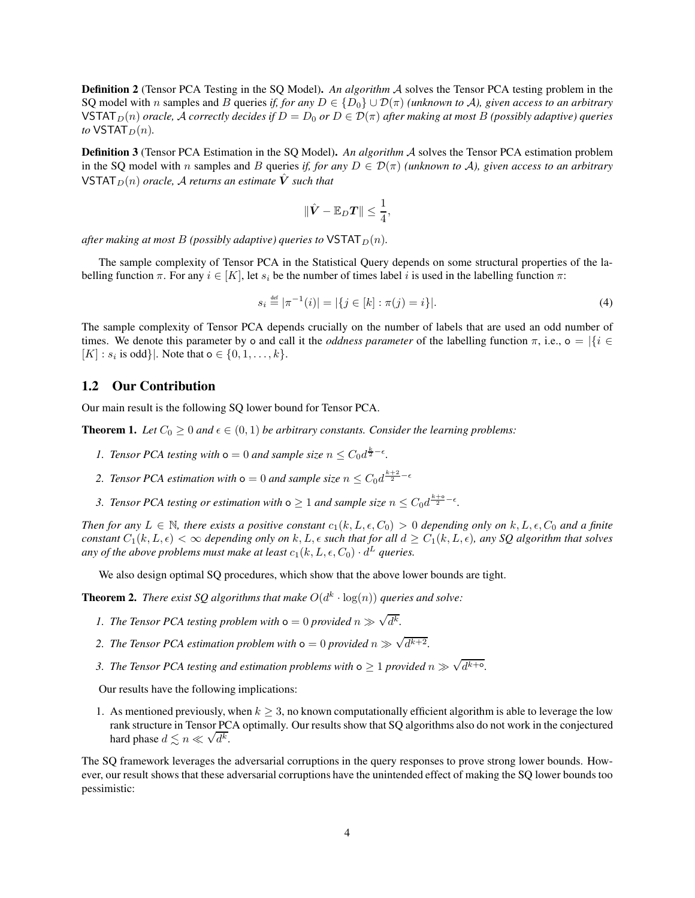Definition 2 (Tensor PCA Testing in the SQ Model). *An algorithm* A solves the Tensor PCA testing problem in the SQ model with n samples and B queries *if, for any*  $D \in \{D_0\} \cup \mathcal{D}(\pi)$  *(unknown to A), given access to an arbitrary* VSTAT<sub>D</sub>(n) *oracle,* A *correctly decides if*  $D = D_0$  *or*  $D \in \mathcal{D}(\pi)$  *after making at most* B (*possibly adaptive*) *queries to*  $VSTAT_D(n)$ *.* 

<span id="page-3-3"></span>Definition 3 (Tensor PCA Estimation in the SQ Model). *An algorithm* A solves the Tensor PCA estimation problem in the SQ model with n samples and B queries *if, for any*  $D \in \mathcal{D}(\pi)$  *(unknown to A), given access to an arbitrary*  $VSTAT_D(n)$  *oracle, A returns an estimate*  $\hat{V}$  *such that* 

<span id="page-3-1"></span>
$$
\|\hat{\mathbf{V}} - \mathbb{E}_D \mathbf{T}\| \leq \frac{1}{4},
$$

*after making at most* B (possibly adaptive) queries to  $VSTAT_D(n)$ .

The sample complexity of Tensor PCA in the Statistical Query depends on some structural properties of the labelling function  $\pi$ . For any  $i \in [K]$ , let  $s_i$  be the number of times label i is used in the labelling function  $\pi$ :

$$
s_i \stackrel{\text{def}}{=} |\pi^{-1}(i)| = |\{j \in [k] : \pi(j) = i\}|. \tag{4}
$$

The sample complexity of Tensor PCA depends crucially on the number of labels that are used an odd number of times. We denote this parameter by o and call it the *oddness parameter* of the labelling function  $\pi$ , i.e., o =  $\{\{i \in$  $[K] : s_i$  is odd} |. Note that  $o \in \{0, 1, ..., k\}.$ 

#### 1.2 Our Contribution

Our main result is the following SQ lower bound for Tensor PCA.

<span id="page-3-0"></span>**Theorem 1.** *Let*  $C_0 \geq 0$  *and*  $\epsilon \in (0,1)$  *be arbitrary constants. Consider the learning problems:* 

- *1. Tensor PCA testing with*  $o = 0$  *and sample size*  $n \leq C_0 d^{\frac{k}{2} \epsilon}$ .
- 2. Tensor PCA estimation with  $\mathbf{o} = 0$  and sample size  $n \leq C_0 d^{\frac{k+2}{2} \epsilon}$
- 3. Tensor PCA testing or estimation with  $\infty \geq 1$  and sample size  $n \leq C_0 d^{\frac{k+\omega}{2} \epsilon}$ .

*Then for any*  $L \in \mathbb{N}$ , there exists a positive constant  $c_1(k, L, \epsilon, C_0) > 0$  depending only on  $k, L, \epsilon, C_0$  and a finite *constant*  $C_1(k, L, \epsilon) < \infty$  *depending only on* k, L,  $\epsilon$  *such that for all*  $d \ge C_1(k, L, \epsilon)$ *, any SQ algorithm that solves* any of the above problems must make at least  $c_1(k, L, \epsilon, C_0) \cdot d^L$  queries.

We also design optimal SO procedures, which show that the above lower bounds are tight.

<span id="page-3-2"></span>**Theorem 2.** There exist SQ algorithms that make  $O(d^k \cdot \log(n))$  queries and solve:

- *1.* The Tensor PCA testing problem with  $\mathsf{o} = 0$  provided  $n \gg \sqrt{d^k}$ .
- 2. The Tensor PCA estimation problem with  $\mathsf{o}=0$  provided  $n\gg \sqrt{d^{k+2}}$ .
- 3. The Tensor PCA testing and estimation problems with  $\infty \geq 1$  provided  $n \gg \sqrt{d^{k+\alpha}}$ .

Our results have the following implications:

1. As mentioned previously, when  $k \geq 3$ , no known computationally efficient algorithm is able to leverage the low rank structure in Tensor PCA optimally. Our results show that SQ algorithms also do not work in the conjectured hard phase  $d \lesssim n \ll \sqrt{d^k}$ .

The SQ framework leverages the adversarial corruptions in the query responses to prove strong lower bounds. However, our result shows that these adversarial corruptions have the unintended effect of making the SQ lower bounds too pessimistic: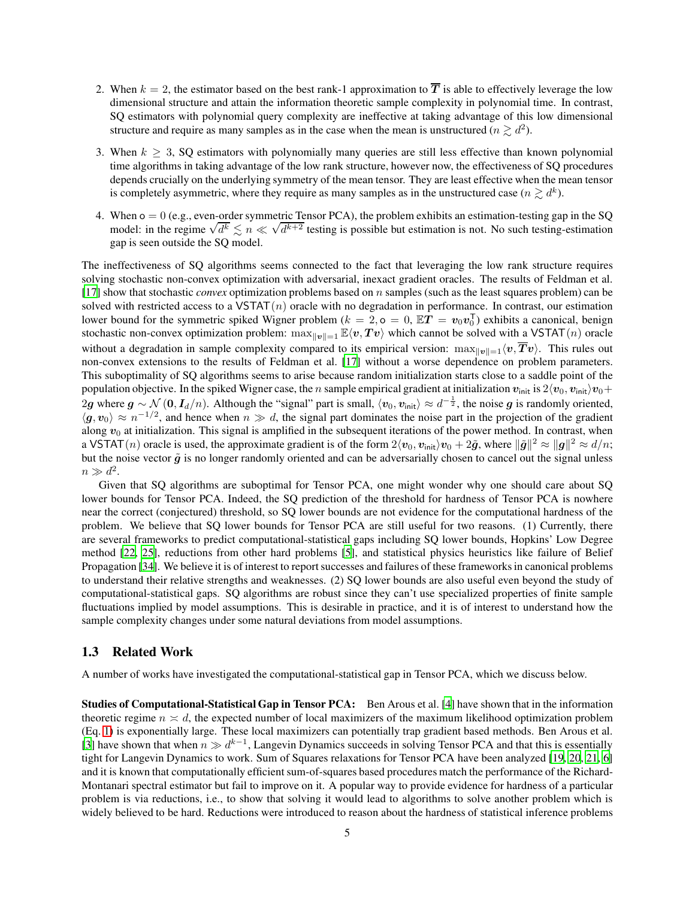- 2. When  $k = 2$ , the estimator based on the best rank-1 approximation to  $\overline{T}$  is able to effectively leverage the low dimensional structure and attain the information theoretic sample complexity in polynomial time. In contrast, SQ estimators with polynomial query complexity are ineffective at taking advantage of this low dimensional structure and require as many samples as in the case when the mean is unstructured ( $n \gtrsim d^2$ ).
- 3. When  $k \geq 3$ , SQ estimators with polynomially many queries are still less effective than known polynomial time algorithms in taking advantage of the low rank structure, however now, the effectiveness of SQ procedures depends crucially on the underlying symmetry of the mean tensor. They are least effective when the mean tensor is completely asymmetric, where they require as many samples as in the unstructured case ( $n \gtrsim d^k$ ).
- 4. When  $o = 0$  (e.g., even-order symmetric Tensor PCA), the problem exhibits an estimation-testing gap in the SQ model: in the regime  $\sqrt{d^k} \lesssim n \ll \sqrt{d^{k+2}}$  testing is possible but estimation is not. No such testing-estimation is not. gap is seen outside the SQ model.

The ineffectiveness of SQ algorithms seems connected to the fact that leveraging the low rank structure requires solving stochastic non-convex optimization with adversarial, inexact gradient oracles. The results of Feldman et al. [\[17](#page-38-7)] show that stochastic *convex* optimization problems based on n samples (such as the least squares problem) can be solved with restricted access to a VSTAT $(n)$  oracle with no degradation in performance. In contrast, our estimation lower bound for the symmetric spiked Wigner problem ( $k = 2$ ,  $\sigma = 0$ ,  $\mathbb{E}T = v_0v_0^T$ ) exhibits a canonical, benign stochastic non-convex optimization problem:  $\max_{\Vert v \Vert = 1} \mathbb{E}\langle v, Tv \rangle$  which cannot be solved with a VSTAT(n) oracle without a degradation in sample complexity compared to its empirical version:  $\max_{\|v\|=1} \langle v, \overline{T} v \rangle$ . This rules out non-convex extensions to the results of Feldman et al. [\[17\]](#page-38-7) without a worse dependence on problem parameters. This suboptimality of SQ algorithms seems to arise because random initialization starts close to a saddle point of the population objective. In the spiked Wigner case, the n sample empirical gradient at initialization  $v_{\text{init}}$  is  $2\langle v_0, v_{\text{init}}\rangle v_0 +$ 2g where  $g \sim \mathcal{N}(0, I_d/n)$ . Although the "signal" part is small,  $\langle v_0, v_{\text{init}} \rangle \approx d^{-\frac{1}{2}}$ , the noise g is randomly oriented,  $\langle g, v_0 \rangle \approx n^{-1/2}$ , and hence when  $n \gg d$ , the signal part dominates the noise part in the projection of the gradient along  $v_0$  at initialization. This signal is amplified in the subsequent iterations of the power method. In contrast, when a VSTAT $(n)$  oracle is used, the approximate gradient is of the form  $2\langle v_0, v_{\text{init}}\rangle v_0 + 2\tilde{g}$ , where  $\|\tilde{g}\|^2 \approx \|g\|^2 \approx d/n$ ; but the noise vector  $\tilde{g}$  is no longer randomly oriented and can be adversarially chosen to cancel out the signal unless  $n \gg d^2$ .

Given that SQ algorithms are suboptimal for Tensor PCA, one might wonder why one should care about SQ lower bounds for Tensor PCA. Indeed, the SQ prediction of the threshold for hardness of Tensor PCA is nowhere near the correct (conjectured) threshold, so SQ lower bounds are not evidence for the computational hardness of the problem. We believe that SQ lower bounds for Tensor PCA are still useful for two reasons. (1) Currently, there are several frameworks to predict computational-statistical gaps including SQ lower bounds, Hopkins' Low Degree method [\[22](#page-38-8), [25](#page-39-6)], reductions from other hard problems [\[5](#page-37-1)], and statistical physics heuristics like failure of Belief Propagation [\[34](#page-39-7)]. We believe it is of interest to report successes and failures of these frameworks in canonical problems to understand their relative strengths and weaknesses. (2) SQ lower bounds are also useful even beyond the study of computational-statistical gaps. SQ algorithms are robust since they can't use specialized properties of finite sample fluctuations implied by model assumptions. This is desirable in practice, and it is of interest to understand how the sample complexity changes under some natural deviations from model assumptions.

#### 1.3 Related Work

A number of works have investigated the computational-statistical gap in Tensor PCA, which we discuss below.

Studies of Computational-Statistical Gap in Tensor PCA: Ben Arous et al. [\[4\]](#page-37-2) have shown that in the information theoretic regime  $n \times d$ , the expected number of local maximizers of the maximum likelihood optimization problem (Eq. [1\)](#page-1-0) is exponentially large. These local maximizers can potentially trap gradient based methods. Ben Arous et al. [\[3](#page-37-3)] have shown that when  $n \gg d^{k-1}$ , Langevin Dynamics succeeds in solving Tensor PCA and that this is essentially tight for Langevin Dynamics to work. Sum of Squares relaxations for Tensor PCA have been analyzed [\[19,](#page-38-2) [20,](#page-38-9) [21,](#page-38-10) [6\]](#page-37-4) and it is known that computationally efficient sum-of-squares based procedures match the performance of the Richard-Montanari spectral estimator but fail to improve on it. A popular way to provide evidence for hardness of a particular problem is via reductions, i.e., to show that solving it would lead to algorithms to solve another problem which is widely believed to be hard. Reductions were introduced to reason about the hardness of statistical inference problems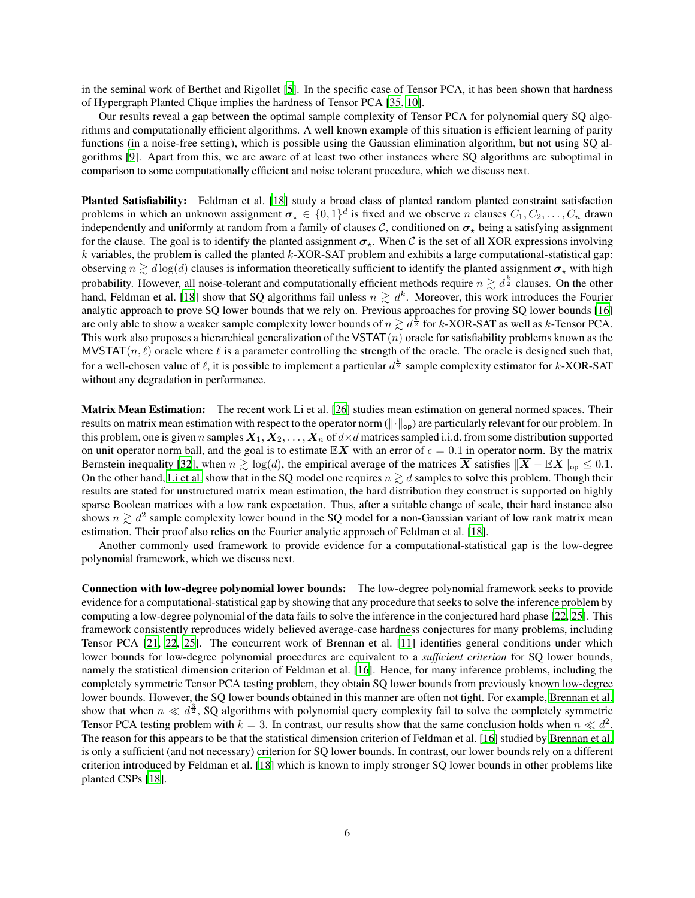in the seminal work of Berthet and Rigollet [\[5](#page-37-1)]. In the specific case of Tensor PCA, it has been shown that hardness of Hypergraph Planted Clique implies the hardness of Tensor PCA [\[35,](#page-39-5) [10](#page-38-11)].

Our results reveal a gap between the optimal sample complexity of Tensor PCA for polynomial query SQ algorithms and computationally efficient algorithms. A well known example of this situation is efficient learning of parity functions (in a noise-free setting), which is possible using the Gaussian elimination algorithm, but not using SQ algorithms [\[9\]](#page-38-12). Apart from this, we are aware of at least two other instances where SQ algorithms are suboptimal in comparison to some computationally efficient and noise tolerant procedure, which we discuss next.

Planted Satisfiability: Feldman et al. [\[18\]](#page-38-0) study a broad class of planted random planted constraint satisfaction problems in which an unknown assignment  $\sigma_{\star} \in \{0,1\}^d$  is fixed and we observe n clauses  $C_1, C_2, \ldots, C_n$  drawn independently and uniformly at random from a family of clauses C, conditioned on  $\sigma_{\star}$  being a satisfying assignment for the clause. The goal is to identify the planted assignment  $\sigma_{\star}$ . When C is the set of all XOR expressions involving  $k$  variables, the problem is called the planted  $k$ -XOR-SAT problem and exhibits a large computational-statistical gap: observing  $n \gtrsim d \log(d)$  clauses is information theoretically sufficient to identify the planted assignment  $\sigma_{\star}$  with high probability. However, all noise-tolerant and computationally efficient methods require  $n \gtrsim d^{\frac{k}{2}}$  clauses. On the other hand, Feldman et al. [\[18\]](#page-38-0) show that SQ algorithms fail unless  $n \gtrsim d^k$ . Moreover, this work introduces the Fourier analytic approach to prove SQ lower bounds that we rely on. Previous approaches for proving SQ lower bounds [\[16\]](#page-38-4) are only able to show a weaker sample complexity lower bounds of  $n \gtrsim d^{\frac{k}{2}}$  for k-XOR-SAT as well as k-Tensor PCA. This work also proposes a hierarchical generalization of the VSTAT $(n)$  oracle for satisfiability problems known as the MVSTAT $(n, \ell)$  oracle where  $\ell$  is a parameter controlling the strength of the oracle. The oracle is designed such that, for a well-chosen value of  $\ell$ , it is possible to implement a particular  $d^{\frac{k}{2}}$  sample complexity estimator for k-XOR-SAT without any degradation in performance.

Matrix Mean Estimation: The recent work Li et al. [\[26\]](#page-39-8) studies mean estimation on general normed spaces. Their results on matrix mean estimation with respect to the operator norm  $(||\cdot||_{op})$  are particularly relevant for our problem. In this problem, one is given n samples  $X_1, X_2, \ldots, X_n$  of  $d \times d$  matrices sampled i.i.d. from some distribution supported on unit operator norm ball, and the goal is to estimate  $\mathbb{E}X$  with an error of  $\epsilon = 0.1$  in operator norm. By the matrix Bernstein inequality [\[32\]](#page-39-9), when  $n \gtrsim \log(d)$ , the empirical average of the matrices  $\overline{X}$  satisfies  $\|\overline{X} - \mathbb{E}X\|_{op} \leq 0.1$ . On the other hand, [Li et al.](#page-39-8) show that in the SQ model one requires  $n \gtrsim d$  samples to solve this problem. Though their results are stated for unstructured matrix mean estimation, the hard distribution they construct is supported on highly sparse Boolean matrices with a low rank expectation. Thus, after a suitable change of scale, their hard instance also shows  $n \gtrsim d^2$  sample complexity lower bound in the SQ model for a non-Gaussian variant of low rank matrix mean estimation. Their proof also relies on the Fourier analytic approach of Feldman et al. [\[18\]](#page-38-0).

Another commonly used framework to provide evidence for a computational-statistical gap is the low-degree polynomial framework, which we discuss next.

Connection with low-degree polynomial lower bounds: The low-degree polynomial framework seeks to provide evidence for a computational-statistical gap by showing that any procedure that seeks to solve the inference problem by computing a low-degree polynomial of the data fails to solve the inference in the conjectured hard phase [\[22,](#page-38-8) [25\]](#page-39-6). This framework consistently reproduces widely believed average-case hardness conjectures for many problems, including Tensor PCA [\[21,](#page-38-10) [22,](#page-38-8) [25](#page-39-6)]. The concurrent work of Brennan et al. [\[11\]](#page-38-13) identifies general conditions under which lower bounds for low-degree polynomial procedures are equivalent to a *sufficient criterion* for SQ lower bounds, namely the statistical dimension criterion of Feldman et al. [\[16](#page-38-4)]. Hence, for many inference problems, including the completely symmetric Tensor PCA testing problem, they obtain SQ lower bounds from previously known low-degree lower bounds. However, the SQ lower bounds obtained in this manner are often not tight. For example, [Brennan et al.](#page-38-13) show that when  $n \ll d^{\frac{3}{2}}$ , SQ algorithms with polynomial query complexity fail to solve the completely symmetric Tensor PCA testing problem with  $k = 3$ . In contrast, our results show that the same conclusion holds when  $n \ll d^2$ . The reason for this appears to be that the statistical dimension criterion of Feldman et al. [\[16\]](#page-38-4) studied by [Brennan et al.](#page-38-13) is only a sufficient (and not necessary) criterion for SQ lower bounds. In contrast, our lower bounds rely on a different criterion introduced by Feldman et al. [\[18\]](#page-38-0) which is known to imply stronger SQ lower bounds in other problems like planted CSPs [\[18](#page-38-0)].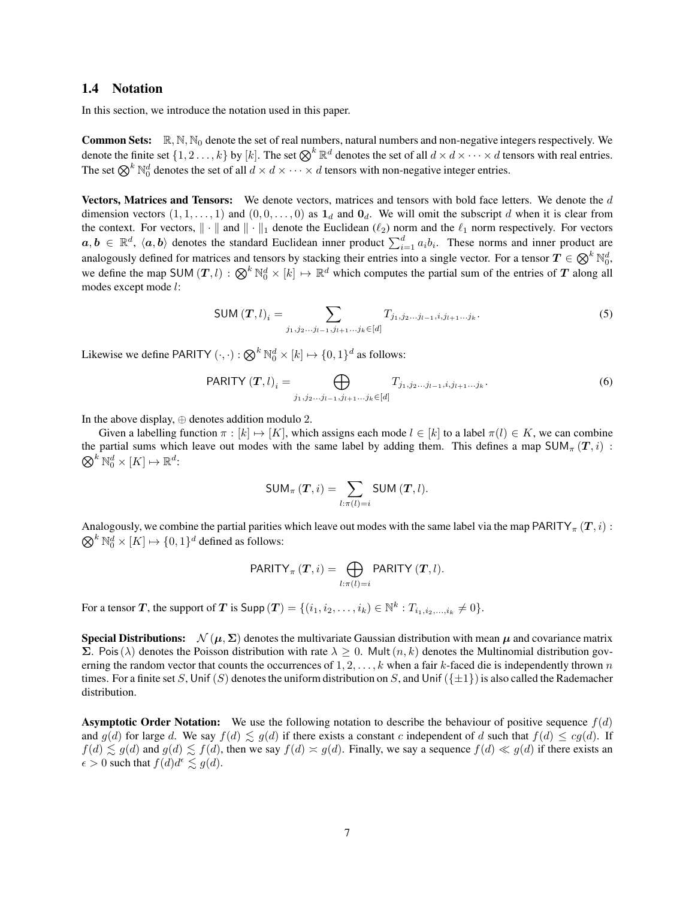#### 1.4 Notation

In this section, we introduce the notation used in this paper.

**Common Sets:**  $\mathbb{R}, \mathbb{N}, \mathbb{N}_0$  denote the set of real numbers, natural numbers and non-negative integers respectively. We denote the finite set  $\{1, 2, \ldots, k\}$  by  $[k]$ . The set  $\bigotimes^k \mathbb{R}^d$  denotes the set of all  $d \times d \times \cdots \times d$  tensors with real entries. The set  $\bigotimes^k \mathbb{N}_0^d$  denotes the set of all  $d \times d \times \cdots \times d$  tensors with non-negative integer entries.

Vectors, Matrices and Tensors: We denote vectors, matrices and tensors with bold face letters. We denote the d dimension vectors  $(1, 1, \ldots, 1)$  and  $(0, 0, \ldots, 0)$  as  $\mathbf{1}_d$  and  $\mathbf{0}_d$ . We will omit the subscript d when it is clear from the context. For vectors,  $\|\cdot\|$  and  $\|\cdot\|_1$  denote the Euclidean ( $\ell_2$ ) norm and the  $\ell_1$  norm respectively. For vectors  $a, b \in \mathbb{R}^d$ ,  $\langle a, b \rangle$  denotes the standard Euclidean inner product  $\sum_{i=1}^d a_i b_i$ . These norms and inner product are analogously defined for matrices and tensors by stacking their entries into a single vector. For a tensor  $T \in \bigotimes^k \mathbb{N}_0^d$ , we define the map SUM  $(T, l) : \bigotimes^k \mathbb{N}_0^d \times [k] \mapsto \mathbb{R}^d$  which computes the partial sum of the entries of  $T$  along all modes except mode l:

SUM 
$$
(T, l)_i = \sum_{j_1, j_2...j_{l-1}, j_{l+1}...j_k \in [d]} T_{j_1, j_2...j_{l-1}, i, j_{l+1}...j_k}.
$$
 (5)

Likewise we define PARITY  $(\cdot, \cdot) : \bigotimes^k \mathbb{N}_0^d \times [k] \mapsto \{0, 1\}^d$  as follows:

$$
PARITY(T, l)_i = \bigoplus_{j_1, j_2, \dots, j_{l-1}, j_{l+1}, \dots, j_k \in [d]} T_{j_1, j_2, \dots, j_{l-1}, i, j_{l+1}, \dots, j_k}.
$$
(6)

In the above display, ⊕ denotes addition modulo 2.

Given a labelling function  $\pi : [k] \mapsto [K]$ , which assigns each mode  $l \in [k]$  to a label  $\pi(l) \in K$ , we can combine the partial sums which leave out modes with the same label by adding them. This defines a map  $SUM_{\pi}(T, i)$ :  $\bigotimes^k \mathbb{N}_0^d \times [K] \mapsto \mathbb{R}^d$ :

<span id="page-6-1"></span><span id="page-6-0"></span>
$$
\mathsf{SUM}_{\pi}(\boldsymbol{T},i)=\sum_{l:\pi(l)=i}\mathsf{SUM}(\boldsymbol{T},l).
$$

Analogously, we combine the partial parities which leave out modes with the same label via the map PARITY<sub> $\pi$ </sub> (T, i) :  $\bigotimes^k \mathbb{N}_0^d \times [K] \mapsto \{0, 1\}^d$  defined as follows:

$$
PARITY_{\pi}(\boldsymbol{T},i) = \bigoplus_{l:\pi(l)=i} PARITY(\boldsymbol{T},l).
$$

For a tensor T, the support of T is Supp  $(T) = \{(i_1, i_2, \ldots, i_k) \in \mathbb{N}^k : T_{i_1, i_2, \ldots, i_k} \neq 0\}.$ 

**Special Distributions:**  $\mathcal{N}(\mu, \Sigma)$  denotes the multivariate Gaussian distribution with mean  $\mu$  and covariance matrix  $\Sigma$ . Pois(λ) denotes the Poisson distribution with rate  $\lambda \geq 0$ . Mult $(n, k)$  denotes the Multinomial distribution governing the random vector that counts the occurrences of  $1, 2, \ldots, k$  when a fair k-faced die is independently thrown n times. For a finite set S, Unif (S) denotes the uniform distribution on S, and Unif ( $\{\pm 1\}$ ) is also called the Rademacher distribution.

**Asymptotic Order Notation:** We use the following notation to describe the behaviour of positive sequence  $f(d)$ and  $g(d)$  for large d. We say  $f(d) \leq g(d)$  if there exists a constant c independent of d such that  $f(d) \leq cg(d)$ . If  $f(d) \lesssim g(d)$  and  $g(d) \lesssim f(d)$ , then we say  $f(d) \asymp g(d)$ . Finally, we say a sequence  $f(d) \ll g(d)$  if there exists an  $\epsilon > 0$  such that  $f(d)d^{\epsilon} \lesssim g(d)$ .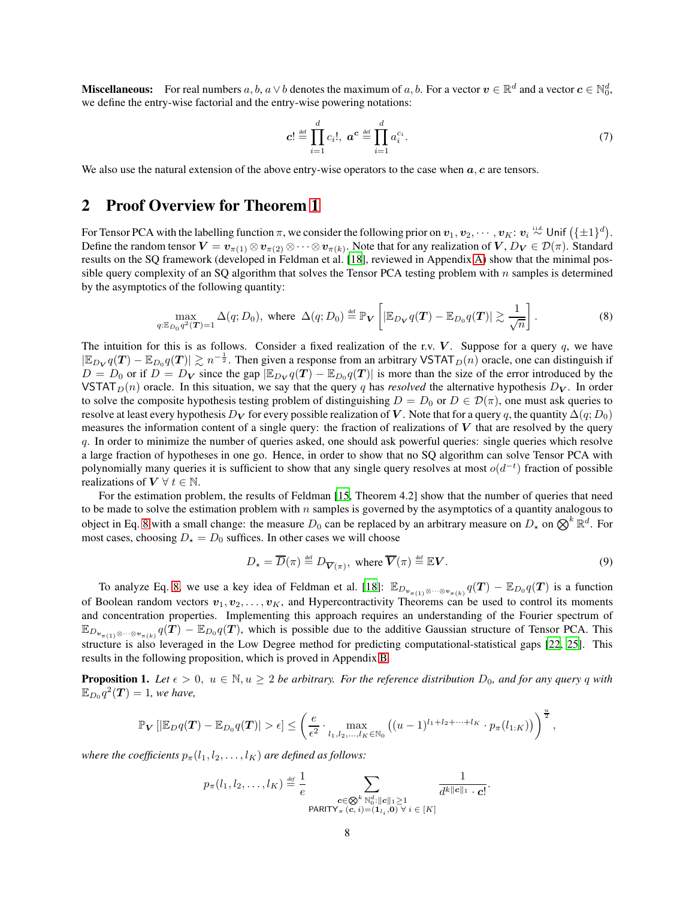**Miscellaneous:** For real numbers  $a, b, a \vee b$  denotes the maximum of  $a, b$ . For a vector  $v \in \mathbb{R}^d$  and a vector  $c \in \mathbb{N}_0^d$ , we define the entry-wise factorial and the entry-wise powering notations:

<span id="page-7-2"></span><span id="page-7-0"></span>
$$
\boldsymbol{c}! \stackrel{\text{def}}{=} \prod_{i=1}^{d} c_i!, \ \boldsymbol{a}^{\boldsymbol{c}} \stackrel{\text{def}}{=} \prod_{i=1}^{d} a_i^{c_i}.
$$

We also use the natural extension of the above entry-wise operators to the case when  $a, c$  are tensors.

# 2 Proof Overview for Theorem [1](#page-3-0)

For Tensor PCA with the labelling function  $\pi$ , we consider the following prior on  $v_1, v_2, \cdots, v_K$ :  $v_i \stackrel{\text{i.i.d.}}{\sim} \text{Unif } (\{\pm 1\}^d)$ . Define the random tensor  $\bm{V}=\bm{v}_{\pi(1)}\otimes\bm{v}_{\pi(2)}\otimes\cdots\otimes\bm{v}_{\pi(k)}.$  Note that for any realization of  $\bm{V},D_{\bm{V}}\in\mathcal{D}(\pi).$  Standard results on the SQ framework (developed in Feldman et al. [\[18\]](#page-38-0), reviewed in Appendix [A\)](#page-14-0) show that the minimal possible query complexity of an SQ algorithm that solves the Tensor PCA testing problem with  $n$  samples is determined by the asymptotics of the following quantity:

$$
\max_{q:\mathbb{E}_{D_0}q^2(\mathbf{T})=1} \Delta(q;D_0), \text{ where } \Delta(q;D_0) \stackrel{\text{def}}{=} \mathbb{P}_{\mathbf{V}}\left[|\mathbb{E}_{D_{\mathbf{V}}}q(\mathbf{T}) - \mathbb{E}_{D_0}q(\mathbf{T})|\gtrsim \frac{1}{\sqrt{n}}\right].\tag{8}
$$

The intuition for this is as follows. Consider a fixed realization of the r.v.  $V$ . Suppose for a query q, we have  $|\mathbb{E}_{D_V} q(T) - \mathbb{E}_{D_0} q(T)| \gtrsim n^{-\frac{1}{2}}$ . Then given a response from an arbitrary VSTAT  $_D(n)$  oracle, one can distinguish if  $D = D_0$  or if  $D = D_V$  since the gap  $|\mathbb{E}_{D_V} q(T) - \mathbb{E}_{D_0} q(T)|$  is more than the size of the error introduced by the VSTAT<sub>D</sub> $(n)$  oracle. In this situation, we say that the query q has *resolved* the alternative hypothesis  $D_V$ . In order to solve the composite hypothesis testing problem of distinguishing  $D = D_0$  or  $D \in \mathcal{D}(\pi)$ , one must ask queries to resolve at least every hypothesis D<sub>V</sub> for every possible realization of V. Note that for a query q, the quantity  $\Delta(q;D_0)$ measures the information content of a single query: the fraction of realizations of  $V$  that are resolved by the query q. In order to minimize the number of queries asked, one should ask powerful queries: single queries which resolve a large fraction of hypotheses in one go. Hence, in order to show that no SQ algorithm can solve Tensor PCA with polynomially many queries it is sufficient to show that any single query resolves at most  $o(d<sup>-t</sup>)$  fraction of possible realizations of  $V \forall t \in \mathbb{N}$ .

For the estimation problem, the results of Feldman [\[15,](#page-38-14) Theorem 4.2] show that the number of queries that need to be made to solve the estimation problem with  $n$  samples is governed by the asymptotics of a quantity analogous to object in Eq. [8](#page-7-0) with a small change: the measure  $D_0$  can be replaced by an arbitrary measure on  $D_*$  on  $\bigotimes^k \mathbb{R}^d$ . For most cases, choosing  $D_{\star} = D_0$  suffices. In other cases we will choose

$$
D_{\star} = \overline{D}(\pi) \stackrel{\text{def}}{=} D_{\overline{\mathbf{V}}(\pi)}, \text{ where } \overline{\mathbf{V}}(\pi) \stackrel{\text{def}}{=} \mathbb{E}\mathbf{V}.
$$
 (9)

To analyze Eq. [8,](#page-7-0) we use a key idea of Feldman et al. [\[18](#page-38-0)]:  $\mathbb{E}_{D_{\mathbf{v}_{\pi(1)}\otimes\cdots\otimes\mathbf{v}_{\pi(k)}}} q(T) - \mathbb{E}_{D_0} q(T)$  is a function of Boolean random vectors  $v_1, v_2, \ldots, v_K$ , and Hypercontractivity Theorems can be used to control its moments and concentration properties. Implementing this approach requires an understanding of the Fourier spectrum of  $\mathbb{E}_{D_{\mathbf{v}_{\pi(1)}\otimes\cdots\otimes\mathbf{v}_{\pi(k)}}q(T)} - \mathbb{E}_{D_0q}(T)$ , which is possible due to the additive Gaussian structure of Tensor PCA. This structure is also leveraged in the Low Degree method for predicting computational-statistical gaps [\[22,](#page-38-8) [25\]](#page-39-6). This results in the following proposition, which is proved in Appendix [B.](#page-15-0)

<span id="page-7-1"></span>**Proposition 1.** Let  $\epsilon > 0$ ,  $u \in \mathbb{N}, u \geq 2$  be arbitrary. For the reference distribution  $D_0$ , and for any query q with  $\mathbb{E}_{D_0}q^2(\boldsymbol{T})=1$ , we have,

$$
\mathbb{P}_{\mathbf{V}}\left[\left|\mathbb{E}_{D}q(\boldsymbol{T})-\mathbb{E}_{D_0}q(\boldsymbol{T})\right|>\epsilon\right] \leq \left(\frac{e}{\epsilon^2}\cdot\max_{l_1,l_2,\ldots,l_K\in\mathbb{N}_0}\left((u-1)^{l_1+l_2+\cdots+l_K}\cdot p_{\pi}(l_{1:K})\right)\right)^{\frac{u}{2}},
$$

*where the coefficients*  $p_{\pi}(l_1, l_2, \ldots, l_K)$  *are defined as follows:* 

$$
p_{\pi}(l_1, l_2, \ldots, l_K) \stackrel{\text{def}}{=} \frac{1}{e} \sum_{\substack{\mathbf{c} \in \bigotimes^{k} \mathbb{N}_{0}^{d}: ||\mathbf{c}||_{1} \geq 1 \\ \text{PARITY}_{\pi}(\mathbf{c}, i) = (\mathbf{1}_{l_i}, \mathbf{0}) \ \forall \ i \in [K]}} \frac{1}{d^{k||\mathbf{c}||_{1} \cdot \mathbf{c}|}}.
$$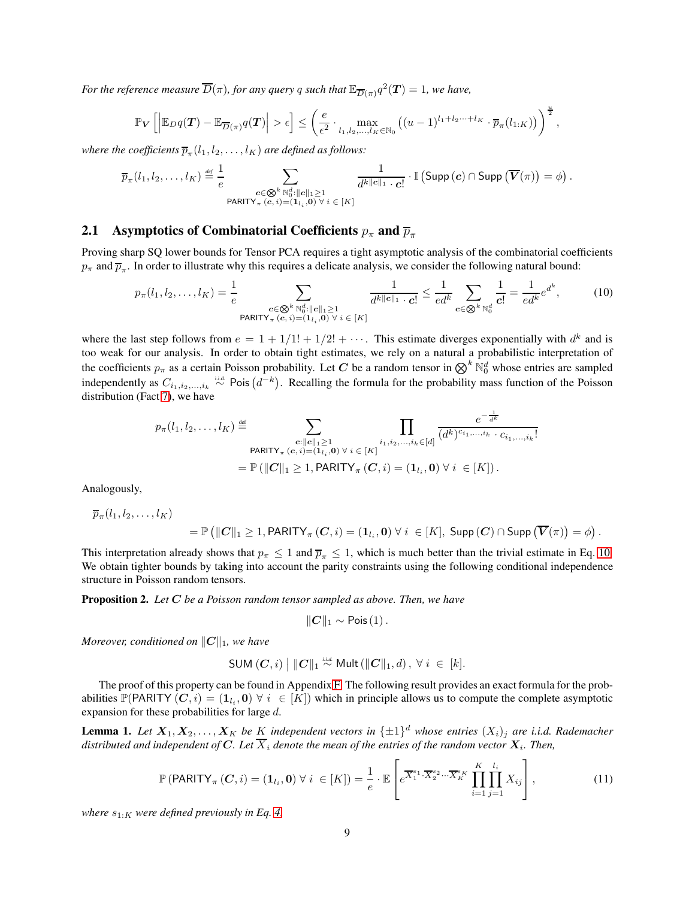For the reference measure  $\overline{D}(\pi)$ , for any query  $q$  such that  $\mathbb{E}_{\overline{D}(\pi)} q^2(\bm{T})=1$ , we have,

$$
\mathbb{P}_{\mathbf{V}}\left[\left|\mathbb{E}_{D}q(\mathbf{T})-\mathbb{E}_{\overline{D}(\pi)}q(\mathbf{T})\right|>\epsilon\right] \leq \left(\frac{e}{\epsilon^2}\cdot \max_{l_1,l_2,\ldots,l_K\in\mathbb{N}_0}\left((u-1)^{l_1+l_2\cdots+l_K}\cdot \overline{p}_{\pi}(l_{1:K})\right)\right)^{\frac{u}{2}},
$$

where the coefficients  $\overline{p}_{\pi}(l_1,l_2,\ldots,l_K)$  are defined as follows:

$$
\overline{p}_{\pi}(l_1, l_2, \ldots, l_K) \stackrel{\text{\tiny def}}{=} \frac{1}{e} \sum_{\substack{\mathbf{c} \in \mathbb{Q}^k \ \mathbb{N}_0^d : ||\mathbf{c}||_1 \geq 1 \\ \text{PARTY}_{\pi}(\mathbf{c}, i) = (\mathbf{1}_{l_i}, \mathbf{0}) \ \forall \ i \in [K]}} \frac{1}{d^{k||\mathbf{c}||_1} \cdot \mathbf{c}!} \cdot \mathbb{I} \left( \text{Supp}(\mathbf{c}) \cap \text{Supp}(\overline{\mathbf{V}}(\pi)) = \phi \right).
$$

### 2.1 Asymptotics of Combinatorial Coefficients  $p_{\pi}$  and  $\overline{p}_{\pi}$

Proving sharp SQ lower bounds for Tensor PCA requires a tight asymptotic analysis of the combinatorial coefficients  $p_{\pi}$  and  $\overline{p}_{\pi}$ . In order to illustrate why this requires a delicate analysis, we consider the following natural bound:

$$
p_{\pi}(l_1, l_2, \dots, l_K) = \frac{1}{e} \sum_{\substack{\mathbf{c} \in \mathbb{Q}^k \ \mathbb{N}_0^d : ||\mathbf{c}||_1 \ge 1 \\ \text{PARITY}_{\pi}(\mathbf{c}, i) = (\mathbf{1}_{l_i}, \mathbf{0}) \ \forall \ i \in [K]}} \frac{1}{d^{k||\mathbf{c}||_1} \cdot \mathbf{c}!} \le \frac{1}{ed^k} \sum_{\mathbf{c} \in \mathbb{Q}^k \ \mathbb{N}_0^d} \frac{1}{\mathbf{c}!} = \frac{1}{ed^k} e^{d^k},\tag{10}
$$

<span id="page-8-0"></span> $-1$ 

where the last step follows from  $e = 1 + 1/1! + 1/2! + \cdots$ . This estimate diverges exponentially with  $d^k$  and is too weak for our analysis. In order to obtain tight estimates, we rely on a natural a probabilistic interpretation of the coefficients  $p_\pi$  as a certain Poisson probability. Let C be a random tensor in  $\bigotimes^k \mathbb{N}_0^d$  whose entries are sampled independently as  $C_{i_1,i_2,...,i_k} \stackrel{\text{i.i.d.}}{\sim} \text{Pois}(d^{-k})$ . Recalling the formula for the probability mass function of the Poisson distribution (Fact [7\)](#page-31-0), we have

$$
p_{\pi}(l_1, l_2, \ldots, l_K) \stackrel{\text{def}}{=} \sum_{\substack{\mathbf{c}: ||\mathbf{c}||_1 \geq 1 \\ \mathbf{PARITY}_{\pi}(\mathbf{c}, i) = (\mathbf{1}_{l_i}, \mathbf{0}) \ \forall \ i \in [K]}} \prod_{\substack{i_1, i_2, \ldots, i_k \in [d] \\ i_1, i_2, \ldots, i_k \in [d]}} \frac{e^{-\overline{d^k}}}{(d^k)^{c_{i_1, \ldots, i_k}} \cdot c_{i_1, \ldots, i_k}!}
$$
\n
$$
= \mathbb{P}\left(\|\mathbf{C}\|_1 \geq 1, \text{PARITY}_{\pi}(\mathbf{C}, i) = (\mathbf{1}_{l_i}, \mathbf{0}) \ \forall \ i \in [K]\right).
$$

Analogously,

$$
\overline{p}_{\pi}(l_1, l_2, \ldots, l_K) = \mathbb{P}\left(\|\mathcal{\boldsymbol{C}}\|_1 \geq 1, \text{PARITY}_{\pi}(\mathcal{\boldsymbol{C}}, i) = (\mathbf{1}_{l_i}, \mathbf{0}) \ \forall \ i \ \in [K], \ \mathsf{Supp}\left(\mathcal{\boldsymbol{C}}\right) \cap \mathsf{Supp}\left(\overline{\boldsymbol{V}}(\pi)\right) = \phi\right).
$$

This interpretation already shows that  $p_{\pi} \leq 1$  and  $\overline{p}_{\pi} \leq 1$ , which is much better than the trivial estimate in Eq. [10.](#page-8-0) We obtain tighter bounds by taking into account the parity constraints using the following conditional independence structure in Poisson random tensors.

<span id="page-8-1"></span>Proposition 2. *Let* C *be a Poisson random tensor sampled as above. Then, we have*

<span id="page-8-2"></span>
$$
||\mathbf{C}||_1 \sim \text{Pois}(1).
$$

*Moreover, conditioned on*  $||C||_1$ *, we have* 

SUM 
$$
(C, i)
$$
 || $|C||_1 \stackrel{i.i.d}{\sim}$  Mult (||C||<sub>1</sub>, d),  $\forall i \in [k]$ .

The proof of this property can be found in Appendix [F.](#page-30-0) The following result provides an exact formula for the probabilities  $\mathbb{P}(\text{PARITY}(C, i) = (1_{l_i}, 0) \ \forall \ i \in [K])$  which in principle allows us to compute the complete asymptotic expansion for these probabilities for large d.

**Lemma 1.** Let  $X_1, X_2, \ldots, X_K$  be  $\underline{K}$  independent vectors in  $\{\pm 1\}^d$  whose entries  $(X_i)_j$  are i.i.d. Rademacher distributed and independent of  $C.$  Let  $X_i$  denote the mean of the entries of the random vector  $\boldsymbol{X}_i.$  Then,

$$
\mathbb{P}\left(\text{PARITY}_{\pi}\left(\mathbf{C},i\right)=\left(\mathbf{1}_{l_{i}},\mathbf{0}\right)\forall i\in[K]\right)=\frac{1}{e}\cdot\mathbb{E}\left[e^{\overline{X}_{1}^{s_{1}}\cdot\overline{X}_{2}^{s_{2}}\cdots\overline{X}_{K}^{s_{K}}}\prod_{i=1}^{K}\prod_{j=1}^{l_{i}}X_{ij}\right],\tag{11}
$$

*where*  $s_{1:K}$  *were defined previously in Eq. [4.](#page-3-1)*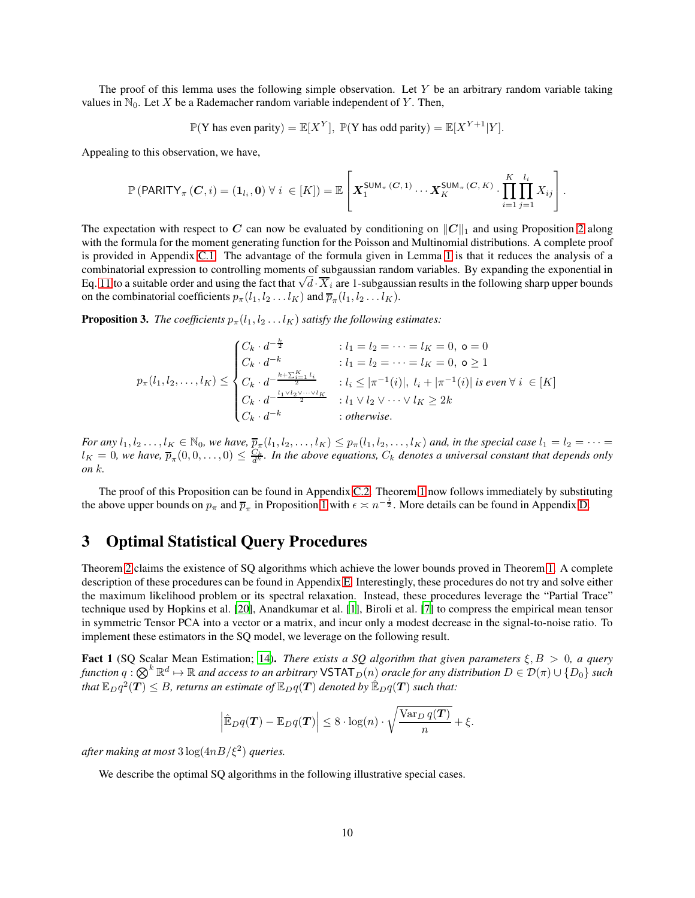The proof of this lemma uses the following simple observation. Let  $Y$  be an arbitrary random variable taking values in  $\mathbb{N}_0$ . Let X be a Rademacher random variable independent of Y. Then,

$$
\mathbb{P}(\mathbf{Y} \text{ has even parity}) = \mathbb{E}[X^Y], \ \mathbb{P}(\mathbf{Y} \text{ has odd parity}) = \mathbb{E}[X^{Y+1}|Y].
$$

Appealing to this observation, we have,

$$
\mathbb{P}\left(\mathsf{PARITY}_{\pi}\left(\mathbf{C},i\right)=\left(\mathbf{1}_{l_i},\mathbf{0}\right)\forall i\in[K]\right)=\mathbb{E}\left[\boldsymbol{X}_1^{\mathsf{SUM}_{\pi}\left(\mathbf{C},1\right)}\cdots\boldsymbol{X}_K^{\mathsf{SUM}_{\pi}\left(\mathbf{C},K\right)}\cdot\prod_{i=1}^K\prod_{j=1}^{l_i}X_{ij}\right].
$$

The expectation with respect to C can now be evaluated by conditioning on  $||C||_1$  and using Proposition [2](#page-8-1) along with the formula for the moment generating function for the Poisson and Multinomial distributions. A complete proof is provided in Appendix [C.1.](#page-19-0) The advantage of the formula given in Lemma [1](#page-8-2) is that it reduces the analysis of a combinatorial expression to controlling moments of subgaussian random variables. By expanding the exponential in Eq. [11](#page-8-2) to a suitable order and using the fact that  $\sqrt{d} \cdot \overline{X}_i$  are 1-subgaussian results in the following sharp upper bounds on the combinatorial coefficients  $p_{\pi}(l_1, l_2 \ldots l_K)$  and  $\overline{p}_{\pi}(l_1, l_2 \ldots l_K)$ .

<span id="page-9-1"></span>**Proposition 3.** *The coefficients*  $p_{\pi}(l_1, l_2 \ldots l_K)$  *satisfy the following estimates:* 

$$
p_{\pi}(l_1, l_2, \dots, l_K) \le \begin{cases} C_k \cdot d^{-\frac{k}{2}} & : l_1 = l_2 = \dots = l_K = 0, \ o = 0 \\ C_k \cdot d^{-k} & : l_1 = l_2 = \dots = l_K = 0, \ o \ge 1 \\ C_k \cdot d^{-\frac{k + \sum_{i=1}^K l_i}{2}} & : l_i \le |\pi^{-1}(i)|, \ l_i + |\pi^{-1}(i)| \ \text{is even} \ \forall \ i \ \in [K] \\ C_k \cdot d^{-\frac{l_1 \vee l_2 \vee \dots \vee l_K}{2}} & : l_1 \vee l_2 \vee \dots \vee l_K \ge 2k \\ C_k \cdot d^{-k} & : \text{otherwise.} \end{cases}
$$

*For any*  $l_1, l_2, \ldots, l_K \in \mathbb{N}_0$ , we have,  $\overline{p}_{\pi}(l_1, l_2, \ldots, l_K) \leq p_{\pi}(l_1, l_2, \ldots, l_K)$  and, in the special case  $l_1 = l_2 = \cdots =$  $l_K = 0$ , we have,  $\overline{p}_{\pi}(0,0,\ldots,0) \leq \frac{C_k}{d^k}$ . In the above equations,  $C_k$  denotes a universal constant that depends only *on* k*.*

The proof of this Proposition can be found in Appendix [C.2.](#page-20-0) Theorem [1](#page-3-0) now follows immediately by substituting the above upper bounds on  $p_{\pi}$  and  $\overline{p}_{\pi}$  in Proposition [1](#page-7-1) with  $\epsilon \asymp n^{-\frac{1}{2}}$ . More details can be found in Appendix [D.](#page-26-0)

# 3 Optimal Statistical Query Procedures

Theorem [2](#page-3-2) claims the existence of SQ algorithms which achieve the lower bounds proved in Theorem [1.](#page-3-0) A complete description of these procedures can be found in Appendix [E.](#page-28-0) Interestingly, these procedures do not try and solve either the maximum likelihood problem or its spectral relaxation. Instead, these procedures leverage the "Partial Trace" technique used by Hopkins et al. [\[20\]](#page-38-9), Anandkumar et al. [\[1\]](#page-37-5), Biroli et al. [\[7\]](#page-38-15) to compress the empirical mean tensor in symmetric Tensor PCA into a vector or a matrix, and incur only a modest decrease in the signal-to-noise ratio. To implement these estimators in the SQ model, we leverage on the following result.

<span id="page-9-0"></span>Fact 1 (SQ Scalar Mean Estimation; [14\)](#page-38-16). *There exists a SQ algorithm that given parameters* ξ, B > 0*, a query*  $f$ unction  $q:\bigotimes^k{\mathbb R}^d\mapsto{\mathbb R}$  and access to an arbitrary <code>VSTAT $_D(n)$ </code> oracle for any distribution  $D\in{\cal D}(\pi)\cup\{D_0\}$  such that  $\mathbb{E}_D q^2(\bm{T}) \leq B$ , returns an estimate of  $\mathbb{E}_D q(\bm{T})$  denoted by  $\hat{\mathbb{E}}_D q(\bm{T})$  such that:

$$
\left|\hat{\mathbb{E}}_D q(\boldsymbol{T}) - \mathbb{E}_D q(\boldsymbol{T})\right| \leq 8 \cdot \log(n) \cdot \sqrt{\frac{\text{Var}_D q(\boldsymbol{T})}{n}} + \xi.
$$

*after making at most* 3 log(4nB/ξ<sup>2</sup> ) *queries.*

We describe the optimal SQ algorithms in the following illustrative special cases.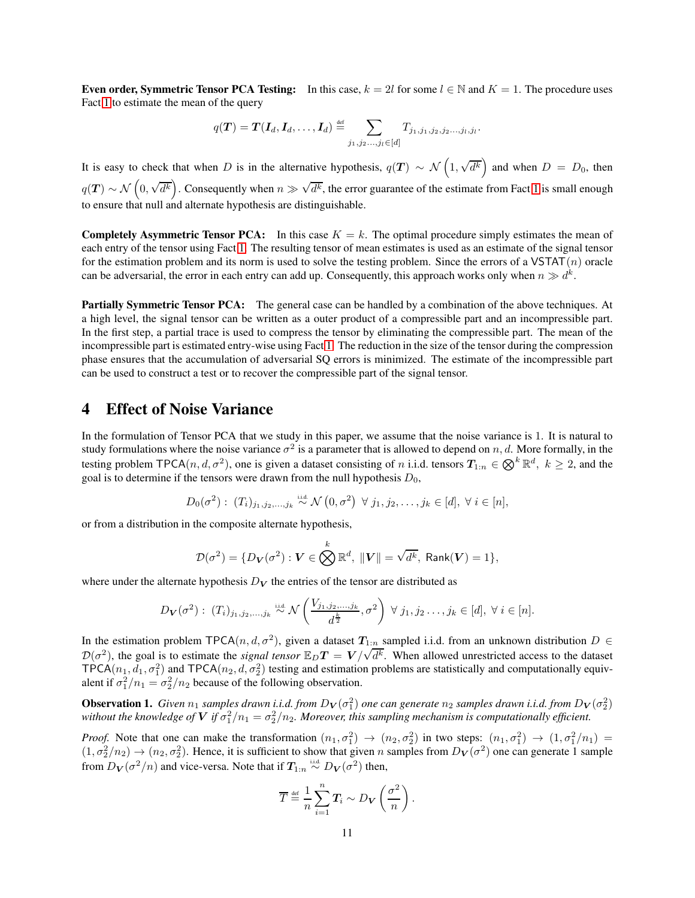Even order, Symmetric Tensor PCA Testing: In this case,  $k = 2l$  for some  $l \in \mathbb{N}$  and  $K = 1$ . The procedure uses Fact [1](#page-9-0) to estimate the mean of the query

$$
q(\boldsymbol{T}) = \boldsymbol{T}(\boldsymbol{I}_d, \boldsymbol{I}_d, \dots, \boldsymbol{I}_d) \stackrel{\text{def}}{=} \sum_{j_1, j_2, \dots, j_l \in [d]} T_{j_1, j_1, j_2, j_2, \dots, j_l, j_l}.
$$

It is easy to check that when D is in the alternative hypothesis,  $q(T) \sim \mathcal{N}\left(1, \sqrt{d^k}\right)$  and when  $D = D_0$ , then  $q(T) \sim \mathcal{N}\left(0, \sqrt{d^k}\right)$ . Consequently when  $n \gg \sqrt{d^k}$ , the error guarantee of the estimate from Fact [1](#page-9-0) is small enough to ensure that null and alternate hypothesis are distinguishable.

**Completely Asymmetric Tensor PCA:** In this case  $K = k$ . The optimal procedure simply estimates the mean of each entry of the tensor using Fact [1.](#page-9-0) The resulting tensor of mean estimates is used as an estimate of the signal tensor for the estimation problem and its norm is used to solve the testing problem. Since the errors of a  $VSTAT(n)$  oracle can be adversarial, the error in each entry can add up. Consequently, this approach works only when  $n \gg d^k$ .

Partially Symmetric Tensor PCA: The general case can be handled by a combination of the above techniques. At a high level, the signal tensor can be written as a outer product of a compressible part and an incompressible part. In the first step, a partial trace is used to compress the tensor by eliminating the compressible part. The mean of the incompressible part is estimated entry-wise using Fact [1.](#page-9-0) The reduction in the size of the tensor during the compression phase ensures that the accumulation of adversarial SQ errors is minimized. The estimate of the incompressible part can be used to construct a test or to recover the compressible part of the signal tensor.

### 4 Effect of Noise Variance

In the formulation of Tensor PCA that we study in this paper, we assume that the noise variance is 1. It is natural to study formulations where the noise variance  $\sigma^2$  is a parameter that is allowed to depend on n, d. More formally, in the testing problem TPCA $(n, d, \sigma^2)$ , one is given a dataset consisting of n i.i.d. tensors  $T_{1:n} \in \bigotimes^k \mathbb{R}^d$ ,  $k \ge 2$ , and the goal is to determine if the tensors were drawn from the null hypothesis  $D_0$ ,

$$
D_0(\sigma^2): (T_i)_{j_1,j_2,\ldots,j_k} \stackrel{\text{iid}}{\sim} \mathcal{N}(0,\sigma^2) \ \forall j_1,j_2,\ldots,j_k \in [d], \ \forall i \in [n],
$$

or from a distribution in the composite alternate hypothesis,

$$
\mathcal{D}(\sigma^2) = \{D_V(\sigma^2) : V \in \bigotimes^k \mathbb{R}^d, ||V|| = \sqrt{d^k}, \text{ Rank}(V) = 1\},\
$$

where under the alternate hypothesis  $D<sub>V</sub>$  the entries of the tensor are distributed as

$$
D_{\mathbf{V}}(\sigma^2): (T_i)_{j_1,j_2,\ldots,j_k} \stackrel{\text{iid}}{\sim} \mathcal{N}\left(\frac{V_{j_1,j_2,\ldots,j_k}}{d^{\frac{k}{2}}},\sigma^2\right) \ \forall \ j_1,j_2\ldots,j_k \in [d], \ \forall \ i \in [n].
$$

In the estimation problem TPCA $(n, d, \sigma^2)$ , given a dataset  $T_{1:n}$  sampled i.i.d. from an unknown distribution  $D \in$  $D(\sigma^2)$ , the goal is to estimate the *signal tensor*  $\mathbb{E}_D T = V/\sqrt{d^k}$ . When allowed unrestricted access to the dataset TPCA( $n_1, d_1, \sigma_1^2$ ) and TPCA( $n_2, d, \sigma_2^2$ ) testing and estimation problems are statistically and computationally equivalent if  $\sigma_1^2/n_1 = \sigma_2^2/n_2$  because of the following observation.

<span id="page-10-0"></span>**Observation 1.** Given  $n_1$  samples drawn i.i.d. from  $D_V(\sigma_1^2)$  one can generate  $n_2$  samples drawn i.i.d. from  $D_V(\sigma_2^2)$ without the knowledge of  $V$  if  $\sigma_1^2/n_1 = \sigma_2^2/n_2$ . Moreover, this sampling mechanism is computationally efficient.

*Proof.* Note that one can make the transformation  $(n_1, \sigma_1^2) \rightarrow (n_2, \sigma_2^2)$  in two steps:  $(n_1, \sigma_1^2) \rightarrow (1, \sigma_1^2/n_1) =$  $(1, \sigma_2^2/n_2) \to (n_2, \sigma_2^2)$ . Hence, it is sufficient to show that given n samples from  $D_V(\sigma^2)$  one can generate 1 sample from  $D_V(\sigma^2/n)$  and vice-versa. Note that if  $T_{1:n} \stackrel{\text{i.i.d.}}{\sim} D_V(\sigma^2)$  then,

$$
\overline{T} \stackrel{\text{def}}{=} \frac{1}{n} \sum_{i=1}^{n} T_i \sim D_V\left(\frac{\sigma^2}{n}\right).
$$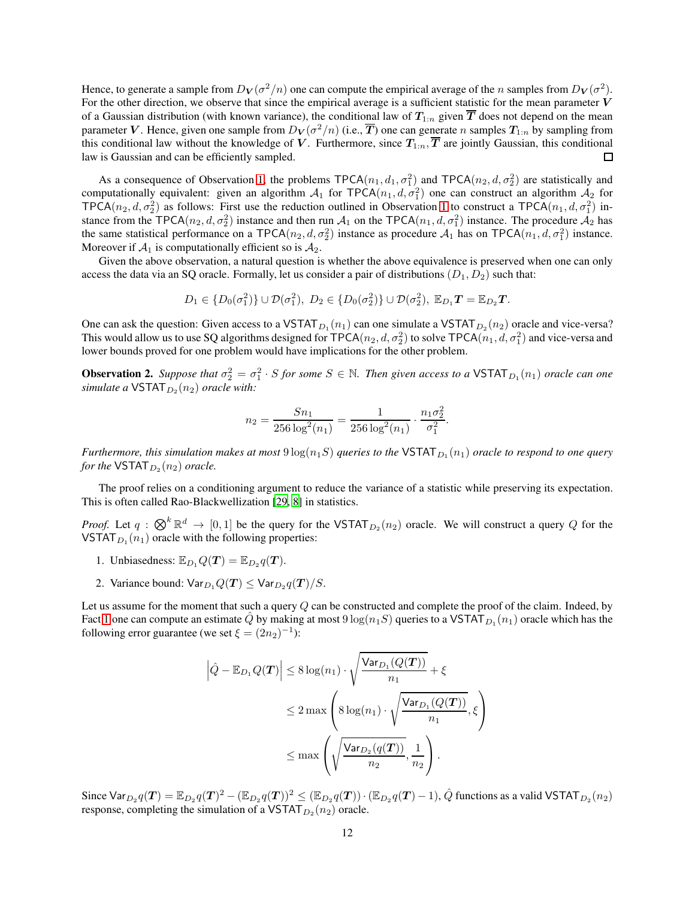Hence, to generate a sample from  $D_V(\sigma^2/n)$  one can compute the empirical average of the n samples from  $D_V(\sigma^2)$ . For the other direction, we observe that since the empirical average is a sufficient statistic for the mean parameter  $V$ of a Gaussian distribution (with known variance), the conditional law of  $T_{1:n}$  given  $\overline{T}$  does not depend on the mean parameter  $V.$  Hence, given one sample from  $D_V(\sigma^2/n)$  (i.e.,  $\overline{T})$  one can generate  $n$  samples  $T_{1:n}$  by sampling from this conditional law without the knowledge of V. Furthermore, since  $T_{1:n}$ ,  $\overline{T}$  are jointly Gaussian, this conditional law is Gaussian and can be efficiently sampled. П

As a consequence of Observation [1,](#page-10-0) the problems  $TPCA(n_1, d_1, \sigma_1^2)$  and  $TPCA(n_2, d, \sigma_2^2)$  are statistically and computationally equivalent: given an algorithm  $A_1$  for TPCA( $n_1, d, \sigma_1^2$ ) one can construct an algorithm  $A_2$  for TPCA $(n_2, d, \sigma_2^2)$  as follows: First use the reduction outlined in Observation [1](#page-10-0) to construct a TPCA $(n_1, d, \sigma_1^2)$  instance from the TPCA( $n_2, d, \sigma_2^2$ ) instance and then run  $A_1$  on the TPCA( $n_1, d, \sigma_1^2$ ) instance. The procedure  $A_2$  has the same statistical performance on a TPCA( $n_2$ ,  $d$ ,  $\sigma_2^2$ ) instance as procedure  $A_1$  has on TPCA( $n_1$ ,  $d$ ,  $\sigma_1^2$ ) instance. Moreover if  $A_1$  is computationally efficient so is  $A_2$ .

Given the above observation, a natural question is whether the above equivalence is preserved when one can only access the data via an SQ oracle. Formally, let us consider a pair of distributions  $(D_1, D_2)$  such that:

$$
D_1 \in \{D_0(\sigma_1^2)\} \cup \mathcal{D}(\sigma_1^2), D_2 \in \{D_0(\sigma_2^2)\} \cup \mathcal{D}(\sigma_2^2), \ \mathbb{E}_{D_1}T = \mathbb{E}_{D_2}T.
$$

One can ask the question: Given access to a VSTAT  $_{D_1}(n_1)$  can one simulate a VSTAT  $_{D_2}(n_2)$  oracle and vice-versa? This would allow us to use SQ algorithms designed for TPCA( $n_2, d, \sigma_2^2$ ) to solve TPCA( $n_1, d, \sigma_1^2$ ) and vice-versa and lower bounds proved for one problem would have implications for the other problem.

<span id="page-11-0"></span>**Observation 2.** Suppose that  $\sigma_2^2 = \sigma_1^2 \cdot S$  for some  $S \in \mathbb{N}$ . Then given access to a VSTAT  $_{D_1}(n_1)$  oracle can one  $simulate$  a  $\textsf{VSTAT}_{D_2}(n_2)$  *oracle with:* 

$$
n_2 = \frac{Sn_1}{256 \log^2(n_1)} = \frac{1}{256 \log^2(n_1)} \cdot \frac{n_1 \sigma_2^2}{\sigma_1^2}.
$$

 $Further more, this simulation makes at most  $9\log(n_1S)$  queries to the  $\mathsf{VSTAT}_{D_1}(n_1)$  oracle to respond to one query$ for the  $\mathsf{VSTAT}_{D_2}(n_2)$  oracle.

The proof relies on a conditioning argument to reduce the variance of a statistic while preserving its expectation. This is often called Rao-Blackwellization [\[29](#page-39-10), [8](#page-38-17)] in statistics.

*Proof.* Let  $q : \bigotimes^k \mathbb{R}^d \to [0,1]$  be the query for the VSTAT<sub>D2</sub> $(n_2)$  oracle. We will construct a query Q for the VSTAT $_{D_1}(n_1)$  oracle with the following properties:

- 1. Unbiasedness:  $\mathbb{E}_{D_1} Q(T) = \mathbb{E}_{D_2} q(T)$ .
- 2. Variance bound:  $\mathsf{Var}_{D_1} Q(\mathbf{T}) \leq \mathsf{Var}_{D_2} q(\mathbf{T})/S$ .

Let us assume for the moment that such a query  $Q$  can be constructed and complete the proof of the claim. Indeed, by Fact [1](#page-9-0) one can compute an estimate  $\hat{Q}$  by making at most  $9\log(n_1S)$  queries to a VSTAT  $_{D_1}(n_1)$  oracle which has the following error guarantee (we set  $\xi = (2n_2)^{-1}$ ):

$$
\left| \hat{Q} - \mathbb{E}_{D_1} Q(T) \right| \leq 8 \log(n_1) \cdot \sqrt{\frac{\text{Var}_{D_1} (Q(T))}{n_1}} + \xi
$$
  

$$
\leq 2 \max \left( 8 \log(n_1) \cdot \sqrt{\frac{\text{Var}_{D_1} (Q(T))}{n_1}}, \xi \right)
$$
  

$$
\leq \max \left( \sqrt{\frac{\text{Var}_{D_2} (q(T))}{n_2}}, \frac{1}{n_2} \right).
$$

Since  $\textsf{Var}_{D_2}q(\bm{T}) = \mathbb{E}_{D_2}q(\bm{T})^2 - (\mathbb{E}_{D_2}q(\bm{T}))^2 \le (\mathbb{E}_{D_2}q(\bm{T})) \cdot (\mathbb{E}_{D_2}q(\bm{T})-1), \hat{Q}$  functions as a valid  $\textsf{VSTAT}_{D_2}(n_2)$ response, completing the simulation of a VSTAT  $_{D_2}(n_2)$  oracle.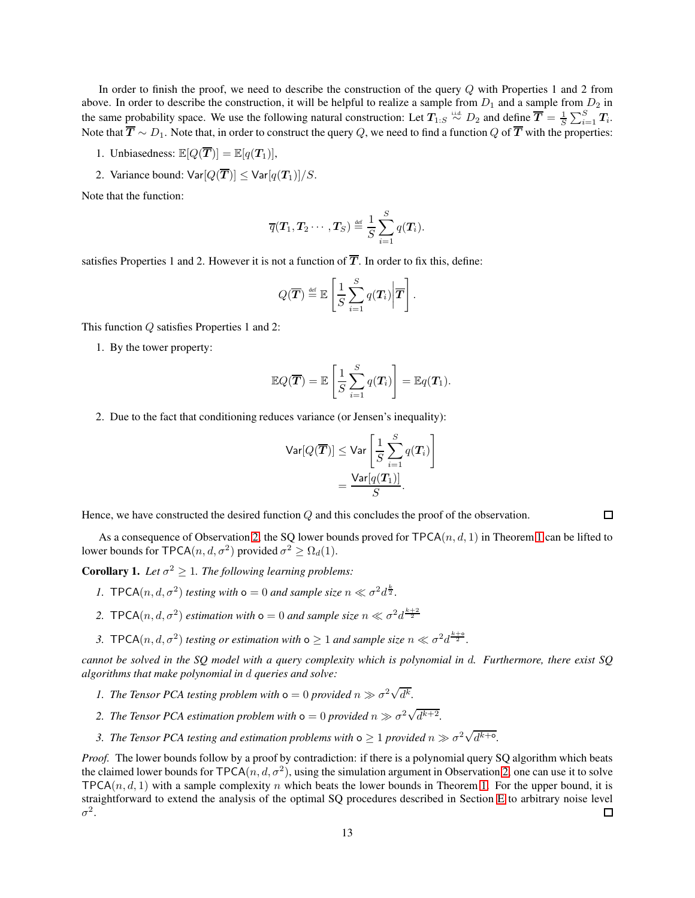In order to finish the proof, we need to describe the construction of the query Q with Properties 1 and 2 from above. In order to describe the construction, it will be helpful to realize a sample from  $D_1$  and a sample from  $D_2$  in the same probability space. We use the following natural construction: Let  $T_{1:S} \stackrel{\text{i.i.d.}}{\sim} D_2$  and define  $\overline{T} = \frac{1}{S} \sum_{i=1}^{S} T_i$ . Note that  $\overline{T} \sim D_1$ . Note that, in order to construct the query Q, we need to find a function Q of  $\overline{T}$  with the properties:

- 1. Unbiasedness:  $\mathbb{E}[Q(\overline{\boldsymbol{T}})] = \mathbb{E}[q(\boldsymbol{T}_1)],$
- 2. Variance bound:  $\text{Var}[Q(\overline{T})] \leq \text{Var}[q(T_1)]/S$ .

Note that the function:

$$
\overline{q}(\boldsymbol{T}_1, \boldsymbol{T}_2 \cdots, \boldsymbol{T}_S) \stackrel{\text{def}}{=} \frac{1}{S} \sum_{i=1}^S q(\boldsymbol{T}_i).
$$

satisfies Properties 1 and 2. However it is not a function of  $\overline{T}$ . In order to fix this, define:

$$
Q(\overline{\boldsymbol{T}}) \stackrel{\text{\tiny def}}{=} \mathbb{E}\left[\frac{1}{S}\sum_{i=1}^{S} q(\boldsymbol{T}_i) \bigg| \overline{\boldsymbol{T}}\right].
$$

This function Q satisfies Properties 1 and 2:

1. By the tower property:

$$
\mathbb{E}Q(\overline{\boldsymbol{T}})=\mathbb{E}\left[\frac{1}{S}\sum_{i=1}^{S}q(\boldsymbol{T}_{i})\right]=\mathbb{E}q(\boldsymbol{T}_{1}).
$$

2. Due to the fact that conditioning reduces variance (or Jensen's inequality):

$$
\begin{aligned} \mathsf{Var}[Q(\overline{\boldsymbol{T}})] &\leq \mathsf{Var}\left[\frac{1}{S}\sum_{i=1}^{S}q(\boldsymbol{T}_{i})\right] \\ &= \frac{\mathsf{Var}[q(\boldsymbol{T}_{1})]}{S} .\end{aligned}
$$

 $\Box$ 

Hence, we have constructed the desired function Q and this concludes the proof of the observation.

As a consequence of Observation [2,](#page-11-0) the SQ lower bounds proved for  $TPCA(n, d, 1)$  $TPCA(n, d, 1)$  $TPCA(n, d, 1)$  in Theorem 1 can be lifted to lower bounds for TPCA $(n, d, \sigma^2)$  provided  $\sigma^2 \ge \Omega_d(1)$ .

<span id="page-12-0"></span>**Corollary 1.** Let  $\sigma^2 \geq 1$ . The following learning problems:

- *1.* **TPCA**(*n*, *d*,  $\sigma^2$ ) *testing with*  $o = 0$  *and sample size*  $n \ll \sigma^2 d^{\frac{k}{2}}$ .
- 2. **TPCA** $(n, d, \sigma^2)$  *estimation with*  $\sigma = 0$  *and sample size*  $n \ll \sigma^2 d^{\frac{k+2}{2}}$
- 3. **TPCA**(*n*, *d*,  $\sigma^2$ ) *testing or estimation with*  $\sigma \geq 1$  *and sample size*  $n \ll \sigma^2 d^{\frac{k+0}{2}}$ .

*cannot be solved in the SQ model with a query complexity which is polynomial in* d*. Furthermore, there exist SQ algorithms that make polynomial in* d *queries and solve:*

- *1.* The Tensor PCA testing problem with  $\mathsf{o} = 0$  provided  $n \gg \sigma^2 \sqrt{d^k}$ .
- 2. The Tensor PCA estimation problem with  $\mathsf{o}=0$  provided  $n \gg \sigma^2 \sqrt{d^{k+2}}$ .
- 3. The Tensor PCA testing and estimation problems with  $\infty \geq 1$  provided  $n \gg \sigma^2 \sqrt{d^{k+\sigma}}$ .

*Proof.* The lower bounds follow by a proof by contradiction: if there is a polynomial query SQ algorithm which beats the claimed lower bounds for  $TPCA(n, d, \sigma^2)$ , using the simulation argument in Observation [2,](#page-11-0) one can use it to solve  $TPCA(n, d, 1)$  with a sample complexity n which beats the lower bounds in Theorem [1.](#page-3-0) For the upper bound, it is straightforward to extend the analysis of the optimal SQ procedures described in Section [E](#page-28-0) to arbitrary noise level  $\sigma^2$ .  $\Box$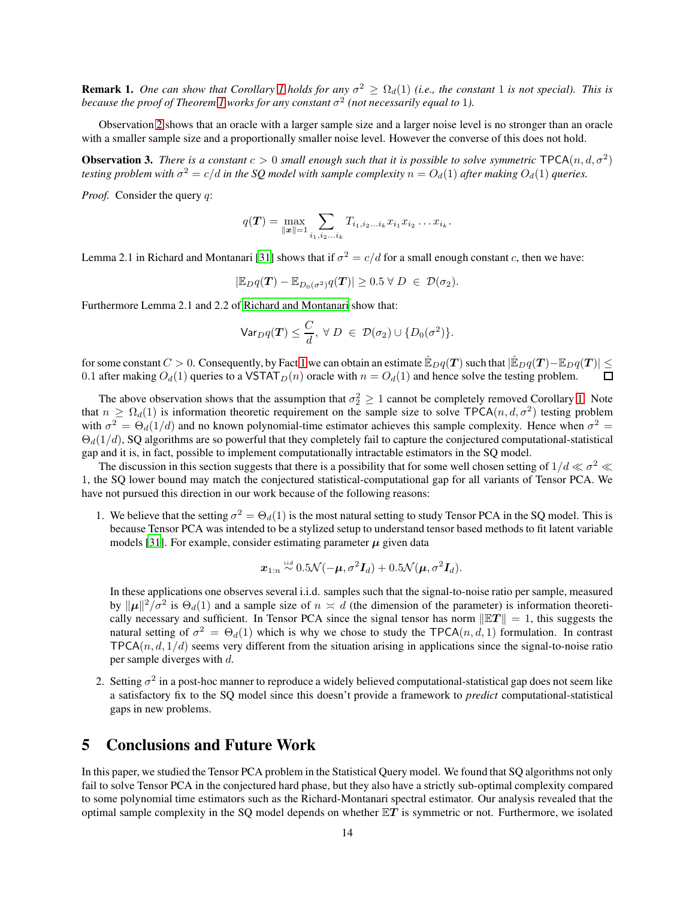**Remark [1](#page-12-0).** One can show that Corollary 1 holds for any  $\sigma^2 \ge \Omega_d(1)$  (i.e., the constant 1 is not special). This is because the proof of Theorem [1](#page-3-0) works for any constant  $\sigma^2$  (not necessarily equal to 1).

Observation [2](#page-11-0) shows that an oracle with a larger sample size and a larger noise level is no stronger than an oracle with a smaller sample size and a proportionally smaller noise level. However the converse of this does not hold.

**Observation 3.** *There is a constant*  $c > 0$  *small enough such that it is possible to solve symmetric*  $\text{TPCA}(n, d, \sigma^2)$ testing problem with  $\sigma^2 = c/d$  in the SQ model with sample complexity  $n = O_d(1)$  after making  $O_d(1)$  queries.

*Proof.* Consider the query q:

$$
q(\mathbf{T}) = \max_{\|\mathbf{x}\|=1} \sum_{i_1,i_2...i_k} T_{i_1,i_2...i_k} x_{i_1} x_{i_2} ... x_{i_k}.
$$

Lemma 2.1 in Richard and Montanari [\[31](#page-39-0)] shows that if  $\sigma^2 = c/d$  for a small enough constant c, then we have:

$$
|\mathbb{E}_D q(T) - \mathbb{E}_{D_0(\sigma^2)} q(T)| \geq 0.5 \ \forall \ D \ \in \ \mathcal{D}(\sigma_2).
$$

Furthermore Lemma 2.1 and 2.2 of [Richard and Montanari](#page-39-0) show that:

$$
\mathsf{Var}_D q(\boldsymbol{T}) \leq \frac{C}{d}, \ \forall \ D \ \in \ \mathcal{D}(\sigma_2) \cup \{D_0(\sigma^2)\}.
$$

for some constant  $C > 0$ . Consequently, by Fact [1](#page-9-0) we can obtain an estimate  $\mathbb{E}_{D}q(T)$  such that  $|\mathbb{E}_{D}q(T)-\mathbb{E}_{D}q(T)| \leq$  0.1 after making  $O_d(1)$  queries to a VSTAT  $_D(n)$  oracle with  $n = O_d(1)$  and hence solve the t 0.1 after making  $O_d(1)$  queries to a VSTAT $_D(n)$  oracle with  $n = O_d(1)$  and hence solve the testing problem.

The above observation shows that the assumption that  $\sigma_2^2 \geq 1$  cannot be completely removed Corollary [1.](#page-12-0) Note that  $n \geq \Omega_d(1)$  is information theoretic requirement on the sample size to solve TPCA $(n, d, \sigma^2)$  testing problem with  $\sigma^2 = \Theta_d(1/d)$  and no known polynomial-time estimator achieves this sample complexity. Hence when  $\sigma^2 =$  $\Theta_d(1/d)$ , SQ algorithms are so powerful that they completely fail to capture the conjectured computational-statistical gap and it is, in fact, possible to implement computationally intractable estimators in the SQ model.

The discussion in this section suggests that there is a possibility that for some well chosen setting of  $1/d \ll \sigma^2 \ll$ 1, the SQ lower bound may match the conjectured statistical-computational gap for all variants of Tensor PCA. We have not pursued this direction in our work because of the following reasons:

1. We believe that the setting  $\sigma^2 = \Theta_d(1)$  is the most natural setting to study Tensor PCA in the SQ model. This is because Tensor PCA was intended to be a stylized setup to understand tensor based methods to fit latent variable models [\[31\]](#page-39-0). For example, consider estimating parameter  $\mu$  given data

$$
\boldsymbol{x}_{1:n} \stackrel{\text{\tiny iid}}{\sim} 0.5 \mathcal{N}(-\boldsymbol{\mu}, \sigma^2 \boldsymbol{I}_d) + 0.5 \mathcal{N}(\boldsymbol{\mu}, \sigma^2 \boldsymbol{I}_d).
$$

In these applications one observes several i.i.d. samples such that the signal-to-noise ratio per sample, measured by  $||\mu||^2/\sigma^2$  is  $\Theta_d(1)$  and a sample size of  $n \times d$  (the dimension of the parameter) is information theoretically necessary and sufficient. In Tensor PCA since the signal tensor has norm  $\|\mathbb{E}T\| = 1$ , this suggests the natural setting of  $\sigma^2 = \Theta_d(1)$  which is why we chose to study the TPCA $(n, d, 1)$  formulation. In contrast  $TPCA(n, d, 1/d)$  seems very different from the situation arising in applications since the signal-to-noise ratio per sample diverges with d.

2. Setting  $\sigma^2$  in a post-hoc manner to reproduce a widely believed computational-statistical gap does not seem like a satisfactory fix to the SQ model since this doesn't provide a framework to *predict* computational-statistical gaps in new problems.

# 5 Conclusions and Future Work

In this paper, we studied the Tensor PCA problem in the Statistical Query model. We found that SQ algorithms not only fail to solve Tensor PCA in the conjectured hard phase, but they also have a strictly sub-optimal complexity compared to some polynomial time estimators such as the Richard-Montanari spectral estimator. Our analysis revealed that the optimal sample complexity in the SQ model depends on whether  $\mathbb{E}T$  is symmetric or not. Furthermore, we isolated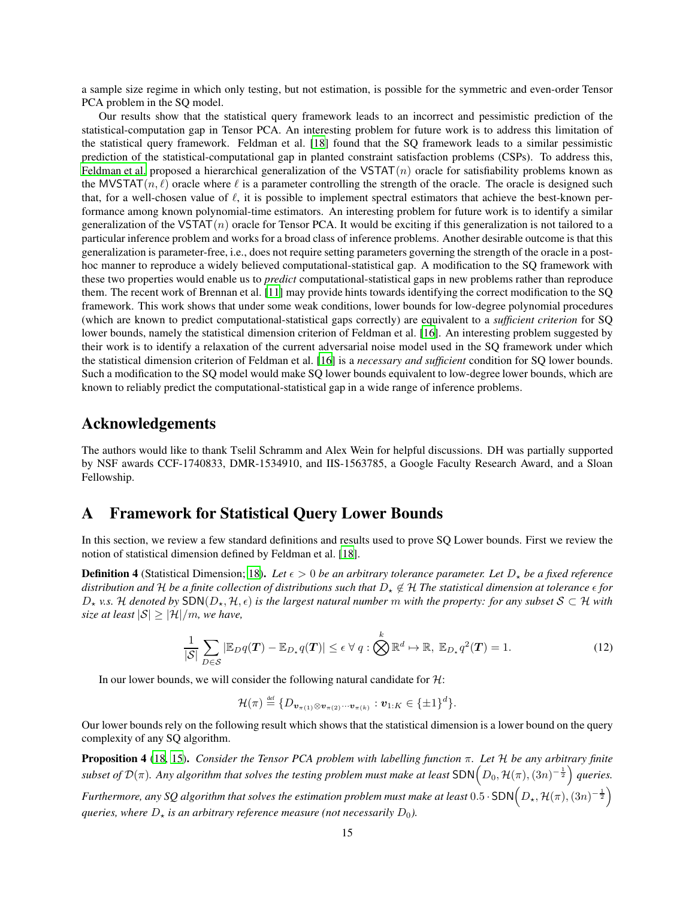a sample size regime in which only testing, but not estimation, is possible for the symmetric and even-order Tensor PCA problem in the SQ model.

Our results show that the statistical query framework leads to an incorrect and pessimistic prediction of the statistical-computation gap in Tensor PCA. An interesting problem for future work is to address this limitation of the statistical query framework. Feldman et al. [\[18](#page-38-0)] found that the SQ framework leads to a similar pessimistic prediction of the statistical-computational gap in planted constraint satisfaction problems (CSPs). To address this, [Feldman et al.](#page-38-0) proposed a hierarchical generalization of the VSTAT $(n)$  oracle for satisfiability problems known as the MVSTAT $(n, \ell)$  oracle where  $\ell$  is a parameter controlling the strength of the oracle. The oracle is designed such that, for a well-chosen value of  $\ell$ , it is possible to implement spectral estimators that achieve the best-known performance among known polynomial-time estimators. An interesting problem for future work is to identify a similar generalization of the VSTAT $(n)$  oracle for Tensor PCA. It would be exciting if this generalization is not tailored to a particular inference problem and works for a broad class of inference problems. Another desirable outcome is that this generalization is parameter-free, i.e., does not require setting parameters governing the strength of the oracle in a posthoc manner to reproduce a widely believed computational-statistical gap. A modification to the SQ framework with these two properties would enable us to *predict* computational-statistical gaps in new problems rather than reproduce them. The recent work of Brennan et al. [\[11](#page-38-13)] may provide hints towards identifying the correct modification to the SQ framework. This work shows that under some weak conditions, lower bounds for low-degree polynomial procedures (which are known to predict computational-statistical gaps correctly) are equivalent to a *sufficient criterion* for SQ lower bounds, namely the statistical dimension criterion of Feldman et al. [\[16](#page-38-4)]. An interesting problem suggested by their work is to identify a relaxation of the current adversarial noise model used in the SQ framework under which the statistical dimension criterion of Feldman et al. [\[16](#page-38-4)] is a *necessary and sufficient* condition for SQ lower bounds. Such a modification to the SQ model would make SQ lower bounds equivalent to low-degree lower bounds, which are known to reliably predict the computational-statistical gap in a wide range of inference problems.

### Acknowledgements

The authors would like to thank Tselil Schramm and Alex Wein for helpful discussions. DH was partially supported by NSF awards CCF-1740833, DMR-1534910, and IIS-1563785, a Google Faculty Research Award, and a Sloan Fellowship.

# <span id="page-14-0"></span>A Framework for Statistical Query Lower Bounds

In this section, we review a few standard definitions and results used to prove SQ Lower bounds. First we review the notion of statistical dimension defined by Feldman et al. [\[18\]](#page-38-0).

<span id="page-14-3"></span>**Definition 4** (Statistical Dimension; [18\)](#page-38-0). Let  $\epsilon > 0$  be an arbitrary tolerance parameter. Let  $D_x$  be a fixed reference distribution and  $H$  be a finite collection of distributions such that  $D_x \notin H$  The statistical dimension at tolerance  $\epsilon$  for  $D_{\star}$  *v.s.* H denoted by SDN( $D_{\star}$ , H,  $\epsilon$ ) is the largest natural number m with the property: for any subset S ⊂ H with *size at least*  $|S| \geq |\mathcal{H}|/m$ *, we have,* 

$$
\frac{1}{|\mathcal{S}|} \sum_{D \in \mathcal{S}} |\mathbb{E}_{D} q(\boldsymbol{T}) - \mathbb{E}_{D_{\star}} q(\boldsymbol{T})| \le \epsilon \ \forall \ q : \bigotimes^{k} \mathbb{R}^{d} \mapsto \mathbb{R}, \ \mathbb{E}_{D_{\star}} q^{2}(\boldsymbol{T}) = 1.
$$
 (12)

In our lower bounds, we will consider the following natural candidate for  $H$ :

<span id="page-14-2"></span>
$$
\mathcal{H}(\pi) \stackrel{\text{def}}{=} \{D_{\boldsymbol{v}_{\pi(1)}\otimes\boldsymbol{v}_{\pi(2)}\cdots\boldsymbol{v}_{\pi(k)}}:\boldsymbol{v}_{1:K}\in\{\pm 1\}^d\}.
$$

Our lower bounds rely on the following result which shows that the statistical dimension is a lower bound on the query complexity of any SQ algorithm.

<span id="page-14-1"></span>Proposition 4 [\(18,](#page-38-0) [15](#page-38-14)). *Consider the Tensor PCA problem with labelling function* π*. Let* H *be any arbitrary finite* subset of  $\mathcal{D}(\pi)$ . Any algorithm that solves the testing problem must make at least  $\mathsf{SDN}\Big(D_0,\mathcal{H}(\pi),(\mathbb{3}n)^{-\frac{1}{2}}\Big)$  queries.

Furthermore, any SQ algorithm that solves the estimation problem must make at least  $0.5$  ·  $\mathsf{SDN}\Big(D_\star, \mathcal{H}(\pi), (3n)^{-\frac{1}{2}}\Big)$ *queries, where*  $D_{\star}$  *is an arbitrary reference measure (not necessarily*  $D_0$ ).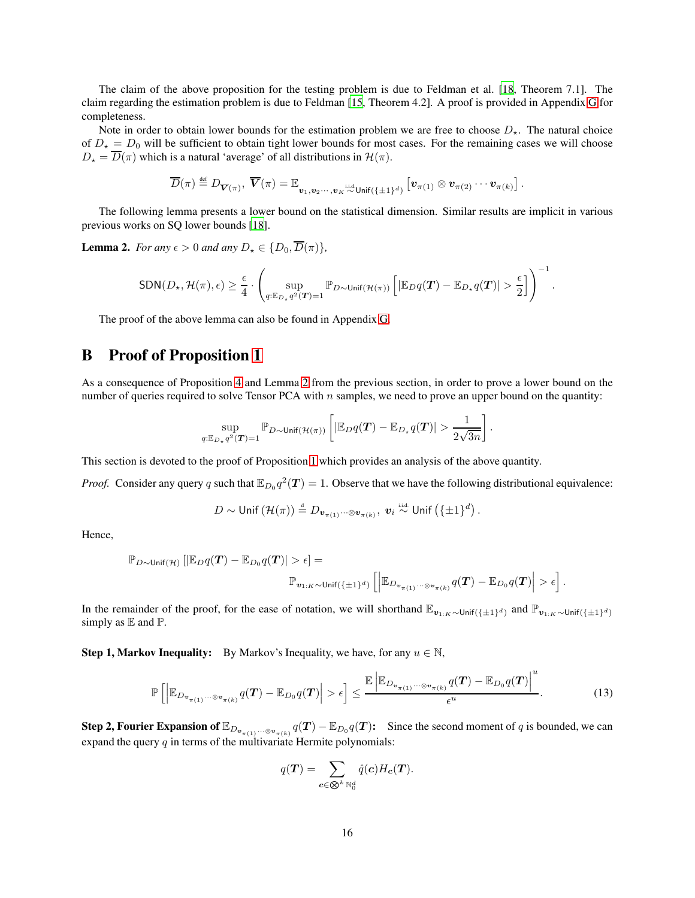The claim of the above proposition for the testing problem is due to Feldman et al. [\[18,](#page-38-0) Theorem 7.1]. The claim regarding the estimation problem is due to Feldman [\[15,](#page-38-14) Theorem 4.2]. A proof is provided in Appendix [G](#page-33-0) for completeness.

Note in order to obtain lower bounds for the estimation problem we are free to choose  $D_{\star}$ . The natural choice of  $D_{\star} = D_0$  will be sufficient to obtain tight lower bounds for most cases. For the remaining cases we will choose  $D_{\star} = \overline{D}(\pi)$  which is a natural 'average' of all distributions in  $\mathcal{H}(\pi)$ .

$$
\overline{D}(\pi) \stackrel{\text{def}}{=} D_{\overline{\mathbf{V}}(\pi)}, \ \overline{\mathbf{V}}(\pi) = \mathbb{E}_{\mathbf{v}_1, \mathbf{v}_2 \cdots, \mathbf{v}_K \stackrel{\text{i.i.d}}{\sim} \text{Unif}(\{\pm 1\}^d) \left[\mathbf{v}_{\pi(1)} \otimes \mathbf{v}_{\pi(2)} \cdots \mathbf{v}_{\pi(k)}\right]
$$

.

The following lemma presents a lower bound on the statistical dimension. Similar results are implicit in various previous works on SQ lower bounds [\[18\]](#page-38-0).

<span id="page-15-1"></span>**Lemma 2.** *For any*  $\epsilon > 0$  *and any*  $D_{\star} \in \{D_0, \overline{D}(\pi)\}\,$ 

$$
\text{SDN}(D_{\star}, \mathcal{H}(\pi), \epsilon) \geq \frac{\epsilon}{4} \cdot \left( \sup_{q: \mathbb{E}_{D_{\star}} q^2(\boldsymbol{T}) = 1} \mathbb{P}_{D \sim \text{Unif}(\mathcal{H}(\pi))} \left[ |\mathbb{E}_{D} q(\boldsymbol{T}) - \mathbb{E}_{D_{\star}} q(\boldsymbol{T})| > \frac{\epsilon}{2} \right] \right)^{-1}.
$$

The proof of the above lemma can also be found in Appendix [G.](#page-33-0)

# <span id="page-15-0"></span>B Proof of Proposition [1](#page-7-1)

As a consequence of Proposition [4](#page-14-1) and Lemma [2](#page-15-1) from the previous section, in order to prove a lower bound on the number of queries required to solve Tensor PCA with  $n$  samples, we need to prove an upper bound on the quantity:

$$
\sup_{q:\mathbb{E}_{D_{\star}}q^2(\boldsymbol{T})=1}\mathbb{P}_{D\sim\mathsf{Unif}(\mathcal{H}(\pi))}\left[\left|\mathbb{E}_{D}q(\boldsymbol{T})-\mathbb{E}_{D_{\star}}q(\boldsymbol{T})\right|>\frac{1}{2\sqrt{3n}}\right].
$$

This section is devoted to the proof of Proposition [1](#page-7-1) which provides an analysis of the above quantity.

*Proof.* Consider any query q such that  $\mathbb{E}_{D_0}q^2(T) = 1$ . Observe that we have the following distributional equivalence:

$$
D \sim \mathsf{Unif}\left(\mathcal{H}(\pi)\right) \stackrel{\text{\tiny{d}}}{=} D_{\bm{v}_{\pi(1)}\cdots\otimes\bm{v}_{\pi(k)}}, \ \bm{v}_i \stackrel{\text{\tiny{i.i.d}}}{\sim} \mathsf{Unif}\left(\{\pm 1\}^d\right).
$$

Hence,

$$
\mathbb{P}_{D \sim \text{Unif}(\mathcal{H})}\left[|\mathbb{E}_{D}q(T) - \mathbb{E}_{D_0}q(T)| > \epsilon\right] =
$$
  

$$
\mathbb{P}_{\mathbf{v}_{1:K} \sim \text{Unif}(\{\pm 1\}^d)}\left[\left|\mathbb{E}_{D_{\mathbf{v}_{\pi(1)}}\cdots \otimes \mathbf{v}_{\pi(k)}}q(T) - \mathbb{E}_{D_0}q(T)\right| > \epsilon\right].
$$

In the remainder of the proof, for the ease of notation, we will shorthand  $\mathbb{E}_{v_{1:K}\sim\text{Unif}(\{\pm 1\}^d)}$  and  $\mathbb{P}_{v_{1:K}\sim\text{Unif}(\{\pm 1\}^d)}$ simply as  $E$  and  $P$ .

**Step 1, Markov Inequality:** By Markov's Inequality, we have, for any  $u \in \mathbb{N}$ ,

$$
\mathbb{P}\left[\left|\mathbb{E}_{D_{\mathbf{v}_{\pi(1)}}\cdots\otimes\mathbf{v}_{\pi(k)}}q(\boldsymbol{T})-\mathbb{E}_{D_0}q(\boldsymbol{T})\right|>\epsilon\right]\leq\frac{\mathbb{E}\left|\mathbb{E}_{D_{\mathbf{v}_{\pi(1)}}\cdots\otimes\mathbf{v}_{\pi(k)}}q(\boldsymbol{T})-\mathbb{E}_{D_0}q(\boldsymbol{T})\right|^u}{\epsilon^u}.
$$
\n(13)

**Step 2, Fourier Expansion of**  $\mathbb{E}_{D_{\mathbf{v}_{\pi(1)}}\cdots\otimes v_{\pi(k)}}q(T)-\mathbb{E}_{D_0}q(T)$ : Since the second moment of q is bounded, we can expand the query  $q$  in terms of the multivariate Hermite polynomials:

<span id="page-15-2"></span>
$$
q(\boldsymbol{T}) = \sum_{\boldsymbol{c} \in \bigotimes^k \mathbb{N}_0^d} \hat{q}(\boldsymbol{c}) H_{\boldsymbol{c}}(\boldsymbol{T}).
$$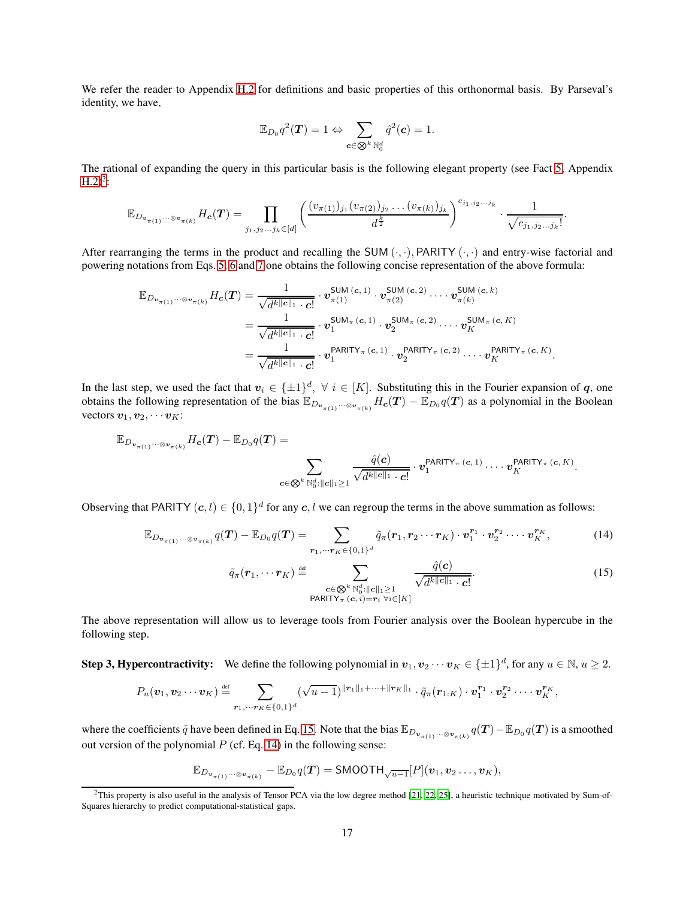We refer the reader to Appendix [H.2](#page-36-0) for definitions and basic properties of this orthonormal basis. By Parseval's identity, we have,

$$
\mathbb{E}_{D_0}q^2(\boldsymbol{T})=1 \Leftrightarrow \sum_{\boldsymbol{c}\in \textstyle\bigotimes^k\mathbb{N}_0^d}\hat{q}^2(\boldsymbol{c})=1.
$$

The rational of expanding the query in this particular basis is the following elegant property (see Fact [5,](#page-37-6) Appendix  $H.2)^2$  $H.2)^2$  $H.2)^2$ :

$$
\mathbb{E}_{D_{\mathbf{v}_{\pi(1)}}\cdots\otimes_{\mathbf{v}_{\pi(k)}}}H_{\mathbf{c}}(\mathbf{T})=\prod_{j_1,j_2...j_k\in [d]}\left(\frac{(v_{\pi(1)})_{j_1}(v_{\pi(2)})_{j_2}\ldots(v_{\pi(k)})_{j_k}}{d^{\frac{k}{2}}}\right)^{c_{j_1,j_2...j_k}}\cdot\frac{1}{\sqrt{c_{j_1,j_2...j_k}}}.
$$

After rearranging the terms in the product and recalling the SUM  $(\cdot, \cdot)$ , PARITY  $(\cdot, \cdot)$  and entry-wise factorial and powering notations from Eqs. [5,](#page-6-0) [6](#page-6-1) and [7](#page-7-2) one obtains the following concise representation of the above formula:

$$
\mathbb{E}_{D_{\mathbf{v}_{\pi(1)}}\cdots\otimes\mathbf{v}_{\pi(k)}}H_{\mathbf{c}}(T)=\frac{1}{\sqrt{d^{k}\|\mathbf{c}\|_{1}\cdot\mathbf{c}!}}\cdot v_{\pi(1)}^{\mathsf{SUM}\,(\mathbf{c},1)}\cdot v_{\pi(2)}^{\mathsf{SUM}\,(\mathbf{c},2)}\cdots\cdot v_{\pi(k)}^{\mathsf{SUM}\,(\mathbf{c},k)}\\=\frac{1}{\sqrt{d^{k}\|\mathbf{c}\|_{1}\cdot\mathbf{c}!}}\cdot v_{1}^{\mathsf{SUM}_{\pi}(\mathbf{c},1)}\cdot v_{2}^{\mathsf{SUM}_{\pi}(\mathbf{c},2)}\cdots\cdot v_{K}^{\mathsf{SUM}_{\pi}(\mathbf{c},K)}\\=\frac{1}{\sqrt{d^{k}\|\mathbf{c}\|_{1}\cdot\mathbf{c}!}}\cdot v_{1}^{\mathsf{PARITY}_{\pi}(\mathbf{c},1)}\cdot v_{2}^{\mathsf{PARITY}_{\pi}(\mathbf{c},2)}\cdots\cdot v_{K}^{\mathsf{PARITY}_{\pi}(\mathbf{c},K)}.
$$

In the last step, we used the fact that  $v_i \in {\{\pm 1\}}^d$ ,  $\forall i \in [K]$ . Substituting this in the Fourier expansion of q, one obtains the following representation of the bias  $\mathbb{E}_{D_{\mathbf{v}_{\pi(1)}}\cdots\otimes\nu_{\pi(k)}}H_{\mathbf{c}}(T)-\mathbb{E}_{D_0}q(T)$  as a polynomial in the Boolean vectors  $v_1, v_2, \cdots v_K$ :

$$
\mathbb{E}_{D_{\mathbf{v}_{\pi(1)}}\cdots\otimes_{\mathbf{v}_{\pi(k)}}}H_{\mathbf{c}}(\mathbf{T})-\mathbb{E}_{D_0}q(\mathbf{T})=\sum_{\mathbf{c}\in\bigotimes^k\mathbb{N}_0^d:\|\mathbf{c}\|_1\geq 1}\frac{\hat{q}(\mathbf{c})}{\sqrt{d^k\|\mathbf{c}\|_1\cdot \mathbf{c}!}}\cdot v_1^{\mathsf{PARITY}_{\pi}(\mathbf{c},1)}\cdots v_K^{\mathsf{PARITY}_{\pi}(\mathbf{c},K)}.
$$

Observing that PARITY  $(c, l) \in \{0, 1\}^d$  for any  $c, l$  we can regroup the terms in the above summation as follows:

$$
\mathbb{E}_{D_{\mathbf{v}_{\pi(1)}}\cdots\otimes\mathbf{v}_{\pi(k)}}q(\mathbf{T})-\mathbb{E}_{D_0}q(\mathbf{T})=\sum_{\mathbf{r}_1,\cdots\mathbf{r}_K\in\{0,1\}^d}\tilde{q}_{\pi}(\mathbf{r}_1,\mathbf{r}_2\cdots\mathbf{r}_K)\cdot\mathbf{v}_1^{\mathbf{r}_1}\cdot\mathbf{v}_2^{\mathbf{r}_2}\cdots\mathbf{v}_K^{\mathbf{r}_K},
$$
(14)

<span id="page-16-2"></span><span id="page-16-1"></span>
$$
\tilde{q}_{\pi}(\boldsymbol{r}_1, \cdots \boldsymbol{r}_K) \stackrel{\text{def}}{=} \sum_{\substack{\boldsymbol{c} \in \bigotimes^k \mathbb{N}_0^d : ||\boldsymbol{c}||_1 \ge 1 \\ \text{PARTY}_{\pi}(\boldsymbol{c}, i) = \boldsymbol{r}_i \ \forall i \in [K]}} \frac{\hat{q}(\boldsymbol{c})}{\sqrt{d^{k ||\boldsymbol{c}||_1} \cdot \boldsymbol{c}!}}.
$$
\n(15)

The above representation will allow us to leverage tools from Fourier analysis over the Boolean hypercube in the following step.

**Step 3, Hypercontractivity:** We define the following polynomial in  $v_1, v_2 \cdots v_K \in {\pm 1}^d$ , for any  $u \in \mathbb{N}$ ,  $u \ge 2$ .

$$
P_u(\mathbf{v}_1, \mathbf{v}_2 \cdots \mathbf{v}_K) \stackrel{\text{def}}{=} \sum_{\mathbf{r}_1, \cdots, \mathbf{r}_K \in \{0,1\}^d} (\sqrt{u-1})^{\|\mathbf{r}_1\|_1 + \cdots + \|\mathbf{r}_K\|_1} \cdot \tilde{q}_{\pi}(\mathbf{r}_{1:K}) \cdot \mathbf{v}_1^{\mathbf{r}_1} \cdot \mathbf{v}_2^{\mathbf{r}_2} \cdots \mathbf{v}_K^{\mathbf{r}_K},
$$

where the coefficients  $\tilde{q}$  have been defined in Eq. [15.](#page-16-1) Note that the bias  $\mathbb{E}_{D_{\mathbf{v}_{\pi(1)}}\cdots\otimes_{\mathbf{v}_{\pi(k)}}} q(\mathbf{T}) - \mathbb{E}_{D_0} q(\mathbf{T})$  is a smoothed out version of the polynomial  $P$  (cf. Eq. [14\)](#page-16-2) in the following sense:

$$
\mathbb{E}_{D_{\mathbf{v}_{\pi(1)}}\cdots\otimes_{\mathbf{v}_{\pi(k)}}} - \mathbb{E}_{D_0}q(\mathbf{T}) = \mathsf{SMOOTH}_{\sqrt{u-1}}[P](\mathbf{v}_1, \mathbf{v}_2 \ldots, \mathbf{v}_K),
$$

<span id="page-16-0"></span><sup>&</sup>lt;sup>2</sup>This property is also useful in the analysis of Tensor PCA via the low degree method [\[21,](#page-38-10) [22,](#page-38-8) [25\]](#page-39-6), a heuristic technique motivated by Sum-of-Squares hierarchy to predict computational-statistical gaps.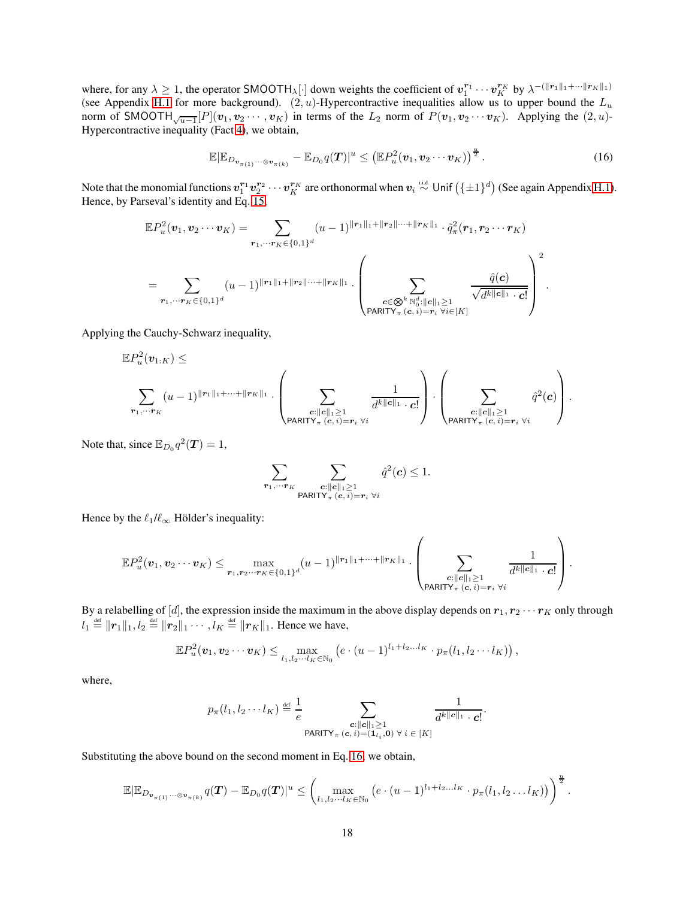where, for any  $\lambda \geq 1$ , the operator SMOOTH<sub> $\lambda$ </sub>[·] down weights the coefficient of  $v_1^{r_1} \cdots v_K^{r_K}$  by  $\lambda^{-(\|r_1\|_1+\cdots\|r_K\|_1)}$ (see Appendix [H.1](#page-36-1) for more background).  $(2, u)$ -Hypercontractive inequalities allow us to upper bound the  $L_u$ norm of SMOOTH $\sqrt{u-1}[P](v_1, v_2 \cdots, v_K)$  in terms of the  $L_2$  norm of  $P(v_1, v_2 \cdots v_K)$ . Applying the  $(2, u)$ -Hypercontractive inequality (Fact [4\)](#page-36-2), we obtain,

<span id="page-17-0"></span>
$$
\mathbb{E}|\mathbb{E}_{D_{\boldsymbol{v}_{\pi(1)}}\cdots\otimes\boldsymbol{v}_{\pi(k)}}-\mathbb{E}_{D_0}q(\boldsymbol{T})|^u\leq \left(\mathbb{E}P_u^2(\boldsymbol{v}_1,\boldsymbol{v}_2\cdots\boldsymbol{v}_K)\right)^{\frac{u}{2}}.\tag{16}
$$

Note that the monomial functions  $v_1^{r_1}v_2^{r_2}\cdots v_K^{r_K}$  are orthonormal when  $v_i \stackrel{\text{i.i.d.}}{\sim}$  Unif  $(\{\pm 1\}^d)$  (See again Appendix [H.1\)](#page-36-1). Hence, by Parseval's identity and Eq. [15,](#page-16-1)

$$
\mathbb{E}P_u^2(\mathbf{v}_1, \mathbf{v}_2 \cdots \mathbf{v}_K) = \sum_{\mathbf{r}_1, \dots, \mathbf{r}_K \in \{0,1\}^d} (u-1)^{\|\mathbf{r}_1\|_1 + \|\mathbf{r}_2\| \cdots + \|\mathbf{r}_K\|_1} \cdot \tilde{q}_\pi^2(\mathbf{r}_1, \mathbf{r}_2 \cdots \mathbf{r}_K)
$$
  

$$
= \sum_{\mathbf{r}_1, \dots, \mathbf{r}_K \in \{0,1\}^d} (u-1)^{\|\mathbf{r}_1\|_1 + \|\mathbf{r}_2\| \cdots + \|\mathbf{r}_K\|_1} \cdot \left( \sum_{\substack{c \in \bigotimes^k \mathbb{N}_0^d : ||c||_1 \ge 1 \\ \text{PARITY}_{\pi}(c, i) = \mathbf{r}_i \ \forall i \in [K]}} \frac{\hat{q}(c)}{\sqrt{d^{k} \|c\|_1 \cdot c!}} \right)^2.
$$

Applying the Cauchy-Schwarz inequality,

$$
\mathbb{E} P_u^2(\mathbf{v}_{1:K}) \leq \sum_{\mathbf{r}_1,\cdots\mathbf{r}_K} (u-1)^{\|\mathbf{r}_1\|_1+\cdots+\|\mathbf{r}_K\|_1} \cdot \left(\sum_{\substack{c: ||c||_1 \geq 1 \\ \text{PARITY}_{\pi}(c,\,i)=\mathbf{r}_i \,\,\forall i}} \frac{1}{d^{k||c||_1} \cdot c!} \right) \cdot \left(\sum_{\substack{c: ||c||_1 \geq 1 \\ \text{PARITY}_{\pi}(c,\,i)=\mathbf{r}_i \,\,\forall i}} \hat{q}^2(c) \right).
$$

Note that, since  $\mathbb{E}_{D_0} q^2(\mathbf{T}) = 1$ ,

$$
\sum_{\pmb{r}_1, \cdots \pmb{r}_K} \sum_{\substack{\pmb{c}: \|\pmb{c}\|_1 \geq 1 \\ \text{PARITY}_{\pi}\,(\pmb{c},\,i)=\pmb{r}_i \ \forall i}} \hat{q}^2(\pmb{c}) \leq 1.
$$

Hence by the  $\ell_1/\ell_\infty$  Hölder's inequality:

$$
\mathbb{E} P^2_u(\boldsymbol{v}_1, \boldsymbol{v}_2 \cdots \boldsymbol{v}_K) \leq \max_{\boldsymbol{r}_1, \boldsymbol{r}_2 \cdots \boldsymbol{r}_K \in \{0,1\}^d} (u-1)^{\|\boldsymbol{r}_1\|_1 + \cdots + \|\boldsymbol{r}_K\|_1} \cdot \left( \sum_{\substack{\boldsymbol{c}: \|\boldsymbol{c}\|_1 \geq 1 \\ \text{PARITY}_{\pi}(\boldsymbol{c}, i) = \boldsymbol{r}_i \ \forall i}} \frac{1}{d^{k\|\boldsymbol{c}\|_1} \cdot \boldsymbol{c}!} \right).
$$

By a relabelling of [d], the expression inside the maximum in the above display depends on  $r_1, r_2 \cdots r_K$  only through  $l_1 \stackrel{\text{def}}{=} ||r_1||_1, l_2 \stackrel{\text{def}}{=} ||r_2||_1 \cdots, l_K \stackrel{\text{def}}{=} ||r_K||_1.$  Hence we have,

$$
\mathbb{E} P_u^2(\boldsymbol{v}_1, \boldsymbol{v}_2 \cdots \boldsymbol{v}_K) \leq \max_{l_1, l_2 \cdots l_K \in \mathbb{N}_0} \left( e \cdot (u-1)^{l_1+l_2 \cdots l_K} \cdot p_{\pi}(l_1, l_2 \cdots l_K) \right),
$$

where,

$$
p_{\pi}(l_1, l_2 \cdots l_K) \stackrel{\text{def}}{=} \frac{1}{e} \sum_{\substack{\mathbf{c}: ||\mathbf{c}||_1 \geq 1 \\ \mathsf{PARITY}_{\pi}(\mathbf{c}, i) = (\mathbf{1}_{l_i}, \mathbf{0}) \ \forall \ i \in [K]}} \frac{1}{d^{k||\mathbf{c}||_1} \cdot \mathbf{c}!}.
$$

Substituting the above bound on the second moment in Eq. [16,](#page-17-0) we obtain,

$$
\mathbb{E}|\mathbb{E}_{D_{\boldsymbol{v}_{\pi(1)}}\cdots\otimes\boldsymbol{v}_{\pi(k)}}q(\boldsymbol{T})-\mathbb{E}_{D_0}q(\boldsymbol{T})|^u\leq\left(\max_{l_1,l_2\cdots l_K\in\mathbb{N}_0}\left(e\cdot(u-1)^{l_1+l_2...l_K}\cdot p_{\pi}(l_1,l_2\ldots l_K)\right)\right)^{\frac{u}{2}}.
$$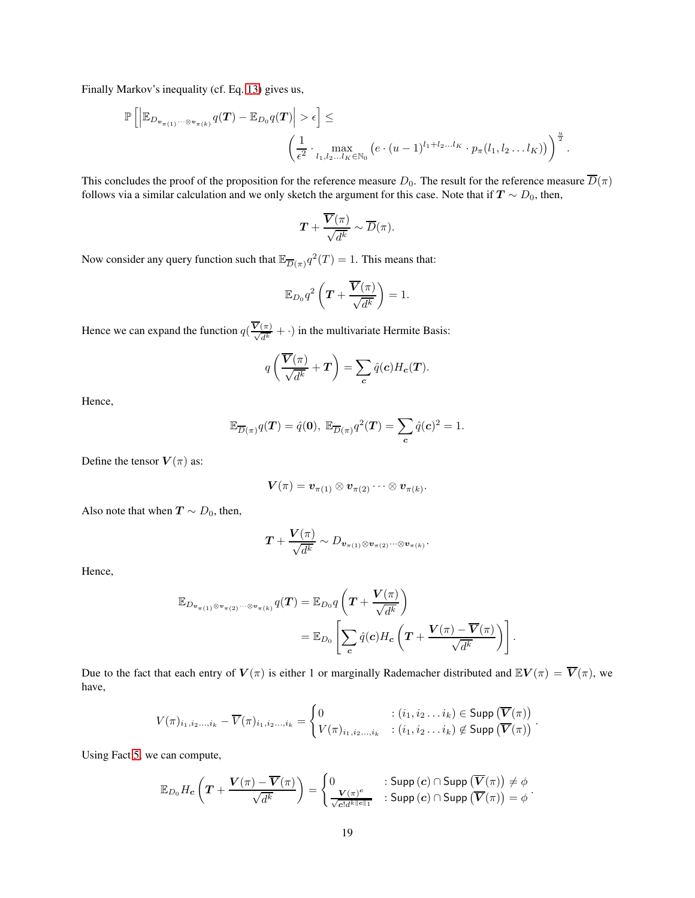Finally Markov's inequality (cf. Eq. [13\)](#page-15-2) gives us,

$$
\mathbb{P}\left[\left|\mathbb{E}_{D_{\mathbf{v}_{\pi(1)}\cdots\otimes\mathbf{v}_{\pi(k)}}}q(\boldsymbol{T})-\mathbb{E}_{D_0}q(\boldsymbol{T})\right|>\epsilon\right]\leq \left(\frac{1}{\epsilon^2}\cdot\max_{l_1,l_2...l_K\in\mathbb{N}_0}\left(e\cdot(u-1)^{l_1+l_2...l_K}\cdot p_{\pi}(l_1,l_2\ldots l_K)\right)\right)^{\frac{u}{2}}.
$$

This concludes the proof of the proposition for the reference measure  $D_0$ . The result for the reference measure  $\overline{D}(\pi)$ follows via a similar calculation and we only sketch the argument for this case. Note that if  $T \sim D_0$ , then,

$$
\boldsymbol{T} + \frac{\overline{\boldsymbol{V}}(\pi)}{\sqrt{d^k}} \sim \overline{D}(\pi).
$$

Now consider any query function such that  $\mathbb{E}_{\overline{D}(\pi)} q^2(T) = 1$ . This means that:

$$
\mathbb{E}_{D_0}q^2\left(\boldsymbol{T}+\frac{\boldsymbol{\overline{V}}(\pi)}{\sqrt{d^k}}\right)=1.
$$

Hence we can expand the function  $q(\frac{\overline{V}(\pi)}{\sqrt{d^k}} + \cdot)$  in the multivariate Hermite Basis:

$$
q\left(\frac{\overline{\boldsymbol{V}}(\pi)}{\sqrt{d^k}}+\boldsymbol{T}\right)=\sum_{\boldsymbol{c}}\hat{q}(\boldsymbol{c})H_{\boldsymbol{c}}(\boldsymbol{T}).
$$

Hence,

$$
\mathbb{E}_{\overline{D}(\pi)}q(\mathbf{T}) = \hat{q}(\mathbf{0}), \ \mathbb{E}_{\overline{D}(\pi)}q^2(\mathbf{T}) = \sum_{\mathbf{c}} \hat{q}(\mathbf{c})^2 = 1.
$$

Define the tensor  $V(\pi)$  as:

$$
\boldsymbol{V}(\pi)=\boldsymbol{v}_{\pi(1)}\otimes \boldsymbol{v}_{\pi(2)}\cdots\otimes \boldsymbol{v}_{\pi(k)}.
$$

Also note that when  $T \sim D_0$ , then,

$$
\boldsymbol{T} + \frac{\boldsymbol{V}(\pi)}{\sqrt{d^k}} \sim D_{\boldsymbol{v}_{\pi(1)} \otimes \boldsymbol{v}_{\pi(2)} \cdots \otimes \boldsymbol{v}_{\pi(k)}}.
$$

Hence,

$$
\mathbb{E}_{D_{\boldsymbol{v}_{\pi(1)}}\otimes\boldsymbol{v}_{\pi(2)}\cdots\otimes\boldsymbol{v}_{\pi(k)}}q(\boldsymbol{T})=\mathbb{E}_{D_0}q\left(\boldsymbol{T}+\frac{\boldsymbol{V}(\pi)}{\sqrt{d^k}}\right)\\=\mathbb{E}_{D_0}\left[\sum_{\boldsymbol{c}}\hat{q}(\boldsymbol{c})H_{\boldsymbol{c}}\left(\boldsymbol{T}+\frac{\boldsymbol{V}(\pi)-\overline{\boldsymbol{V}}(\pi)}{\sqrt{d^k}}\right)\right].
$$

Due to the fact that each entry of  $V(\pi)$  is either 1 or marginally Rademacher distributed and  $\mathbb{E}V(\pi) = \overline{V}(\pi)$ , we have,

$$
V(\pi)_{i_1,i_2\dots,i_k}-\overline{V}(\pi)_{i_1,i_2\dots,i_k}=\begin{cases}0&:(i_1,i_2\dots i_k)\in\text{Supp }(\overline{V}(\pi))\\V(\pi)_{i_1,i_2\dots,i_k}&:(i_1,i_2\dots i_k)\not\in\text{Supp }(\overline{V}(\pi))\end{cases}.
$$

Using Fact [5,](#page-37-6) we can compute,

$$
\mathbb{E}_{D_0}H_{\boldsymbol{c}}\left(\boldsymbol{T}+\frac{\boldsymbol{V}(\pi)-\overline{\boldsymbol{V}}(\pi)}{\sqrt{d^k}}\right)=\begin{cases}0&:\text{Supp}\left(\boldsymbol{c}\right)\cap \text{Supp}\left(\overline{\boldsymbol{V}}(\pi)\right)\neq \phi\\ \frac{\boldsymbol{V}(\pi)^{\boldsymbol{c}}}{\sqrt{c!d^{k\|\boldsymbol{c}\|_1}}}&:\text{Supp}\left(\boldsymbol{c}\right)\cap \text{Supp}\left(\overline{\boldsymbol{V}}(\pi)\right)=\phi\end{cases}.
$$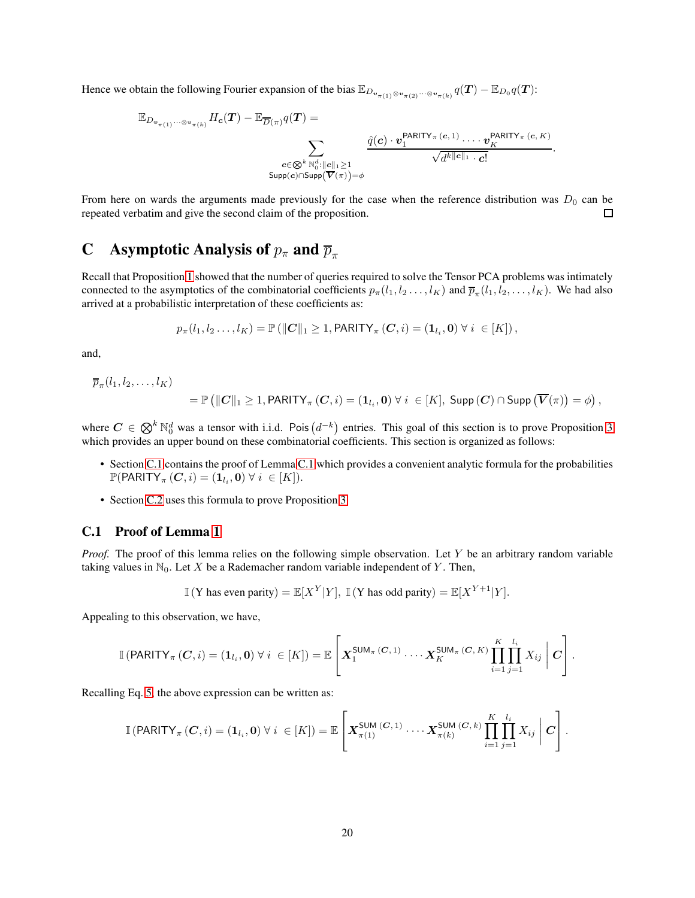Hence we obtain the following Fourier expansion of the bias  $\mathbb{E}_{D_{\mathbf{v}_{\pi(1)}\otimes \mathbf{v}_{\pi(2)}}\cdots \otimes \mathbf{v}_{\pi(k)}}q(\bm{T}) - \mathbb{E}_{D_0}q(\bm{T})$ :

$$
\mathbb{E}_{D_{\mathbf{v}_{\pi(1)}}\cdots\otimes\mathbf{v}_{\pi(k)}}H_{\mathbf{c}}(\mathbf{T})-\mathbb{E}_{\overline{D}(\pi)}q(\mathbf{T})=\sum_{\substack{\mathbf{c}\in\bigotimes^{k}\mathbb{N}_{0}^{d}:\|\mathbf{c}\|_{1}\geq 1\\ \text{Supp}(\mathbf{c})\cap\text{Supp}(\overline{\mathbf{V}}(\pi))=\phi}}\frac{\hat{q}(\mathbf{c})\cdot v_{1}^{\text{PARITY}_{\pi}(\mathbf{c},1)}\cdot\ldots\cdot v_{K}^{\text{PARITY}_{\pi}(\mathbf{c},K)}}{\sqrt{d^{k||\mathbf{c}||_{1}}\cdot\mathbf{c}!}}
$$

.

From here on wards the arguments made previously for the case when the reference distribution was  $D_0$  can be repeated verbatim and give the second claim of the proposition.  $\Box$ 

# C Asymptotic Analysis of  $p_{\pi}$  and  $\overline{p}_{\pi}$

Recall that Proposition [1](#page-7-1) showed that the number of queries required to solve the Tensor PCA problems was intimately connected to the asymptotics of the combinatorial coefficients  $p_\pi(l_1, l_2, \dots, l_K)$  and  $\overline{p}_\pi(l_1, l_2, \dots, l_K)$ . We had also arrived at a probabilistic interpretation of these coefficients as:

$$
p_{\pi}(l_1, l_2 \ldots, l_K) = \mathbb{P}\left(\|\mathbf{C}\|_{1} \geq 1, \text{PARITY}_{\pi}\left(\mathbf{C}, i\right) = (\mathbf{1}_{l_i}, \mathbf{0}) \,\forall\, i \in [K]\right),
$$

and,

 $\overline{p}_{\pi}(l_1, l_2, \ldots, l_K)$ 

$$
= \mathbb{P}\left(\| \boldsymbol{C} \|_{1} \geq 1, \text{PARITY}_{\pi}\left(\boldsymbol{C}, i\right) = \left(\boldsymbol{1}_{l_i}, \boldsymbol{0}\right) \forall\ i \ \in [K],\ \text{Supp}\left(\boldsymbol{C}\right) \cap \text{Supp}\left(\overline{\boldsymbol{V}}(\pi)\right) = \phi\right),
$$

where  $C \in \bigotimes^k \mathbb{N}_0^d$  was a tensor with i.i.d. Pois  $(d^{-k})$  entries. This goal of this section is to prove Proposition [3](#page-9-1) which provides an upper bound on these combinatorial coefficients. This section is organized as follows:

- Section [C.1](#page-19-0) contains the proof of Lemma [C.1](#page-19-0) which provides a convenient analytic formula for the probabilities  $\mathbb{P}(\mathsf{PARITY}_{\pi}(\boldsymbol{C}, i) = (\mathbf{1}_{l_i}, \mathbf{0}) \ \forall \ i \ \in [K]).$
- Section [C.2](#page-20-0) uses this formula to prove Proposition [3.](#page-9-1)

### <span id="page-19-0"></span>C.1 Proof of Lemma [1](#page-8-2)

*Proof.* The proof of this lemma relies on the following simple observation. Let Y be an arbitrary random variable taking values in  $\mathbb{N}_0$ . Let X be a Rademacher random variable independent of Y. Then,

$$
\mathbb{I}(Y \text{ has even parity}) = \mathbb{E}[X^Y|Y], \mathbb{I}(Y \text{ has odd parity}) = \mathbb{E}[X^{Y+1}|Y].
$$

Appealing to this observation, we have,

$$
\mathbb{I}\left(\text{PARITY}_{\pi}\left(\mathbf{C},i\right)=\left(\mathbf{1}_{l_i},\mathbf{0}\right)\forall i\in[K]\right)=\mathbb{E}\left[\boldsymbol{X}_1^{\text{SUM}_{\pi}\left(\mathbf{C},1\right)}\cdots\boldsymbol{X}_K^{\text{SUM}_{\pi}\left(\mathbf{C},K\right)}\prod_{i=1}^K\prod_{j=1}^{l_i}X_{ij}\,\bigg|\,\mathbf{C}\right].
$$

Recalling Eq. [5,](#page-6-0) the above expression can be written as:

$$
\mathbb{I}\left(\text{PARITY}_{\pi}(\boldsymbol{C},i)=(\mathbf{1}_{l_i},\mathbf{0})\ \forall\ i\ \in [K]\right)=\mathbb{E}\left[\boldsymbol{X}_{\pi(1)}^{\text{SUM\,}(\boldsymbol{C},1)}\ \cdots\ \boldsymbol{X}_{\pi(k)}^{\text{SUM\,}(\boldsymbol{C},k)}\ \prod_{i=1}^K\prod_{j=1}^{l_i}X_{ij}\ \bigg|\ \boldsymbol{C}\right].
$$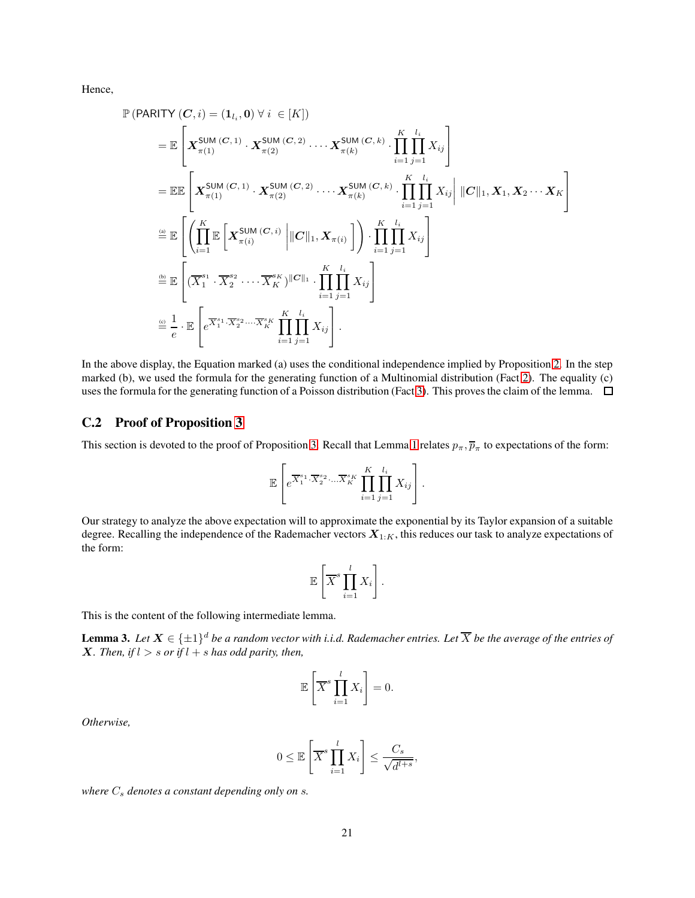Hence,

$$
\mathbb{P}\left(\text{PARITY}\left(C,i\right)=(1_{l_i},0)\,\forall\,i\,\in[K]\right)
$$
\n
$$
=\mathbb{E}\left[\mathbf{X}_{\pi(1)}^{\text{SUM}\left(C,1\right)}\cdot\mathbf{X}_{\pi(2)}^{\text{SUM}\left(C,2\right)}\cdot\ldots\mathbf{X}_{\pi(k)}^{\text{SUM}\left(C,k\right)}\cdot\prod_{i=1}^{K}\prod_{j=1}^{l_i}X_{ij}\right]
$$
\n
$$
=\mathbb{E}\mathbb{E}\left[\mathbf{X}_{\pi(1)}^{\text{SUM}\left(C,1\right)}\cdot\mathbf{X}_{\pi(2)}^{\text{SUM}\left(C,2\right)}\cdot\ldots\mathbf{X}_{\pi(k)}^{\text{SUM}\left(C,k\right)}\cdot\prod_{i=1}^{K}\prod_{j=1}^{l_i}X_{ij}\right||C||_1, X_1, X_2\cdots X_K
$$
\n
$$
\stackrel{\text{a}}{=} \mathbb{E}\left[\left(\prod_{i=1}^{K}\mathbb{E}\left[\mathbf{X}_{\pi(i)}^{\text{SUM}\left(C,i\right)}\left||C\right|_1, \mathbf{X}_{\pi(i)}\right]\right)\cdot\prod_{i=1}^{K}\prod_{j=1}^{l_i}X_{ij}\right]
$$
\n
$$
\stackrel{\text{b}}{=} \mathbb{E}\left[\left(\overline{X}_{1}^{s_1}\cdot\overline{X}_{2}^{s_2}\cdot\ldots\overline{X}_{K}^{s_K}\right)||C||_1\cdot\prod_{i=1}^{K}\prod_{j=1}^{l_i}X_{ij}\right]
$$
\n
$$
\stackrel{\text{b}}{=} \frac{1}{e}\cdot\mathbb{E}\left[e^{\overline{X}_{1}^{s_1}\cdot\overline{X}_{2}^{s_2}\cdot\ldots\overline{X}_{K}^{s_K}}\prod_{i=1}^{K}\prod_{j=1}^{l_i}X_{ij}\right].
$$

In the above display, the Equation marked (a) uses the conditional independence implied by Proposition [2.](#page-8-1) In the step marked (b), we used the formula for the generating function of a Multinomial distribution (Fact [2\)](#page-31-1). The equality (c) uses the formula for the generating function of a Poisson distribution (Fact [3\)](#page-31-2). This proves the claim of the lemma.  $\Box$ 

#### <span id="page-20-0"></span>C.2 Proof of Proposition [3](#page-9-1)

This section is devoted to the proof of Proposition [3.](#page-9-1) Recall that Lemma [1](#page-8-2) relates  $p_\pi$ ,  $\overline{p}_\pi$  to expectations of the form:

$$
\mathbb{E}\left[e^{\overline{X}_1^{s_1}\cdot\overline{X}_2^{s_2}\cdot\ldots\overline{X}_K^{s_K}}\prod_{i=1}^K\prod_{j=1}^{l_i}X_{ij}\right].
$$

Our strategy to analyze the above expectation will to approximate the exponential by its Taylor expansion of a suitable degree. Recalling the independence of the Rademacher vectors  $X_{1:K}$ , this reduces our task to analyze expectations of the form:

$$
\mathbb{E}\left[\overline{X}^s \prod_{i=1}^l X_i\right].
$$

This is the content of the following intermediate lemma.

<span id="page-20-1"></span>**Lemma 3.** Let  $X \in \{\pm 1\}^d$  be a random vector with i.i.d. Rademacher entries. Let  $\overline{X}$  be the average of the entries of *X. Then, if*  $l > s$  *or if*  $l + s$  *has odd parity, then,* 

$$
\mathbb{E}\left[\overline{X}^s \prod_{i=1}^l X_i\right] = 0.
$$

*Otherwise,*

$$
0 \le \mathbb{E}\left[\overline{X}^s \prod_{i=1}^l X_i\right] \le \frac{C_s}{\sqrt{d^{l+s}}},
$$

*where*  $C_s$  *denotes a constant depending only on s.*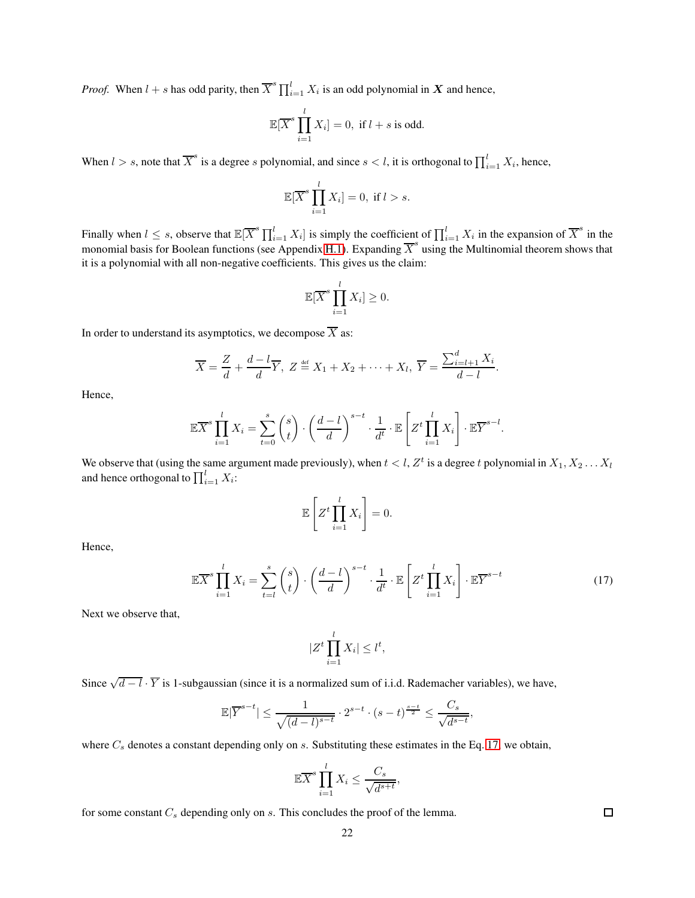*Proof.* When  $l + s$  has odd parity, then  $\overline{X}^s \prod_{i=1}^l X_i$  is an odd polynomial in  $X$  and hence,

$$
\mathbb{E}[\overline{X}^s \prod_{i=1}^l X_i] = 0, \text{ if } l+s \text{ is odd.}
$$

When  $l > s$ , note that  $\overline{X}^s$  is a degree s polynomial, and since  $s < l$ , it is orthogonal to  $\prod_{i=1}^l X_i$ , hence,

$$
\mathbb{E}[\overline{X}^s \prod_{i=1}^l X_i] = 0, \text{ if } l > s.
$$

Finally when  $l \leq s$ , observe that  $\mathbb{E}[\overline{X}^s \prod_{i=1}^l X_i]$  is simply the coefficient of  $\prod_{i=1}^l X_i$  in the expansion of  $\overline{X}^s$  in the monomial basis for Boolean functions (see Appendix [H.1\)](#page-36-1). Expanding  $\overline{X}^s$  using the Multinomial theorem shows that it is a polynomial with all non-negative coefficients. This gives us the claim:

$$
\mathbb{E}[\overline{X}^s \prod_{i=1}^l X_i] \geq 0.
$$

In order to understand its asymptotics, we decompose  $\overline{X}$  as:

$$
\overline{X} = \frac{Z}{d} + \frac{d-l}{d}\overline{Y}, \ Z \stackrel{\text{def}}{=} X_1 + X_2 + \dots + X_l, \ \overline{Y} = \frac{\sum_{i=l+1}^{d} X_i}{d-l}.
$$

Hence,

$$
\mathbb{E}\overline{X}^s \prod_{i=1}^l X_i = \sum_{t=0}^s {s \choose t} \cdot \left(\frac{d-l}{d}\right)^{s-t} \cdot \frac{1}{d^t} \cdot \mathbb{E}\left[Z^t \prod_{i=1}^l X_i\right] \cdot \mathbb{E}\overline{Y}^{s-l}.
$$

We observe that (using the same argument made previously), when  $t < l$ ,  $Z^t$  is a degree t polynomial in  $X_1, X_2, \ldots X_l$ and hence orthogonal to  $\prod_{i=1}^{l} X_i$ :

$$
\mathbb{E}\left[Z^t \prod_{i=1}^l X_i\right] = 0.
$$

Hence,

$$
\mathbb{E}\overline{X}^{s}\prod_{i=1}^{l}X_{i} = \sum_{t=l}^{s} \binom{s}{t} \cdot \left(\frac{d-l}{d}\right)^{s-t} \cdot \frac{1}{d^{t}} \cdot \mathbb{E}\left[Z^{t}\prod_{i=1}^{l}X_{i}\right] \cdot \mathbb{E}\overline{Y}^{s-t}
$$
(17)

Next we observe that,

$$
|Z^t \prod_{i=1}^l X_i| \le l^t,
$$

Since  $\sqrt{d-l} \cdot \overline{Y}$  is 1-subgaussian (since it is a normalized sum of i.i.d. Rademacher variables), we have,

$$
\mathbb{E}|\overline{Y}^{s-t}| \le \frac{1}{\sqrt{(d-l)^{s-t}}} \cdot 2^{s-t} \cdot (s-t)^{\frac{s-t}{2}} \le \frac{C_s}{\sqrt{d^{s-t}}},
$$

where  $C_s$  denotes a constant depending only on s. Substituting these estimates in the Eq. [17,](#page-21-0) we obtain,

$$
\mathbb{E}\overline{X}^s \prod_{i=1}^l X_i \le \frac{C_s}{\sqrt{d^{s+t}}},
$$

for some constant  $C_s$  depending only on  $s$ . This concludes the proof of the lemma.

<span id="page-21-0"></span> $\Box$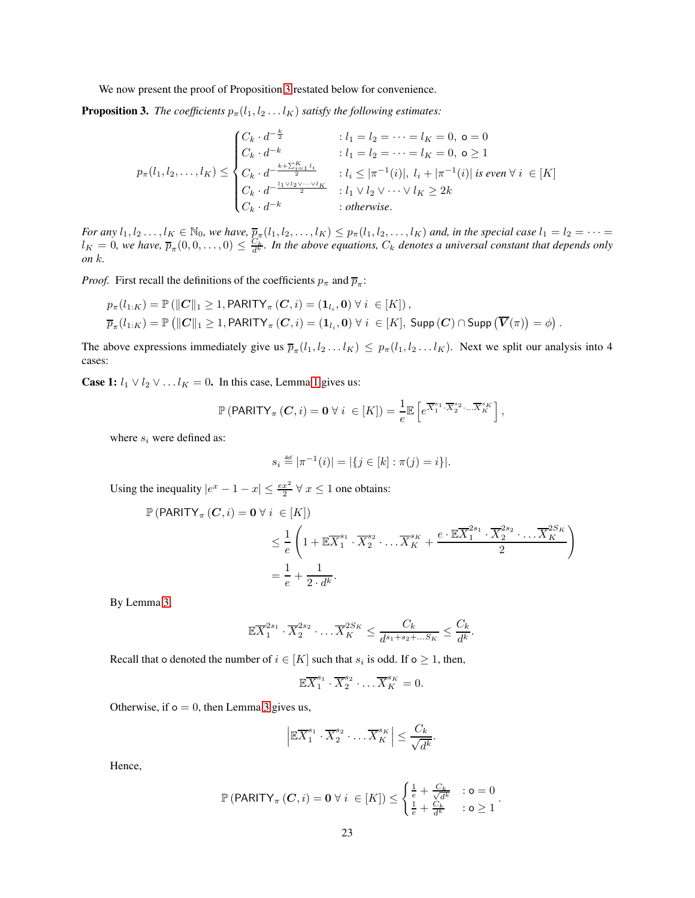We now present the proof of Proposition [3](#page-9-1) restated below for convenience.

**Proposition 3.** *The coefficients*  $p_{\pi}(l_1, l_2 \ldots l_K)$  *satisfy the following estimates:* 

$$
p_{\pi}(l_1, l_2, \dots, l_K) \le \begin{cases} C_k \cdot d^{-\frac{k}{2}} & : l_1 = l_2 = \dots = l_K = 0, \ o = 0 \\ C_k \cdot d^{-k} & : l_1 = l_2 = \dots = l_K = 0, \ o \ge 1 \\ C_k \cdot d^{-\frac{k + \sum_{i=1}^K l_i}{2}} & : l_i \le |\pi^{-1}(i)|, \ l_i + |\pi^{-1}(i)| \ \text{is even} \ \forall \ i \in [K] \\ C_k \cdot d^{-\frac{l_1 \vee l_2 \vee \dots \vee l_K}{2}} & : l_1 \vee l_2 \vee \dots \vee l_K \ge 2k \\ C_k \cdot d^{-k} & : \text{otherwise.} \end{cases}
$$

*For any*  $l_1, l_2, \ldots, l_K \in \mathbb{N}_0$ , we have,  $\overline{p}_{\pi}(l_1, l_2, \ldots, l_K) \leq p_{\pi}(l_1, l_2, \ldots, l_K)$  and, in the special case  $l_1 = l_2 = \cdots =$  $l_K = 0$ , we have,  $\overline{p}_{\pi}(0,0,\ldots,0) \leq \frac{C_k}{d^k}$ . In the above equations,  $C_k$  denotes a universal constant that depends only *on* k*.*

*Proof.* First recall the definitions of the coefficients  $p_{\pi}$  and  $\overline{p}_{\pi}$ :

$$
p_{\pi}(l_{1:K}) = \mathbb{P}(\|\mathbf{C}\|_{1} \geq 1, \text{PARITY}_{\pi}(\mathbf{C}, i) = (\mathbf{1}_{l_{i}}, \mathbf{0}) \ \forall \ i \in [K]),
$$
  

$$
\overline{p}_{\pi}(l_{1:K}) = \mathbb{P}(\|\mathbf{C}\|_{1} \geq 1, \text{PARITY}_{\pi}(\mathbf{C}, i) = (\mathbf{1}_{l_{i}}, \mathbf{0}) \ \forall \ i \in [K], \ \text{Supp}(\mathbf{C}) \cap \text{Supp}(\overline{\mathbf{V}}(\pi)) = \phi).
$$

The above expressions immediately give us  $\overline{p}_{\pi}(l_1, l_2...l_K) \leq p_{\pi}(l_1, l_2...l_K)$ . Next we split our analysis into 4 cases:

**Case [1](#page-8-2):**  $l_1 \vee l_2 \vee \ldots l_K = 0$ . In this case, Lemma 1 gives us:

$$
\mathbb{P}\left(\mathsf{PARITY}_{\pi}\left(\mathbf{C},i\right)=\mathbf{0}\,\forall\,i\;\in[K]\right)=\frac{1}{e}\mathbb{E}\left[e^{\overline{X}_{1}^{s_{1}}\cdot\overline{X}_{2}^{s_{2}}\cdot...\overline{X}_{K}^{s_{K}}}\right],
$$

where  $s_i$  were defined as:

$$
s_i \stackrel{\text{def}}{=} |\pi^{-1}(i)| = |\{j \in [k] : \pi(j) = i\}|.
$$

Using the inequality  $|e^x - 1 - x| \le \frac{ex^2}{2} \forall x \le 1$  one obtains:

$$
\mathbb{P}\left(\text{PARITY}_{\pi}\left(C,i\right)=0\,\forall\,i\,\in[K]\right) \newline \leq \frac{1}{e}\left(1+\mathbb{E}\overline{X}_{1}^{s_{1}}\cdot\overline{X}_{2}^{s_{2}}\cdot...\overline{X}_{K}^{s_{K}}+\frac{e\cdot\mathbb{E}\overline{X}_{1}^{2s_{1}}\cdot\overline{X}_{2}^{2s_{2}}\cdot...\overline{X}_{K}^{2S_{K}}}{2}\right) \newline = \frac{1}{e}+\frac{1}{2\cdot d^{k}}.
$$

By Lemma [3,](#page-20-1)

$$
\mathbb{E}\overline{X}_1^{2s_1}\cdot\overline{X}_2^{2s_2}\cdot\ldots\overline{X}_K^{2S_K}\leq\frac{C_k}{d^{s_1+s_2+\ldots s_K}}\leq\frac{C_k}{d^k}.
$$

Recall that o denoted the number of  $i \in [K]$  such that  $s_i$  is odd. If  $o \geq 1$ , then,

$$
\mathbb{E}\overline{X}_1^{s_1}\cdot \overline{X}_2^{s_2}\cdot \ldots \overline{X}_K^{s_K}=0.
$$

Otherwise, if  $o = 0$ , then Lemma [3](#page-20-1) gives us,

$$
\left| \mathbb{E} \overline{X}_1^{s_1} \cdot \overline{X}_2^{s_2} \cdot \ldots \overline{X}_K^{s_K} \right| \leq \frac{C_k}{\sqrt{d^k}}.
$$

Hence,

$$
\mathbb{P}\left(\text{PARITY}_{\pi}\left(\mathbf{C},i\right)=\mathbf{0}\,\forall\,i\;\in[K]\right) \leq \begin{cases} \frac{1}{e} + \frac{C_k}{\sqrt{d^k}} &:\mathbf{o}=0\\ \frac{1}{e} + \frac{C_k}{d^k} &:\mathbf{o}\geq 1 \end{cases}.
$$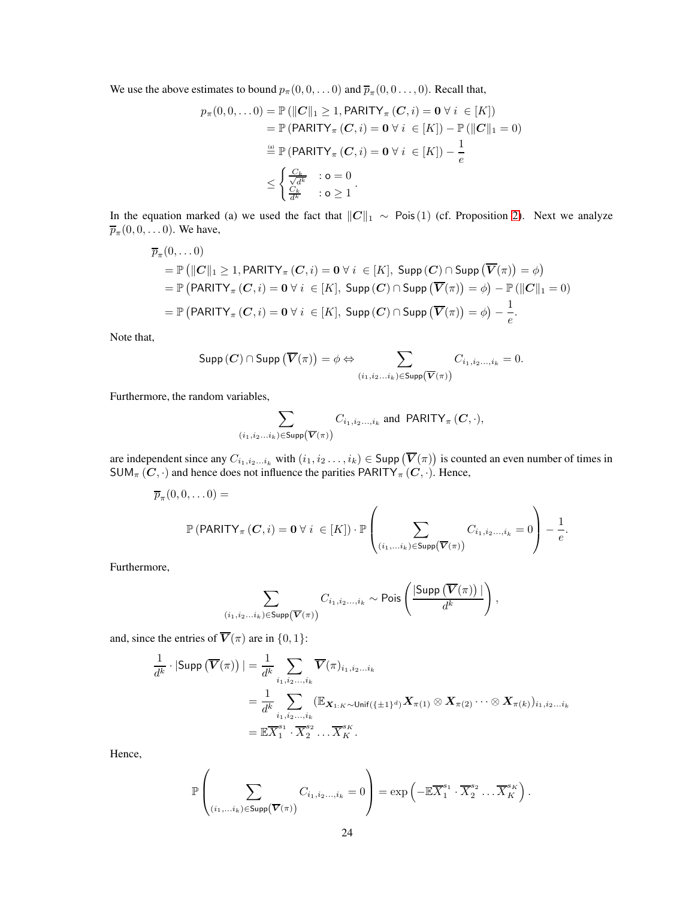We use the above estimates to bound  $p_{\pi}(0, 0, \ldots, 0)$  and  $\overline{p}_{\pi}(0, 0 \ldots, 0)$ . Recall that,

$$
p_{\pi}(0,0,...0) = \mathbb{P}\left(\|C\|_{1} \geq 1, \text{PARITY}_{\pi}(C,i) = 0 \,\forall \, i \in [K]\right)
$$
  
\n
$$
= \mathbb{P}\left(\text{PARITY}_{\pi}(C,i) = 0 \,\forall \, i \in [K]\right) - \mathbb{P}\left(\|C\|_{1} = 0\right)
$$
  
\n
$$
\stackrel{\text{(i)}}{=} \mathbb{P}\left(\text{PARITY}_{\pi}(C,i) = 0 \,\forall \, i \in [K]\right) - \frac{1}{e}
$$
  
\n
$$
\leq \begin{cases} \frac{C_{k}}{\sqrt{d^{k}}} & : \text{o} = 0 \\ \frac{C_{k}}{d^{k}} & : \text{o} \geq 1 \end{cases}.
$$

In the equation marked (a) we used the fact that  $||C||_1 \sim \text{Pois}(1)$  (cf. Proposition [2\)](#page-8-1). Next we analyze  $\overline{p}_{\pi}(0,0,\ldots 0)$ . We have,

$$
\overline{p}_{\pi}(0, \ldots 0)
$$
\n
$$
= \mathbb{P}\left(\|C\|_{1} \geq 1, \text{PARITY}_{\pi}(C, i) = 0 \,\forall i \in [K], \text{ Supp}(C) \cap \text{Supp}(\overline{V}(\pi)) = \phi\right)
$$
\n
$$
= \mathbb{P}\left(\text{PARITY}_{\pi}(C, i) = 0 \,\forall i \in [K], \text{ Supp}(C) \cap \text{Supp}(\overline{V}(\pi)) = \phi\right) - \mathbb{P}\left(\|C\|_{1} = 0\right)
$$
\n
$$
= \mathbb{P}\left(\text{PARITY}_{\pi}(C, i) = 0 \,\forall i \in [K], \text{Supp}(C) \cap \text{Supp}(\overline{V}(\pi)) = \phi\right) - \frac{1}{e}.
$$

Note that,

$$
\text{Supp}\left(\pmb{C}\right) \cap \text{Supp}\left(\overline{\pmb{V}}(\pi)\right) = \phi \Leftrightarrow \sum_{(i_1,i_2...i_k) \in \text{Supp}\left(\overline{\pmb{V}}(\pi)\right)} C_{i_1,i_2...,i_k} = 0.
$$

Furthermore, the random variables,

$$
\sum_{(i_1,i_2...i_k)\in \text{Supp}\left(\overline{\mathbf{V}}(\pi)\right)} C_{i_1,i_2...,i_k} \text{ and } \text{PARITY}_{\pi}(C,\cdot),
$$

are independent since any  $C_{i_1,i_2...i_k}$  with  $(i_1,i_2...,i_k) \in \text{Supp } (\overline{V}(\pi))$  is counted an even number of times in  $SUM_{\pi}(C, \cdot)$  and hence does not influence the parities PARITY<sub> $\pi$ </sub> (C,  $\cdot$ ). Hence,

$$
\overline{p}_{\pi}(0,0,\ldots,0)=
$$
  

$$
\mathbb{P}(\text{PARITY}_{\pi}(\mathbf{C},i)=\mathbf{0} \,\forall\, i \in [K]) \cdot \mathbb{P}\left(\sum_{(i_1,\ldots,i_k)\in \text{Supp}(\overline{\mathbf{V}}(\pi))} C_{i_1,i_2\ldots,i_k}=0\right)-\frac{1}{e}.
$$

Furthermore,

$$
\sum_{(i_1,i_2...i_k)\in \text{Supp}(\overline{\mathbf{V}}(\pi))} C_{i_1,i_2...,i_k} \sim \text{Pois}\left(\frac{|\text{Supp}(\overline{\mathbf{V}}(\pi))|}{d^k}\right),
$$

and, since the entries of  $\overline{V}(\pi)$  are in  $\{0, 1\}$ :

$$
\frac{1}{d^k} \cdot |\text{Supp } (\overline{V}(\pi))| = \frac{1}{d^k} \sum_{i_1, i_2, \dots, i_k} \overline{V}(\pi)_{i_1, i_2, \dots i_k}
$$
\n
$$
= \frac{1}{d^k} \sum_{i_1, i_2, \dots, i_k} (\mathbb{E}_{\mathbf{X}_{1:K} \sim \text{Unif}(\{\pm 1\}^d)} \mathbf{X}_{\pi(1)} \otimes \mathbf{X}_{\pi(2)} \cdots \otimes \mathbf{X}_{\pi(k)})_{i_1, i_2, \dots i_k}
$$
\n
$$
= \mathbb{E} \overline{X}_1^{s_1} \cdot \overline{X}_2^{s_2} \dots \overline{X}_K^{s_K}.
$$

Hence,

$$
\mathbb{P}\left(\sum_{(i_1,\ldots,i_k)\in\text{Supp}(\overline{\mathbf{V}}(\pi))}C_{i_1,i_2\ldots,i_k}=0\right)=\exp\left(-\mathbb{E}\overline{X}_1^{s_1}\cdot\overline{X}_2^{s_2}\ldots\overline{X}_K^{s_K}\right).
$$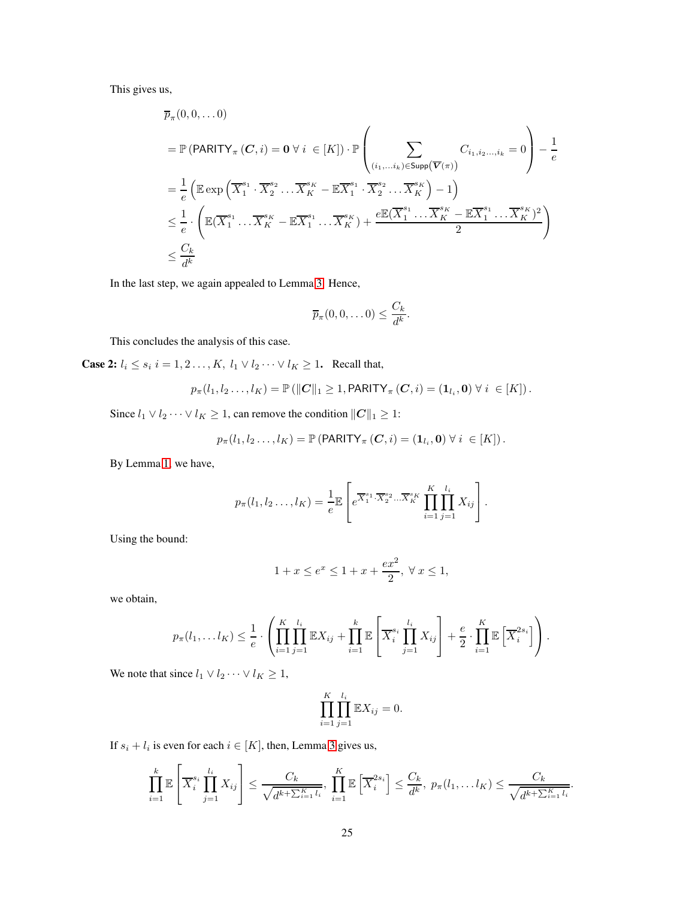This gives us,

$$
\overline{p}_{\pi}(0,0,\ldots,0)
$$
\n
$$
= \mathbb{P}(\text{PARITY}_{\pi}(\mathbf{C},i) = \mathbf{0} \,\forall\, i \in [K]) \cdot \mathbb{P}\left(\sum_{(i_1,\ldots i_k)\in \text{Supp}(\overline{\mathbf{V}}(\pi))} C_{i_1,i_2,\ldots,i_k} = 0\right) - \frac{1}{e}
$$
\n
$$
= \frac{1}{e} \left( \mathbb{E} \exp\left(\overline{X}_1^{s_1} \cdot \overline{X}_2^{s_2} \ldots \overline{X}_K^{s_K} - \mathbb{E} \overline{X}_1^{s_1} \cdot \overline{X}_2^{s_2} \ldots \overline{X}_K^{s_K} \right) - 1 \right)
$$
\n
$$
\leq \frac{1}{e} \cdot \left( \mathbb{E}(\overline{X}_1^{s_1} \ldots \overline{X}_K^{s_K} - \mathbb{E} \overline{X}_1^{s_1} \ldots \overline{X}_K^{s_K}) + \frac{e \mathbb{E}(\overline{X}_1^{s_1} \ldots \overline{X}_K^{s_K} - \mathbb{E} \overline{X}_1^{s_1} \ldots \overline{X}_K^{s_K})^2}{2} \right)
$$
\n
$$
\leq \frac{C_k}{d^k}
$$

In the last step, we again appealed to Lemma [3.](#page-20-1) Hence,

$$
\overline{p}_{\pi}(0,0,\ldots 0) \leq \frac{C_k}{d^k}.
$$

This concludes the analysis of this case.

**Case 2:**  $l_i \leq s_i$   $i = 1, 2, ..., K$ ,  $l_1 \vee l_2 \cdots \vee l_K \geq 1$ . Recall that,

$$
p_{\pi}(l_1, l_2 \ldots, l_K) = \mathbb{P}\left(\|\mathbf{C}\|_1 \geq 1, \text{PARITY}_{\pi}\left(\mathbf{C}, i\right) = (\mathbf{1}_{l_i}, \mathbf{0}) \,\forall\, i \in [K]\right).
$$

Since  $l_1 \vee l_2 \cdots \vee l_K \geq 1$ , can remove the condition  $||\mathbf{C}||_1 \geq 1$ :

$$
p_{\pi}(l_1, l_2 \ldots, l_K) = \mathbb{P}\left(\mathsf{PARITY}_{\pi}(\mathbf{C}, i) = (\mathbf{1}_{l_i}, \mathbf{0}) \,\forall\, i \in [K]\right).
$$

By Lemma [1,](#page-8-2) we have,

$$
p_{\pi}(l_1, l_2 \ldots, l_K) = \frac{1}{e} \mathbb{E} \left[ e^{\overline{X}_1^{s_1} \cdot \overline{X}_2^{s_2} \ldots \overline{X}_K^{s_K}} \prod_{i=1}^K \prod_{j=1}^{l_i} X_{ij} \right].
$$

Using the bound:

$$
1 + x \le e^x \le 1 + x + \frac{ex^2}{2}, \ \forall \ x \le 1,
$$

we obtain,

$$
p_{\pi}(l_1,\ldots l_K)\leq \frac{1}{e}\cdot\left(\prod_{i=1}^K\prod_{j=1}^{l_i}\mathbb{E} X_{ij}+\prod_{i=1}^k\mathbb{E}\left[\overline{X}_i^{s_i}\prod_{j=1}^{l_i}X_{ij}\right]+\frac{e}{2}\cdot\prod_{i=1}^K\mathbb{E}\left[\overline{X}_i^{2s_i}\right]\right).
$$

We note that since  $l_1 \vee l_2 \cdots \vee l_K \geq 1$ ,

$$
\prod_{i=1}^K \prod_{j=1}^{l_i} \mathbb{E}X_{ij} = 0.
$$

If  $s_i + l_i$  is even for each  $i \in [K]$ , then, Lemma [3](#page-20-1) gives us,

$$
\prod_{i=1}^k \mathbb{E}\left[\overline{X}_i^{s_i} \prod_{j=1}^{l_i} X_{ij}\right] \leq \frac{C_k}{\sqrt{d^{k+\sum_{i=1}^K l_i}}}, \prod_{i=1}^K \mathbb{E}\left[\overline{X}_i^{2s_i}\right] \leq \frac{C_k}{d^k}, p_{\pi}(l_1, \ldots l_K) \leq \frac{C_k}{\sqrt{d^{k+\sum_{i=1}^K l_i}}}
$$

.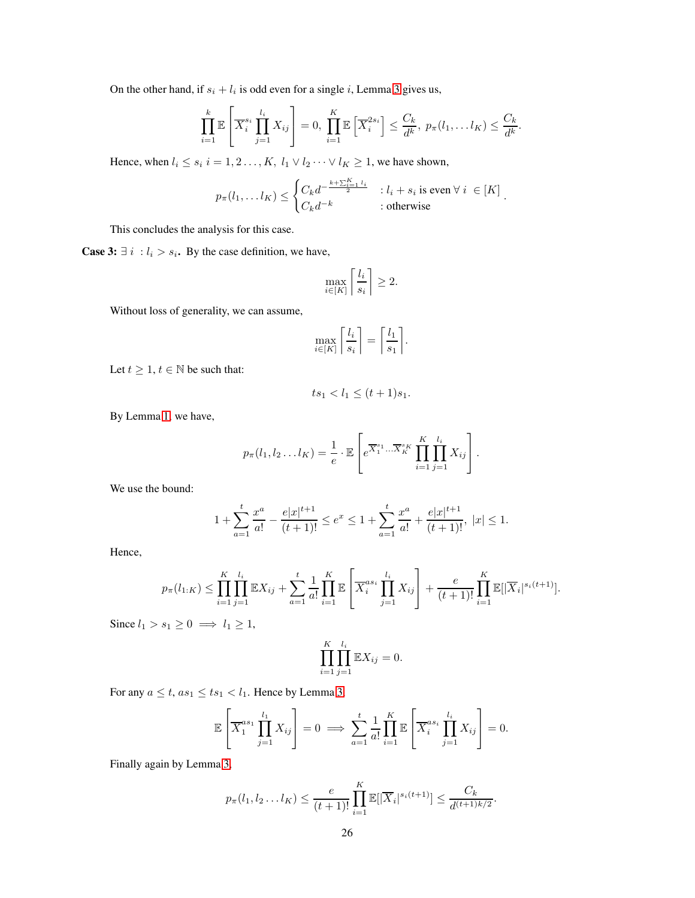On the other hand, if  $s_i + l_i$  is odd even for a single i, Lemma [3](#page-20-1) gives us,

$$
\prod_{i=1}^k \mathbb{E}\left[\overline{X}_i^{s_i} \prod_{j=1}^{l_i} X_{ij}\right] = 0, \prod_{i=1}^K \mathbb{E}\left[\overline{X}_i^{2s_i}\right] \leq \frac{C_k}{d^k}, p_{\pi}(l_1, \ldots l_K) \leq \frac{C_k}{d^k}.
$$

Hence, when  $l_i \leq s_i$   $i = 1, 2, \ldots, K$ ,  $l_1 \vee l_2 \cdots \vee l_K \geq 1$ , we have shown,

$$
p_{\pi}(l_1, \ldots l_K) \leq \begin{cases} C_k d^{-\frac{k+\sum_{i=1}^K l_i}{2}} & : l_i + s_i \text{ is even } \forall i \in [K] \\ C_k d^{-k} & : \text{otherwise} \end{cases}.
$$

This concludes the analysis for this case.

**Case 3:**  $\exists i : l_i > s_i$ . By the case definition, we have,

$$
\max_{i \in [K]} \left\lceil \frac{l_i}{s_i} \right\rceil \ge 2.
$$

Without loss of generality, we can assume,

$$
\max_{i \in [K]} \left\lceil \frac{l_i}{s_i} \right\rceil = \left\lceil \frac{l_1}{s_1} \right\rceil.
$$

Let  $t \geq 1$ ,  $t \in \mathbb{N}$  be such that:

$$
ts_1 < l_1 \le (t+1)s_1.
$$

By Lemma [1,](#page-8-2) we have,

$$
p_{\pi}(l_1, l_2 \ldots l_K) = \frac{1}{e} \cdot \mathbb{E}\left[e^{\overline{X}_1^{s_1} \ldots \overline{X}_K^{s_K}} \prod_{i=1}^K \prod_{j=1}^{l_i} X_{ij}\right].
$$

We use the bound:

$$
1 + \sum_{a=1}^{t} \frac{x^{a}}{a!} - \frac{e|x|^{t+1}}{(t+1)!} \le e^{x} \le 1 + \sum_{a=1}^{t} \frac{x^{a}}{a!} + \frac{e|x|^{t+1}}{(t+1)!}, \ |x| \le 1.
$$

Hence,

$$
p_{\pi}(l_{1:K}) \leq \prod_{i=1}^{K} \prod_{j=1}^{l_i} \mathbb{E}X_{ij} + \sum_{a=1}^{t} \frac{1}{a!} \prod_{i=1}^{K} \mathbb{E}\left[\overline{X}_i^{as_i} \prod_{j=1}^{l_i} X_{ij}\right] + \frac{e}{(t+1)!} \prod_{i=1}^{K} \mathbb{E}[|\overline{X}_i|^{s_i(t+1)}].
$$

Since  $l_1 > s_1 \geq 0 \implies l_1 \geq 1$ ,

$$
\prod_{i=1}^K \prod_{j=1}^{l_i} \mathbb{E}X_{ij} = 0.
$$

For any  $a \le t$ ,  $as_1 \le ts_1 < l_1$ . Hence by Lemma [3,](#page-20-1)

$$
\mathbb{E}\left[\overline{X}_1^{as_1}\prod_{j=1}^{l_1}X_{ij}\right]=0\implies\sum_{a=1}^t\frac{1}{a!}\prod_{i=1}^K\mathbb{E}\left[\overline{X}_i^{as_i}\prod_{j=1}^{l_i}X_{ij}\right]=0.
$$

Finally again by Lemma [3,](#page-20-1)

$$
p_{\pi}(l_1, l_2...l_K) \leq \frac{e}{(t+1)!} \prod_{i=1}^K \mathbb{E}[|\overline{X}_i|^{s_i(t+1)}] \leq \frac{C_k}{d^{(t+1)k/2}}.
$$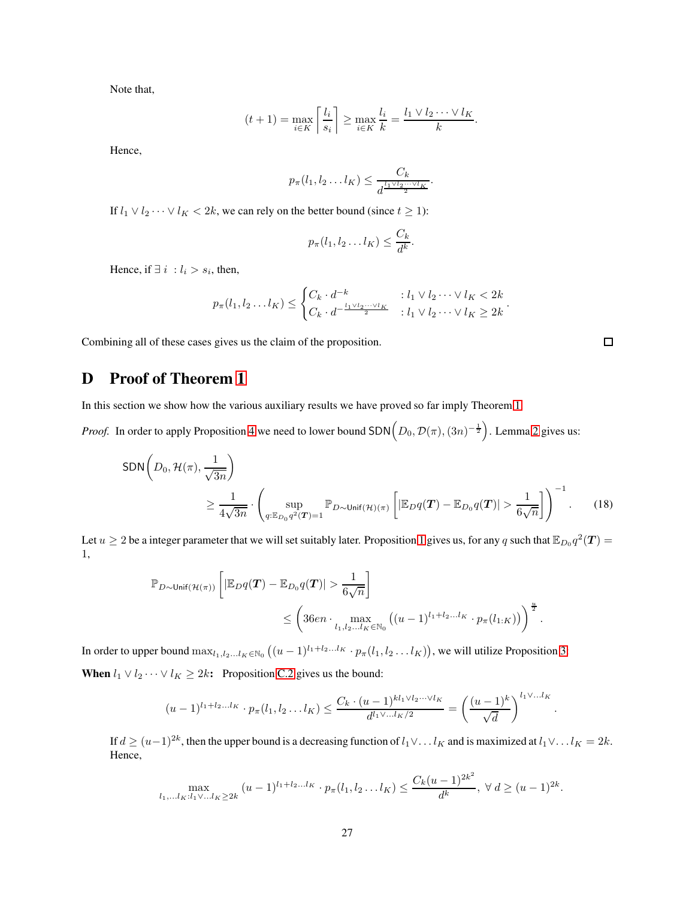Note that,

$$
(t+1) = \max_{i \in K} \left\lceil \frac{l_i}{s_i} \right\rceil \ge \max_{i \in K} \frac{l_i}{k} = \frac{l_1 \vee l_2 \cdots \vee l_K}{k}.
$$

Hence,

$$
p_{\pi}(l_1, l_2 \ldots l_K) \leq \frac{C_k}{d^{\frac{l_1 \vee l_2 \cdots \vee l_K}{2}}}.
$$

If  $l_1 \vee l_2 \cdots \vee l_K < 2k$ , we can rely on the better bound (since  $t \geq 1$ ):

$$
p_{\pi}(l_1, l_2 \dots l_K) \leq \frac{C_k}{d^k}
$$

.

Hence, if  $\exists i : l_i > s_i$ , then,

$$
p_{\pi}(l_1, l_2 \dots l_K) \leq \begin{cases} C_k \cdot d^{-k} & : l_1 \vee l_2 \dots \vee l_K < 2k \\ C_k \cdot d^{-\frac{l_1 \vee l_2 \dots \vee l_K}{2}} & : l_1 \vee l_2 \dots \vee l_K \geq 2k \end{cases}.
$$

Combining all of these cases gives us the claim of the proposition.

# <span id="page-26-0"></span>D Proof of Theorem [1](#page-3-0)

In this section we show how the various auxiliary results we have proved so far imply Theorem [1.](#page-3-0)

*Proof.* In order to apply Proposition [4](#page-14-1) we need to lower bound SDN $(D_0, \mathcal{D}(\pi), (3n)^{-\frac{1}{2}})$ . Lemma [2](#page-15-1) gives us:

$$
SDN\left(D_0, \mathcal{H}(\pi), \frac{1}{\sqrt{3n}}\right)
$$
  
\n
$$
\geq \frac{1}{4\sqrt{3n}} \cdot \left(\sup_{q:\mathbb{E}_{D_0}q^2(T)=1} \mathbb{P}_{D \sim \text{Unif}(\mathcal{H})(\pi)}\left[\left|\mathbb{E}_{D}q(T) - \mathbb{E}_{D_0}q(T)\right| > \frac{1}{6\sqrt{n}}\right]\right)^{-1}.
$$
 (18)

Let  $u \ge 2$  be a integer parameter that we will set suitably later. Proposition [1](#page-7-1) gives us, for any q such that  $\mathbb{E}_{D_0}q^2(T)$ 1,

$$
\mathbb{P}_{D \sim \text{Unif}(\mathcal{H}(\pi))} \left[ \left| \mathbb{E}_{D} q(\boldsymbol{T}) - \mathbb{E}_{D_0} q(\boldsymbol{T}) \right| > \frac{1}{6\sqrt{n}} \right] \le \left( 36en \cdot \max_{l_1, l_2, \ldots l_K \in \mathbb{N}_0} \left( (u-1)^{l_1 + l_2 \ldots l_K} \cdot p_{\pi}(l_{1:K}) \right) \right)^{\frac{u}{2}}.
$$

In order to upper bound  $\max_{l_1,l_2...l_K\in\mathbb{N}_0} ((u-1)^{l_1+l_2...l_K} \cdot p_\pi(l_1,l_2\ldots l_K)),$  we will utilize Proposition [3:](#page-9-1) **When**  $l_1 \vee l_2 \cdots \vee l_K \geq 2k$ : Proposition [C.2](#page-20-0) gives us the bound:

$$
(u-1)^{l_1+l_2...l_K} \cdot p_{\pi}(l_1, l_2...l_K) \le \frac{C_k \cdot (u-1)^{kl_1 \vee l_2... \vee l_K}}{d^{l_1 \vee ...l_K/2}} = \left(\frac{(u-1)^k}{\sqrt{d}}\right)^{l_1 \vee ...l_K}
$$

If  $d \geq (u-1)^{2k}$ , then the upper bound is a decreasing function of  $l_1 \vee \dots l_K$  and is maximized at  $l_1 \vee \dots l_K = 2k$ . Hence,

$$
\max_{l_1,\ldots,l_K: l_1\vee\ldots l_K\geq 2k} (u-1)^{l_1+l_2\ldots l_K} \cdot p_\pi(l_1,l_2\ldots l_K) \leq \frac{C_k(u-1)^{2k^2}}{d^k}, \ \forall \ d\geq (u-1)^{2k}.
$$

<span id="page-26-1"></span> $\Box$ 

.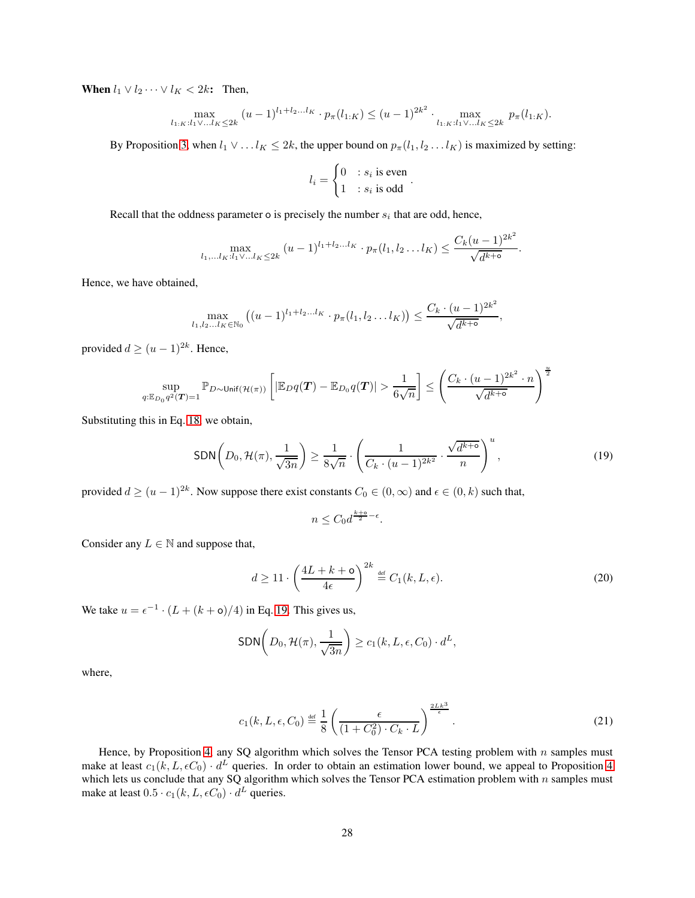When  $l_1 \vee l_2 \cdots \vee l_K < 2k$ : Then,

$$
\max_{l_{1:K}:l_1\vee\ldots l_K\leq 2k} (u-1)^{l_1+l_2\ldots l_K} \cdot p_\pi(l_{1:K}) \leq (u-1)^{2k^2} \cdot \max_{l_{1:K}:l_1\vee\ldots l_K\leq 2k} p_\pi(l_{1:K}).
$$

By Proposition [3,](#page-9-1) when  $l_1 \vee \ldots l_K \leq 2k$ , the upper bound on  $p_\pi(l_1, l_2 \ldots l_K)$  is maximized by setting:

$$
l_i = \begin{cases} 0 & : s_i \text{ is even} \\ 1 & : s_i \text{ is odd} \end{cases}.
$$

Recall that the oddness parameter o is precisely the number  $s_i$  that are odd, hence,

$$
\max_{l_1,\ldots l_K: l_1\vee\ldots l_K\leq 2k} (u-1)^{l_1+l_2\ldots l_K}\cdot p_\pi(l_1,l_2\ldots l_K)\leq \frac{C_k(u-1)^{2k^2}}{\sqrt{d^{k+{\mathbf{0}}}}}.
$$

Hence, we have obtained,

$$
\max_{l_1, l_2...l_K \in \mathbb{N}_0} \left( (u-1)^{l_1+l_2...l_K} \cdot p_\pi(l_1, l_2...l_K) \right) \le \frac{C_k \cdot (u-1)^{2k^2}}{\sqrt{d^{k+6}}},
$$

provided  $d \geq (u-1)^{2k}$ . Hence,

$$
\sup_{q:\mathbb{E}_{D_0}q^2(\boldsymbol{T})=1}\mathbb{P}_{D\sim\mathsf{Unif}(\mathcal{H}(\pi))}\left[|\mathbb{E}_{D}q(\boldsymbol{T})-\mathbb{E}_{D_0}q(\boldsymbol{T})|>\frac{1}{6\sqrt{n}}\right]\leq\left(\frac{C_k\cdot(u-1)^{2k^2}\cdot n}{\sqrt{d^{k+\mathsf{o}}}}\right)^{\frac{u}{2}}
$$

Substituting this in Eq. [18,](#page-26-1) we obtain,

$$
SDN\left(D_0, \mathcal{H}(\pi), \frac{1}{\sqrt{3n}}\right) \ge \frac{1}{8\sqrt{n}} \cdot \left(\frac{1}{C_k \cdot (u-1)^{2k^2}} \cdot \frac{\sqrt{d^{k+\sigma}}}{n}\right)^u,
$$
\n(19)

provided  $d \ge (u-1)^{2k}$ . Now suppose there exist constants  $C_0 \in (0,\infty)$  and  $\epsilon \in (0,k)$  such that,

<span id="page-27-0"></span>
$$
n \le C_0 d^{\frac{k+6}{2} - \epsilon}.
$$

Consider any  $L \in \mathbb{N}$  and suppose that,

$$
d \ge 11 \cdot \left(\frac{4L + k + \mathsf{o}}{4\epsilon}\right)^{2k} \stackrel{\text{def}}{=} C_1(k, L, \epsilon). \tag{20}
$$

We take  $u = \epsilon^{-1} \cdot (L + (k + \mathsf{o})/4)$  in Eq. [19.](#page-27-0) This gives us,

$$
\textsf{SDN}\left(D_0, \mathcal{H}(\pi), \frac{1}{\sqrt{3n}}\right) \ge c_1(k, L, \epsilon, C_0) \cdot d^L,
$$

where,

$$
c_1(k, L, \epsilon, C_0) \stackrel{\text{def}}{=} \frac{1}{8} \left( \frac{\epsilon}{(1 + C_0^2) \cdot C_k \cdot L} \right)^{\frac{2Lk^3}{\epsilon}}.
$$
 (21)

Hence, by Proposition [4,](#page-14-1) any SQ algorithm which solves the Tensor PCA testing problem with  $n$  samples must make at least  $c_1(k, L, \epsilon C_0) \cdot d^L$  queries. In order to obtain an estimation lower bound, we appeal to Proposition [4](#page-14-1) which lets us conclude that any SQ algorithm which solves the Tensor PCA estimation problem with  $n$  samples must make at least  $0.5 \cdot c_1(k, L, \epsilon C_0) \cdot d^L$  queries.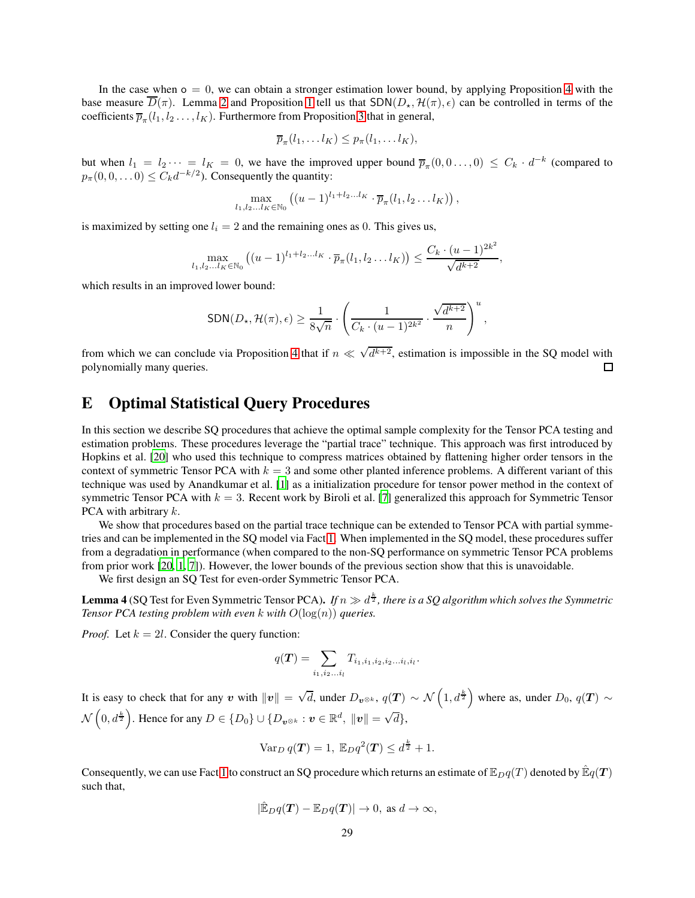In the case when  $o = 0$ , we can obtain a stronger estimation lower bound, by applying Proposition [4](#page-14-1) with the base measure  $\overline{D}(\pi)$ . Lemma [2](#page-15-1) and Proposition [1](#page-7-1) tell us that  $SDN(D_{\star}, \mathcal{H}(\pi), \epsilon)$  can be controlled in terms of the coefficients  $\overline{p}_{\pi}(l_1, l_2 \ldots, l_K)$ . Furthermore from Proposition [3](#page-9-1) that in general,

$$
\overline{p}_{\pi}(l_1,\ldots l_K)\leq p_{\pi}(l_1,\ldots l_K),
$$

but when  $l_1 = l_2 \cdots = l_K = 0$ , we have the improved upper bound  $\overline{p}_{\pi}(0,0,\ldots,0) \leq C_k \cdot d^{-k}$  (compared to  $p_{\pi}(0,0,\ldots,0) \leq C_k d^{-k/2}$ ). Consequently the quantity:

$$
\max_{l_1,l_2...l_K\in\mathbb{N}_0}\left((u-1)^{l_1+l_2...l_K}\cdot\overline{p}_{\pi}(l_1,l_2...l_K)\right),\,
$$

is maximized by setting one  $l_i = 2$  and the remaining ones as 0. This gives us,

$$
\max_{l_1, l_2...l_K \in \mathbb{N}_0} ((u-1)^{l_1+l_2...l_K} \cdot \overline{p}_{\pi}(l_1, l_2...l_K)) \le \frac{C_k \cdot (u-1)^{2k^2}}{\sqrt{d^{k+2}}},
$$

which results in an improved lower bound:

$$
SDN(D_{\star}, \mathcal{H}(\pi), \epsilon) \ge \frac{1}{8\sqrt{n}} \cdot \left(\frac{1}{C_k \cdot (u-1)^{2k^2}} \cdot \frac{\sqrt{d^{k+2}}}{n}\right)^u,
$$

from which we can conclude via Proposition [4](#page-14-1) that if  $n \ll \sqrt{d^{k+2}}$ , estimation is impossible in the SQ model with polynomially many queries.  $\Box$ 

# <span id="page-28-0"></span>E Optimal Statistical Query Procedures

In this section we describe SQ procedures that achieve the optimal sample complexity for the Tensor PCA testing and estimation problems. These procedures leverage the "partial trace" technique. This approach was first introduced by Hopkins et al. [\[20](#page-38-9)] who used this technique to compress matrices obtained by flattening higher order tensors in the context of symmetric Tensor PCA with  $k = 3$  and some other planted inference problems. A different variant of this technique was used by Anandkumar et al. [\[1\]](#page-37-5) as a initialization procedure for tensor power method in the context of symmetric Tensor PCA with  $k = 3$ . Recent work by Biroli et al. [\[7\]](#page-38-15) generalized this approach for Symmetric Tensor PCA with arbitrary k.

We show that procedures based on the partial trace technique can be extended to Tensor PCA with partial symmetries and can be implemented in the SQ model via Fact [1.](#page-9-0) When implemented in the SQ model, these procedures suffer from a degradation in performance (when compared to the non-SQ performance on symmetric Tensor PCA problems from prior work [\[20,](#page-38-9) [1,](#page-37-5) [7\]](#page-38-15)). However, the lower bounds of the previous section show that this is unavoidable.

We first design an SQ Test for even-order Symmetric Tensor PCA.

<span id="page-28-1"></span>**Lemma 4** (SQ Test for Even Symmetric Tensor PCA). *If*  $n \gg d^{\frac{k}{2}}$ , there is a SQ algorithm which solves the Symmetric *Tensor PCA testing problem with even* k *with*  $O(log(n))$  *queries.* 

*Proof.* Let  $k = 2l$ . Consider the query function:

$$
q(\mathbf{T}) = \sum_{i_1, i_2...i_l} T_{i_1, i_1, i_2, i_2...i_l, i_l}.
$$

It is easy to check that for any v with  $||v|| = \sqrt{d}$ , under  $D_{\boldsymbol{v}^{\otimes k}}$ ,  $q(\boldsymbol{T}) \sim \mathcal{N}\left(1, d^{\frac{k}{2}}\right)$  where as, under  $D_0$ ,  $q(\boldsymbol{T}) \sim$  $\mathcal{N}\left(0, d^{\frac{k}{2}}\right)$ . Hence for any  $D \in \{D_0\} \cup \{D_{\bm{v}^{\otimes k}} : \bm{v} \in \mathbb{R}^d, \ \|\bm{v}\| = \sqrt{d}\},$ 

$$
\operatorname{Var}_D q(\boldsymbol{T}) = 1, \ \mathbb{E}_D q^2(\boldsymbol{T}) \le d^{\frac{k}{2}} + 1.
$$

Consequently, we can use Fact [1](#page-9-0) to construct an SQ procedure which returns an estimate of  $\mathbb{E}_D q(T)$  denoted by  $\mathbb{E}_q(T)$ such that,

$$
|\hat{\mathbb{E}}_D q(T) - \mathbb{E}_D q(T)| \to 0, \text{ as } d \to \infty,
$$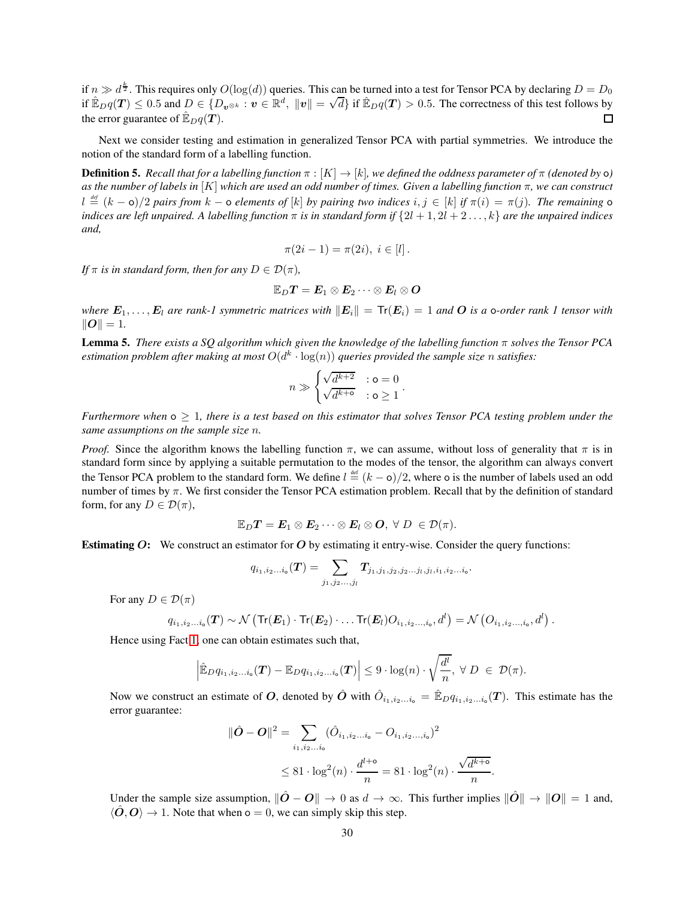if  $n \gg d^{\frac{k}{2}}$ . This requires only  $O(\log(d))$  queries. This can be turned into a test for Tensor PCA by declaring  $D = D_0$ if  $\mathbb{E}_{D}q(T) \leq 0.5$  and  $D \in \{D_{\mathbf{v}^{\otimes k}} : \mathbf{v} \in \mathbb{R}^d, ||\mathbf{v}|| = \sqrt{d}\}$  if  $\mathbb{E}_{D}q(T) > 0.5$ . The correctness of this test follows by the error guarantee of  $\mathbb{E}_D q(\mathbf{T})$ .

Next we consider testing and estimation in generalized Tensor PCA with partial symmetries. We introduce the notion of the standard form of a labelling function.

**Definition 5.** *Recall that for a labelling function*  $\pi$  :  $[K] \to [k]$ *, we defined the oddness parameter of*  $\pi$  *(denoted by*  $\circ$ ) *as the number of labels in* [K] *which are used an odd number of times. Given a labelling function* π*, we can construct*  $l \stackrel{\text{\tiny def}}{=} (k - \mathsf{o})/2$  pairs from  $k - \mathsf{o}$  elements of  $[k]$  by pairing two indices  $i, j \in [k]$  if  $\pi(i) = \pi(j)$ . The remaining  $\mathsf{o}$ *indices are left unpaired.* A labelling function  $\pi$  is in standard form if  $\{2l + 1, 2l + 2 \ldots, k\}$  *are the unpaired indices and,*

$$
\pi(2i-1) = \pi(2i), \ i \in [l].
$$

*If*  $\pi$  *is in standard form, then for any*  $D \in \mathcal{D}(\pi)$ *,* 

$$
\mathbb{E}_D \boldsymbol{T} = \boldsymbol{E}_1 \otimes \boldsymbol{E}_2 \cdots \otimes \boldsymbol{E}_l \otimes \boldsymbol{O}
$$

*where*  $E_1, \ldots, E_l$  are rank-1 symmetric matrices with  $||E_i|| = \text{Tr}(E_i) = 1$  and O is a o-order rank 1 tensor with  $||O|| = 1.$ 

Lemma 5. *There exists a SQ algorithm which given the knowledge of the labelling function* π *solves the Tensor PCA* estimation problem after making at most  $O(d^k \cdot \log(n))$  queries provided the sample size  $n$  satisfies:

$$
n \gg \begin{cases} \sqrt{d^{k+2}} & : \mathsf{o} = 0 \\ \sqrt{d^{k+\mathsf{o}}} & : \mathsf{o} \geq 1 \end{cases}.
$$

*Furthermore when*  $o \geq 1$ , there is a test based on this estimator that solves Tensor PCA testing problem under the *same assumptions on the sample size* n*.*

*Proof.* Since the algorithm knows the labelling function  $\pi$ , we can assume, without loss of generality that  $\pi$  is in standard form since by applying a suitable permutation to the modes of the tensor, the algorithm can always convert the Tensor PCA problem to the standard form. We define  $l \triangleq (k - \mathsf{o})/2$ , where  $\mathsf{o}$  is the number of labels used an odd number of times by  $\pi$ . We first consider the Tensor PCA estimation problem. Recall that by the definition of standard form, for any  $D \in \mathcal{D}(\pi)$ ,

$$
\mathbb{E}_D \boldsymbol{T} = \boldsymbol{E}_1 \otimes \boldsymbol{E}_2 \cdots \otimes \boldsymbol{E}_l \otimes \boldsymbol{O}, \ \forall \ D \ \in \mathcal{D}(\pi).
$$

**Estimating O:** We construct an estimator for O by estimating it entry-wise. Consider the query functions:

$$
q_{i_1,i_2...i_{\mathsf{o}}}(\boldsymbol{T}) = \sum_{j_1,j_2...j_l} \boldsymbol{T}_{j_1,j_1,j_2,j_2...j_l,j_l,i_1,i_2...i_{\mathsf{o}}}.
$$

For any  $D \in \mathcal{D}(\pi)$ 

$$
q_{i_1,i_2...i_o}(T) \sim \mathcal{N}\left(\text{Tr}(\bm{E}_1) \cdot \text{Tr}(\bm{E}_2) \cdot \ldots \text{Tr}(\bm{E}_l) O_{i_1,i_2...,i_o}, d^l\right) = \mathcal{N}\left(O_{i_1,i_2...,i_o}, d^l\right).
$$

Hence using Fact [1,](#page-9-0) one can obtain estimates such that,

$$
\left|\hat{\mathbb{E}}_D q_{i_1,i_2...i_o}(\boldsymbol{T}) - \mathbb{E}_D q_{i_1,i_2...i_o}(\boldsymbol{T})\right| \leq 9 \cdot \log(n) \cdot \sqrt{\frac{d^l}{n}}, \ \forall \ D \ \in \ \mathcal{D}(\pi).
$$

Now we construct an estimate of O, denoted by  $\hat{O}$  with  $\hat{O}_{i_1,i_2...i_o} = \hat{E}_D q_{i_1,i_2...i_o}(T)$ . This estimate has the error guarantee:

$$
\|\hat{\bm{O}} - \bm{O}\|^2 = \sum_{i_1, i_2...i_0} (\hat{O}_{i_1, i_2...i_0} - O_{i_1, i_2...,i_0})^2
$$
  
 
$$
\leq 81 \cdot \log^2(n) \cdot \frac{d^{l+0}}{n} = 81 \cdot \log^2(n) \cdot \frac{\sqrt{d^{k+0}}}{n}.
$$

Under the sample size assumption,  $\|\hat{O} - O\| \to 0$  as  $d \to \infty$ . This further implies  $\|\hat{O}\| \to \|O\| = 1$  and,  $\langle \hat{O}, O \rangle \rightarrow 1$ . Note that when  $o = 0$ , we can simply skip this step.

.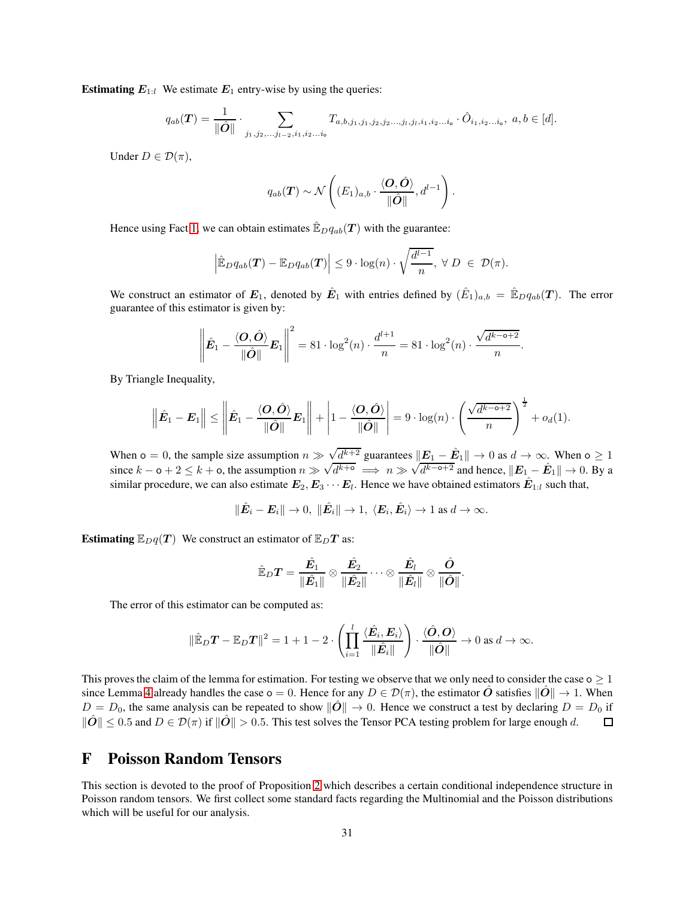**Estimating**  $E_{1:l}$  We estimate  $E_1$  entry-wise by using the queries:

$$
q_{ab}(\boldsymbol{T}) = \frac{1}{\|\hat{\boldsymbol{O}}\|} \cdot \sum_{j_1, j_2, \dots, j_{l-2}, i_1, i_2, \dots, i_6} T_{a, b, j_1, j_1, j_2, j_2, \dots, j_l, j_l, i_1, i_2, \dots, i_6} \cdot \hat{O}_{i_1, i_2, \dots, i_6}, \ a, b \in [d].
$$

Under  $D \in \mathcal{D}(\pi)$ ,

$$
q_{ab}(\boldsymbol{T}) \sim \mathcal{N}\left((E_1)_{a,b} \cdot \frac{\langle \boldsymbol{O}, \hat{\boldsymbol{O}} \rangle}{\|\hat{\boldsymbol{O}}\|}, d^{l-1}\right).
$$

Hence using Fact [1,](#page-9-0) we can obtain estimates  $\mathbb{E}_{D}q_{ab}(T)$  with the guarantee:

$$
\left|\hat{\mathbb{E}}_D q_{ab}(\boldsymbol{T}) - \mathbb{E}_D q_{ab}(\boldsymbol{T})\right| \leq 9 \cdot \log(n) \cdot \sqrt{\frac{d^{l-1}}{n}}, \ \forall \ D \ \in \ \mathcal{D}(\pi).
$$

We construct an estimator of  $E_1$ , denoted by  $\hat{E}_1$  with entries defined by  $(\hat{E}_1)_{a,b} = \hat{E}_D q_{ab}(T)$ . The error guarantee of this estimator is given by:

$$
\left\|\hat{\boldsymbol{E}}_1-\frac{\langle \boldsymbol{O},\hat{\boldsymbol{O}}\rangle}{\|\hat{\boldsymbol{O}}\|}\boldsymbol{E}_1\right\|^2=81\cdot\log^2(n)\cdot\frac{d^{l+1}}{n}=81\cdot\log^2(n)\cdot\frac{\sqrt{d^{k-\circ+2}}}{n}.
$$

By Triangle Inequality,

$$
\left\|\hat{E}_1 - \boldsymbol{E}_1\right\| \le \left\|\hat{E}_1 - \frac{\langle \boldsymbol{O}, \hat{\boldsymbol{O}} \rangle}{\|\hat{\boldsymbol{O}}\|} \boldsymbol{E}_1\right\| + \left|1 - \frac{\langle \boldsymbol{O}, \hat{\boldsymbol{O}} \rangle}{\|\hat{\boldsymbol{O}}\|}\right| = 9 \cdot \log(n) \cdot \left(\frac{\sqrt{d^{k-\alpha+2}}}{n}\right)^{\frac{1}{2}} + o_d(1).
$$

When  $\infty = 0$ , the sample size assumption  $n \gg \sqrt{d^{k+2}}$  guarantees  $\|\mathbf{E}_1 - \hat{\mathbf{E}}_1\| \to 0$  as  $d \to \infty$ . When  $\infty \ge 1$ since  $k - 0 + 2 \le k + 0$ , the assumption  $n \gg \sqrt{d^{k+0}} \implies n \gg \sqrt{d^{k-0+2}}$  and hence,  $||E_1 - \hat{E}_1|| \to 0$ . By a similar procedure, we can also estimate  $E_2, E_3 \cdots E_l$ . Hence we have obtained estimators  $\hat{E}_{1:l}$  such that,

$$
\|\hat{\boldsymbol{E}}_i-\boldsymbol{E}_i\|\to 0, \ \|\hat{\boldsymbol{E}}_i\|\to 1, \ \langle \boldsymbol{E}_i,\hat{\boldsymbol{E}}_i\rangle\to 1 \text{ as } d\to \infty.
$$

**Estimating**  $\mathbb{E}_D q(T)$  We construct an estimator of  $\mathbb{E}_D T$  as:

$$
\hat{\mathbb{E}}_D \boldsymbol{T} = \frac{\hat{\boldsymbol{E}_1}}{\|\hat{\boldsymbol{E}_1}\|} \otimes \frac{\hat{\boldsymbol{E}_2}}{\|\hat{\boldsymbol{E}_2}\|} \cdots \otimes \frac{\hat{\boldsymbol{E}_l}}{\|\hat{\boldsymbol{E}_l}\|} \otimes \frac{\hat{\boldsymbol{O}}}{\|\hat{\boldsymbol{O}}\|}.
$$

The error of this estimator can be computed as:

$$
\|\hat{\mathbb{E}}_D \boldsymbol{T} - \mathbb{E}_D \boldsymbol{T}\|^2 = 1 + 1 - 2 \cdot \left( \prod_{i=1}^l \frac{\langle \hat{\boldsymbol{E}}_i, \boldsymbol{E}_i \rangle}{\|\hat{\boldsymbol{E}}_i\|} \right) \cdot \frac{\langle \hat{\boldsymbol{O}}, \boldsymbol{O} \rangle}{\|\hat{\boldsymbol{O}}\|} \to 0 \text{ as } d \to \infty.
$$

This proves the claim of the lemma for estimation. For testing we observe that we only need to consider the case  $\infty \ge 1$ since Lemma [4](#page-28-1) already handles the case  $o = 0$ . Hence for any  $D \in \mathcal{D}(\pi)$ , the estimator  $\hat{O}$  satisfies  $\|\hat{O}\| \to 1$ . When  $D = D_0$ , the same analysis can be repeated to show  $\|\hat{O}\| \to 0$ . Hence we construct a test by declaring  $D = D_0$  if  $\|\hat{O}\| < 0.5$  and  $D \in \mathcal{D}(\pi)$  if  $\|\hat{O}\| > 0.5$ . This test solves the Tensor PCA testing problem for  $\|\hat{O}\| \leq 0.5$  and  $D \in \mathcal{D}(\pi)$  if  $\|\hat{O}\| > 0.5$ . This test solves the Tensor PCA testing problem for large enough d.

# <span id="page-30-0"></span>F Poisson Random Tensors

This section is devoted to the proof of Proposition [2](#page-8-1) which describes a certain conditional independence structure in Poisson random tensors. We first collect some standard facts regarding the Multinomial and the Poisson distributions which will be useful for our analysis.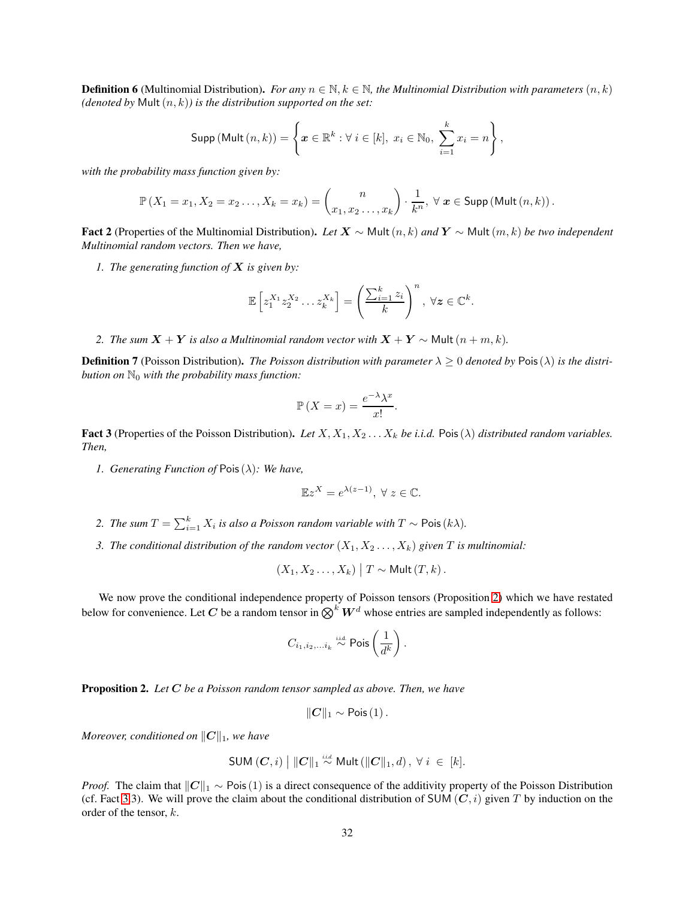**Definition 6** (Multinomial Distribution). *For any*  $n \in \mathbb{N}$ ,  $k \in \mathbb{N}$ , the Multinomial Distribution with parameters  $(n, k)$ *(denoted by Mult* $(n, k)$ *) is the distribution supported on the set:* 

$$
\mathsf{Supp}\left(\mathsf{Mult}\left(n,k\right)\right)=\left\{\boldsymbol{x}\in\mathbb{R}^{k}:\forall\ i\in\left[k\right],\ x_{i}\in\mathbb{N}_{0},\ \sum_{i=1}^{k}x_{i}=n\right\},\right
$$

*with the probability mass function given by:*

$$
\mathbb{P}\left(X_1 = x_1, X_2 = x_2 \dots, X_k = x_k\right) = \binom{n}{x_1, x_2 \dots, x_k} \cdot \frac{1}{k^n}, \forall \mathbf{x} \in \mathsf{Supp}\left(\mathsf{Mult}\left(n, k\right)\right).
$$

<span id="page-31-1"></span>Fact 2 (Properties of the Multinomial Distribution). *Let* X ∼ Mult(n, k) *and* Y ∼ Mult(m, k) *be two independent Multinomial random vectors. Then we have,*

*1. The generating function of* X *is given by:*

$$
\mathbb{E}\left[z_1^{X_1}z_2^{X_2}\ldots z_k^{X_k}\right] = \left(\frac{\sum_{i=1}^k z_i}{k}\right)^n, \ \forall z \in \mathbb{C}^k.
$$

*2. The sum*  $X + Y$  *is also a Multinomial random vector with*  $X + Y ∘ Mult(n + m, k)$ *.* 

<span id="page-31-0"></span>**Definition 7** (Poisson Distribution). *The Poisson distribution with parameter*  $\lambda \geq 0$  *denoted by* Pois ( $\lambda$ ) *is the distribution on* N<sup>0</sup> *with the probability mass function:*

$$
\mathbb{P}\left(X = x\right) = \frac{e^{-\lambda}\lambda^x}{x!}.
$$

<span id="page-31-2"></span>Fact 3 (Properties of the Poisson Distribution). Let  $X, X_1, X_2, \ldots, X_k$  be *i.i.d.* Pois $(\lambda)$  *distributed random variables. Then,*

*1. Generating Function of* Pois(λ)*: We have,*

$$
\mathbb{E}z^X = e^{\lambda(z-1)}, \ \forall \ z \in \mathbb{C}.
$$

- *2. The sum*  $T = \sum_{i=1}^{k} X_i$  *is also a Poisson random variable with*  $T \sim$  Pois $(k\lambda)$ *.*
- *3. The conditional distribution of the random vector*  $(X_1, X_2, \ldots, X_k)$  *given*  $T$  *is multinomial:*

$$
(X_1, X_2 \ldots, X_k) | T \sim \mathsf{Mult}(T, k).
$$

We now prove the conditional independence property of Poisson tensors (Proposition [2\)](#page-8-1) which we have restated below for convenience. Let C be a random tensor in  $\bigotimes^k W^d$  whose entries are sampled independently as follows:

$$
C_{i_1,i_2,\ldots i_k} \overset{\text{i.i.d.}}{\sim} \mathsf{Pois}\left(\frac{1}{d^k}\right).
$$

Proposition 2. *Let* C *be a Poisson random tensor sampled as above. Then, we have*

$$
||\mathbf{C}||_1 \sim \text{Pois}(1).
$$

*Moreover, conditioned on*  $||C||_1$ *, we have* 

SUM 
$$
(C, i) ||C||_1 \stackrel{iid}{\sim} \text{Mult} (||C||_1, d), \forall i \in [k].
$$

*Proof.* The claim that  $||C||_1 \sim$  Pois(1) is a direct consequence of the additivity property of the Poisson Distribution (cf. Fact [3.](#page-31-2)3). We will prove the claim about the conditional distribution of SUM  $(C, i)$  given T by induction on the order of the tensor, k.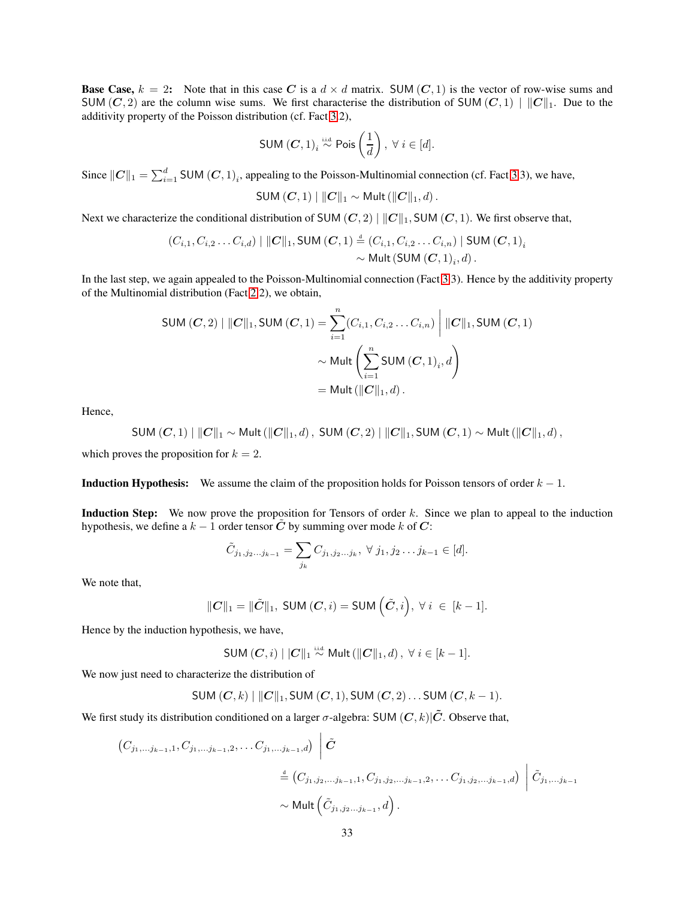**Base Case,**  $k = 2$ : Note that in this case C is a  $d \times d$  matrix. SUM (C, 1) is the vector of row-wise sums and SUM (C, 2) are the column wise sums. We first characterise the distribution of SUM (C, 1)  $||C||_1$ . Due to the additivity property of the Poisson distribution (cf. Fact [3.](#page-31-2)2),

SUM 
$$
(C, 1)
$$
<sub>i</sub>  $\stackrel{\text{i.i.d.}}{\sim}$  Pois  $\left(\frac{1}{d}\right)$ ,  $\forall i \in [d]$ .

Since  $||C||_1 = \sum_{i=1}^d$  SUM  $(C, 1)_i$ , appealing to the Poisson-Multinomial connection (cf. Fact [3.](#page-31-2)3), we have,

SUM 
$$
(C, 1) \mid ||C||_1 \sim \text{Mult} (||C||_1, d)
$$
.

Next we characterize the conditional distribution of SUM  $(C, 2) ||C||_1$ , SUM  $(C, 1)$ . We first observe that,

$$
(C_{i,1}, C_{i,2}... C_{i,d}) \mid ||C||_1, \text{SUM}(C, 1) \stackrel{d}{=} (C_{i,1}, C_{i,2}... C_{i,n}) \mid \text{SUM}(C, 1)_i
$$
  
~ $\sim \text{Mult}(\text{SUM}(C, 1)_i, d)$ .

In the last step, we again appealed to the Poisson-Multinomial connection (Fact [3.](#page-31-2)3). Hence by the additivity property of the Multinomial distribution (Fact [2.](#page-31-1)2), we obtain,

SUM 
$$
(C, 2) | ||C||_1
$$
, SUM  $(C, 1) = \sum_{i=1}^{n} (C_{i,1}, C_{i,2} \dots C_{i,n}) | ||C||_1$ , SUM  $(C, 1)$   
 $\sim$  Mult  $\left(\sum_{i=1}^{n} \text{SUM } (C, 1)_i, d\right)$   
 $=$  Mult  $(||C||_1, d)$ .

Hence,

SUM 
$$
(C,1)
$$
  $||C||_1 \sim$  Mult  $(||C||_1,d)$ , SUM  $(C,2)$   $||C||_1$ , SUM  $(C,1) \sim$  Mult  $(||C||_1,d)$ ,

which proves the proposition for  $k = 2$ .

**Induction Hypothesis:** We assume the claim of the proposition holds for Poisson tensors of order  $k - 1$ .

Induction Step: We now prove the proposition for Tensors of order k. Since we plan to appeal to the induction hypothesis, we define a  $k - 1$  order tensor C by summing over mode k of C:

$$
\tilde{C}_{j_1,j_2...j_{k-1}} = \sum_{j_k} C_{j_1,j_2...j_k}, \ \forall \ j_1,j_2...j_{k-1} \in [d].
$$

We note that,

$$
\|C\|_1 = \|\tilde{C}\|_1, \text{ SUM}(C,i) = \text{SUM}\left(\tilde{C},i\right), \,\forall\, i\, \in\, [k-1].
$$

Hence by the induction hypothesis, we have,

SUM 
$$
(C, i) ||C||_1 \stackrel{\text{i.i.d.}}{\sim} \text{Mult}(||C||_1, d), \ \forall \ i \in [k-1].
$$

We now just need to characterize the distribution of

SUM 
$$
(C, k)
$$
 ||  $||C||_1$ , SUM  $(C, 1)$ , SUM  $(C, 2)$ ...SUM  $(C, k - 1)$ .

We first study its distribution conditioned on a larger  $\sigma$ -algebra: SUM  $(C, k)|\tilde{C}$ . Observe that,

$$
\begin{aligned}\n\left(C_{j_1,\dots,j_{k-1},1},C_{j_1,\dots,j_{k-1},2},\dots C_{j_1,\dots,j_{k-1},d}\right) & \left|\tilde{C}\right. \\
&\stackrel{\text{d}}{=} \left(C_{j_1,j_2,\dots,j_{k-1},1},C_{j_1,j_2,\dots,j_{k-1},2},\dots C_{j_1,j_2,\dots,j_{k-1},d}\right) & \left|\tilde{C}_{j_1,\dots,j_{k-1},d}\right.\n\end{aligned}
$$
\n
$$
\sim \text{Mult}\left(\tilde{C}_{j_1,j_2,\dots,j_{k-1}},d\right).
$$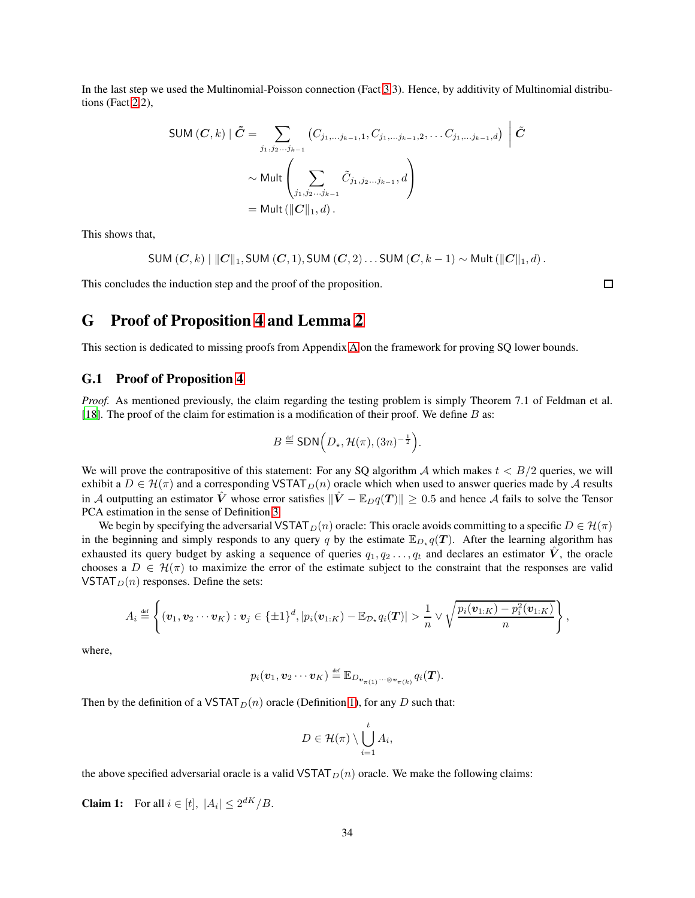In the last step we used the Multinomial-Poisson connection (Fact [3.](#page-31-2)3). Hence, by additivity of Multinomial distributions (Fact [2.](#page-31-1)2),

SUM 
$$
(C, k)
$$
  $| \tilde{C} = \sum_{j_1, j_2...j_{k-1}} (C_{j_1,...j_{k-1},1}, C_{j_1,...j_{k-1},2}, \ldots C_{j_1,...j_{k-1},d}) | \tilde{C}$   
 $\sim \text{Mult} \left( \sum_{j_1, j_2...j_{k-1}} \tilde{C}_{j_1,j_2...j_{k-1}}, d \right)$   
 $= \text{Mult } (||C||_1, d).$ 

This shows that,

 $\mathsf{SUM}\left(\mathbf{C}, k\right) \mid \|\mathbf{C}\|_1, \mathsf{SUM}\left(\mathbf{C}, 1\right), \mathsf{SUM}\left(\mathbf{C}, 2\right) \ldots \mathsf{SUM}\left(\mathbf{C}, k-1\right) \sim \mathsf{Multi}\left(\|\mathbf{C}\|_1, d\right).$ 

<span id="page-33-0"></span>This concludes the induction step and the proof of the proposition.

 $\Box$ 

# G Proof of Proposition [4](#page-14-1) and Lemma [2](#page-15-1)

This section is dedicated to missing proofs from Appendix [A](#page-14-0) on the framework for proving SQ lower bounds.

#### G.1 Proof of Proposition [4](#page-14-1)

*Proof.* As mentioned previously, the claim regarding the testing problem is simply Theorem 7.1 of Feldman et al. [\[18](#page-38-0)]. The proof of the claim for estimation is a modification of their proof. We define  $B$  as:

$$
B \stackrel{\text{def}}{=} \text{SDN}\Big(D_{\star}, \mathcal{H}(\pi), (3n)^{-\frac{1}{2}}\Big).
$$

We will prove the contrapositive of this statement: For any SQ algorithm A which makes  $t < B/2$  queries, we will exhibit a  $D \in \mathcal{H}(\pi)$  and a corresponding VSTAT $_D(n)$  oracle which when used to answer queries made by A results in A outputting an estimator  $\hat{V}$  whose error satisfies  $\|\hat{V} - \mathbb{E}_D q(T)\| \geq 0.5$  and hence A fails to solve the Tensor PCA estimation in the sense of Definition [3.](#page-3-3)

We begin by specifying the adversarial VSTAT $_D(n)$  oracle: This oracle avoids committing to a specific  $D \in \mathcal{H}(\pi)$ in the beginning and simply responds to any query q by the estimate  $\mathbb{E}_{D_{\star}}q(T)$ . After the learning algorithm has exhausted its query budget by asking a sequence of queries  $q_1, q_2, \ldots, q_t$  and declares an estimator  $\hat{V}$ , the oracle chooses a  $D \in \mathcal{H}(\pi)$  to maximize the error of the estimate subject to the constraint that the responses are valid VSTAT $_D(n)$  responses. Define the sets:

$$
A_i \stackrel{\text{def}}{=} \left\{ (\boldsymbol{v}_1, \boldsymbol{v}_2 \cdots \boldsymbol{v}_K) : \boldsymbol{v}_j \in \{\pm 1\}^d, |p_i(\boldsymbol{v}_{1:K}) - \mathbb{E}_{\mathcal{D}_*} q_i(\boldsymbol{T})| > \frac{1}{n} \vee \sqrt{\frac{p_i(\boldsymbol{v}_{1:K}) - p_i^2(\boldsymbol{v}_{1:K})}{n}} \right\},
$$

where,

$$
p_i(\boldsymbol{v}_1, \boldsymbol{v}_2 \cdots \boldsymbol{v}_K) \stackrel{\text{\tiny def}}{=} \mathbb{E}_{D_{\boldsymbol{v}_{\boldsymbol{\pi}(1)}} \cdots \otimes \boldsymbol{v}_{\boldsymbol{\pi}(k)}} q_i(\boldsymbol{T}).
$$

Then by the definition of a VSTAT $_D(n)$  oracle (Definition [1\)](#page-2-0), for any D such that:

$$
D\in\mathcal{H}(\pi)\setminus\bigcup_{i=1}^tA_i,
$$

the above specified adversarial oracle is a valid VSTAT $_D(n)$  oracle. We make the following claims:

**Claim 1:** For all  $i \in [t]$ ,  $|A_i| \leq 2^{dK}/B$ .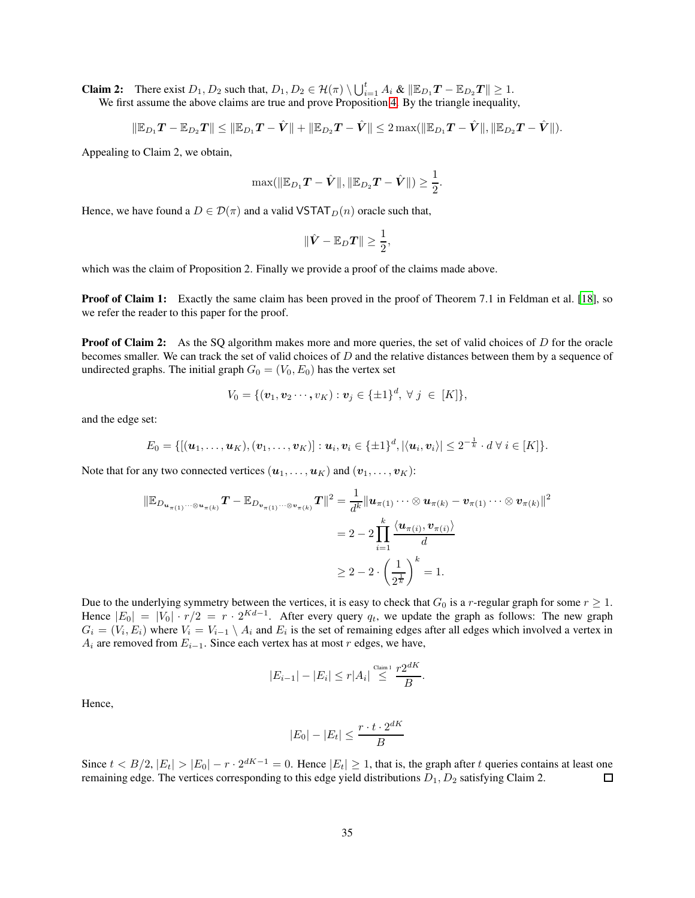**Claim 2:** There exist  $D_1, D_2$  such that,  $D_1, D_2 \in \mathcal{H}(\pi) \setminus \bigcup_{i=1}^t A_i \& \|\mathbb{E}_{D_1}T - \mathbb{E}_{D_2}T\| \geq 1$ .

We first assume the above claims are true and prove Proposition [4.](#page-14-1) By the triangle inequality,

$$
\|\mathbb{E}_{D_1}T - \mathbb{E}_{D_2}T\| \le \|\mathbb{E}_{D_1}T - \hat{V}\| + \|\mathbb{E}_{D_2}T - \hat{V}\| \le 2 \max(\|\mathbb{E}_{D_1}T - \hat{V}\|, \|\mathbb{E}_{D_2}T - \hat{V}\|).
$$

Appealing to Claim 2, we obtain,

$$
\max(||\mathbb{E}_{D_1}T - \hat{V}||, ||\mathbb{E}_{D_2}T - \hat{V}||) \ge \frac{1}{2}.
$$

Hence, we have found a  $D \in \mathcal{D}(\pi)$  and a valid VSTAT  $_D(n)$  oracle such that,

$$
\|\hat{\bm{V}} - \mathbb{E}_D\bm{T}\| \geq \frac{1}{2},
$$

which was the claim of Proposition 2. Finally we provide a proof of the claims made above.

**Proof of Claim 1:** Exactly the same claim has been proved in the proof of Theorem 7.1 in Feldman et al. [\[18](#page-38-0)], so we refer the reader to this paper for the proof.

**Proof of Claim 2:** As the SQ algorithm makes more and more queries, the set of valid choices of D for the oracle becomes smaller. We can track the set of valid choices of  $D$  and the relative distances between them by a sequence of undirected graphs. The initial graph  $G_0 = (V_0, E_0)$  has the vertex set

$$
V_0 = \{(\mathbf{v}_1, \mathbf{v}_2 \cdots, \mathbf{v}_K) : \mathbf{v}_j \in \{\pm 1\}^d, \ \forall \ j \ \in \ [K]\},\
$$

and the edge set:

$$
E_0 = \{[(\boldsymbol{u}_1,\ldots,\boldsymbol{u}_K),(\boldsymbol{v}_1,\ldots,\boldsymbol{v}_K)] : \boldsymbol{u}_i, \boldsymbol{v}_i \in \{\pm 1\}^d, |\langle \boldsymbol{u}_i, \boldsymbol{v}_i \rangle| \leq 2^{-\frac{1}{k}} \cdot d \ \forall \ i \in [K] \}.
$$

Note that for any two connected vertices  $(\boldsymbol{u}_1, \dots, \boldsymbol{u}_K)$  and  $(\boldsymbol{v}_1, \dots, \boldsymbol{v}_K)$ :

$$
\|\mathbb{E}_{D_{\mathbf{u}_{\pi(1)}}\cdots\otimes\mathbf{u}_{\pi(k)}}\boldsymbol{T} - \mathbb{E}_{D_{\mathbf{v}_{\pi(1)}}\cdots\otimes\mathbf{v}_{\pi(k)}}\boldsymbol{T}\|^2 = \frac{1}{d^k}\|\boldsymbol{u}_{\pi(1)}\cdots\otimes\boldsymbol{u}_{\pi(k)} - \boldsymbol{v}_{\pi(1)}\cdots\otimes\boldsymbol{v}_{\pi(k)}\|^2
$$
  
= 
$$
2 - 2\prod_{i=1}^k \frac{\langle\boldsymbol{u}_{\pi(i)}, \boldsymbol{v}_{\pi(i)}\rangle}{d}
$$
  

$$
\geq 2 - 2\cdot\left(\frac{1}{2^{\frac{1}{k}}}\right)^k = 1.
$$

Due to the underlying symmetry between the vertices, it is easy to check that  $G_0$  is a r-regular graph for some  $r \geq 1$ . Hence  $|E_0| = |V_0| \cdot r/2 = r \cdot 2^{Kd-1}$ . After every query  $q_t$ , we update the graph as follows: The new graph  $G_i = (V_i, E_i)$  where  $V_i = V_{i-1} \setminus A_i$  and  $E_i$  is the set of remaining edges after all edges which involved a vertex in  $A_i$  are removed from  $E_{i-1}$ . Since each vertex has at most r edges, we have,

$$
|E_{i-1}| - |E_i| \le r|A_i| \overset{\text{Claim 1}}{\le} \frac{r2^{dK}}{B}.
$$

Hence,

$$
|E_0| - |E_t| \le \frac{r \cdot t \cdot 2^{dK}}{B}
$$

Since  $t < B/2$ ,  $|E_t| > |E_0| - r \cdot 2^{dK-1} = 0$ . Hence  $|E_t| \ge 1$ , that is, the graph after t queries contains at least one remaining edge. The vertices corresponding to this edge yield distributions  $D_1, D_2$  satisfying Claim 2.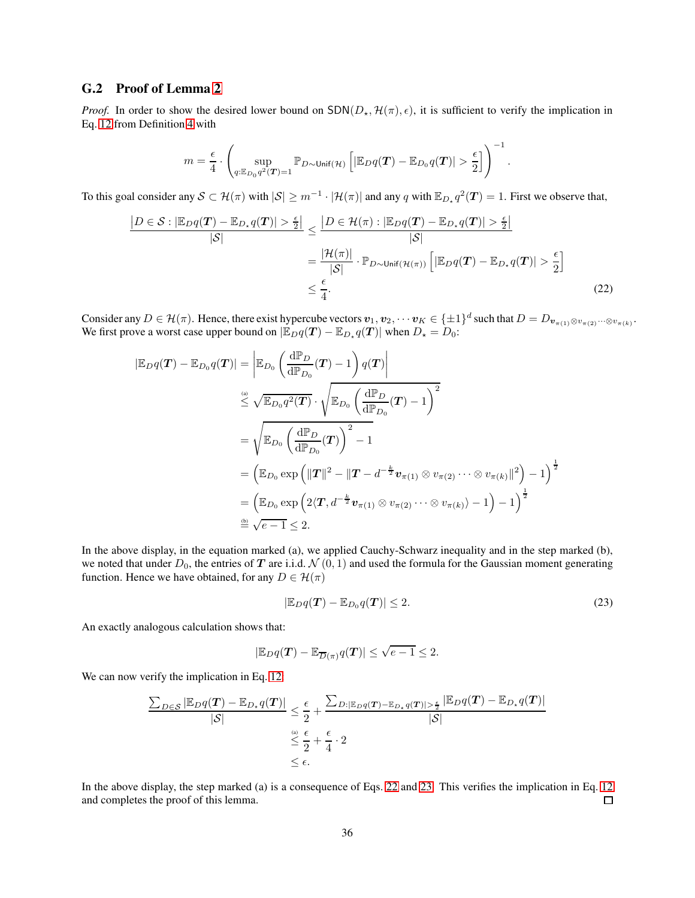### G.2 Proof of Lemma [2](#page-15-1)

*Proof.* In order to show the desired lower bound on  $SDN(D_*, \mathcal{H}(\pi), \epsilon)$ , it is sufficient to verify the implication in Eq. [12](#page-14-2) from Definition [4](#page-14-3) with

<span id="page-35-0"></span>
$$
m = \frac{\epsilon}{4} \cdot \left( \sup_{q: \mathbb{E}_{D_0} q^2(\boldsymbol{T}) = 1} \mathbb{P}_{D \sim \text{Unif}(\mathcal{H})} \left[ |\mathbb{E}_D q(\boldsymbol{T}) - \mathbb{E}_{D_0} q(\boldsymbol{T})| > \frac{\epsilon}{2} \right] \right)^{-1}.
$$

To this goal consider any  $S \subset \mathcal{H}(\pi)$  with  $|S| \geq m^{-1} \cdot |\mathcal{H}(\pi)|$  and any q with  $\mathbb{E}_{D_{\star}} q^2(\mathbf{T}) = 1$ . First we observe that,

$$
\frac{|D \in \mathcal{S}: |\mathbb{E}_{D}q(T) - \mathbb{E}_{D_{*}}q(T)| > \frac{\epsilon}{2}|}{|\mathcal{S}|} \le \frac{|D \in \mathcal{H}(\pi): |\mathbb{E}_{D}q(T) - \mathbb{E}_{D_{*}}q(T)| > \frac{\epsilon}{2}|}{|\mathcal{S}|}
$$

$$
= \frac{|\mathcal{H}(\pi)|}{|\mathcal{S}|} \cdot \mathbb{P}_{D \sim \text{Unif}(\mathcal{H}(\pi))} \left[|\mathbb{E}_{D}q(T) - \mathbb{E}_{D_{*}}q(T)| > \frac{\epsilon}{2}\right]
$$

$$
\le \frac{\epsilon}{4}.
$$
(22)

Consider any  $D \in \mathcal{H}(\pi)$ . Hence, there exist hypercube vectors  $v_1, v_2, \dots v_K \in \{\pm 1\}^d$  such that  $D = D_{\mathbf{v}_{\pi(1)} \otimes v_{\pi(2)}} \dots \otimes v_{\pi(k)}$ . We first prove a worst case upper bound on  $|\mathbb{E}_D q(T) - \mathbb{E}_{D_*} q(T)|$  when  $D_* = D_0$ :

$$
\begin{aligned} |\mathbb{E}_{D}q(\boldsymbol{T})-\mathbb{E}_{D_{0}}q(\boldsymbol{T})|&=\left|\mathbb{E}_{D_{0}}\left(\frac{\mathrm{d}\mathbb{P}_{D}}{\mathrm{d}\mathbb{P}_{D_{0}}}(\boldsymbol{T})-1\right)q(\boldsymbol{T})\right| \\ &\stackrel{\overset{(a)}{\leq}}{\leq}\sqrt{\mathbb{E}_{D_{0}}q^{2}(\boldsymbol{T})}\cdot\sqrt{\mathbb{E}_{D_{0}}\left(\frac{\mathrm{d}\mathbb{P}_{D}}{\mathrm{d}\mathbb{P}_{D_{0}}}(\boldsymbol{T})-1\right)^{2}} \\ &=\sqrt{\mathbb{E}_{D_{0}}\left(\frac{\mathrm{d}\mathbb{P}_{D}}{\mathrm{d}\mathbb{P}_{D_{0}}}(\boldsymbol{T})\right)^{2}-1} \\ &=\left(\mathbb{E}_{D_{0}}\exp\left(\|\boldsymbol{T}\|^{2}-\|\boldsymbol{T}-d^{-\frac{k}{2}}\boldsymbol{v}_{\pi(1)}\otimes\boldsymbol{v}_{\pi(2)}\cdots\otimes\boldsymbol{v}_{\pi(k)}\|^{2}\right)-1\right)^{\frac{1}{2}} \\ &=\left(\mathbb{E}_{D_{0}}\exp\left(2\langle\boldsymbol{T},d^{-\frac{k}{2}}\boldsymbol{v}_{\pi(1)}\otimes\boldsymbol{v}_{\pi(2)}\cdots\otimes\boldsymbol{v}_{\pi(k)}\rangle-1\right)-1\right)^{\frac{1}{2}} \\ &\stackrel{\overset{(b)}{=}}{\cong}\sqrt{e-1}\leq 2. \end{aligned}
$$

In the above display, in the equation marked (a), we applied Cauchy-Schwarz inequality and in the step marked (b), we noted that under  $D_0$ , the entries of T are i.i.d.  $\mathcal{N}(0, 1)$  and used the formula for the Gaussian moment generating function. Hence we have obtained, for any  $D \in \mathcal{H}(\pi)$ 

<span id="page-35-1"></span>
$$
|\mathbb{E}_D q(T) - \mathbb{E}_{D_0} q(T)| \le 2. \tag{23}
$$

An exactly analogous calculation shows that:

$$
|\mathbb{E}_D q(T) - \mathbb{E}_{\overline{D}(\pi)} q(T)| \leq \sqrt{e-1} \leq 2.
$$

We can now verify the implication in Eq. [12:](#page-14-2)

$$
\frac{\sum_{D \in \mathcal{S}} |\mathbb{E}_D q(T) - \mathbb{E}_{D_* q(T)}|}{|\mathcal{S}|} \leq \frac{\epsilon}{2} + \frac{\sum_{D : |\mathbb{E}_D q(T) - \mathbb{E}_{D_* q(T)}| > \frac{\epsilon}{2}} |\mathbb{E}_D q(T) - \mathbb{E}_{D_* q(T)}|}{|\mathcal{S}|} \leq \frac{\epsilon}{2} + \frac{\epsilon}{4} \cdot 2
$$
  
\$\leq \epsilon\$.

In the above display, the step marked (a) is a consequence of Eqs. [22](#page-35-0) and [23.](#page-35-1) This verifies the implication in Eq. [12](#page-14-2) and completes the proof of this lemma. □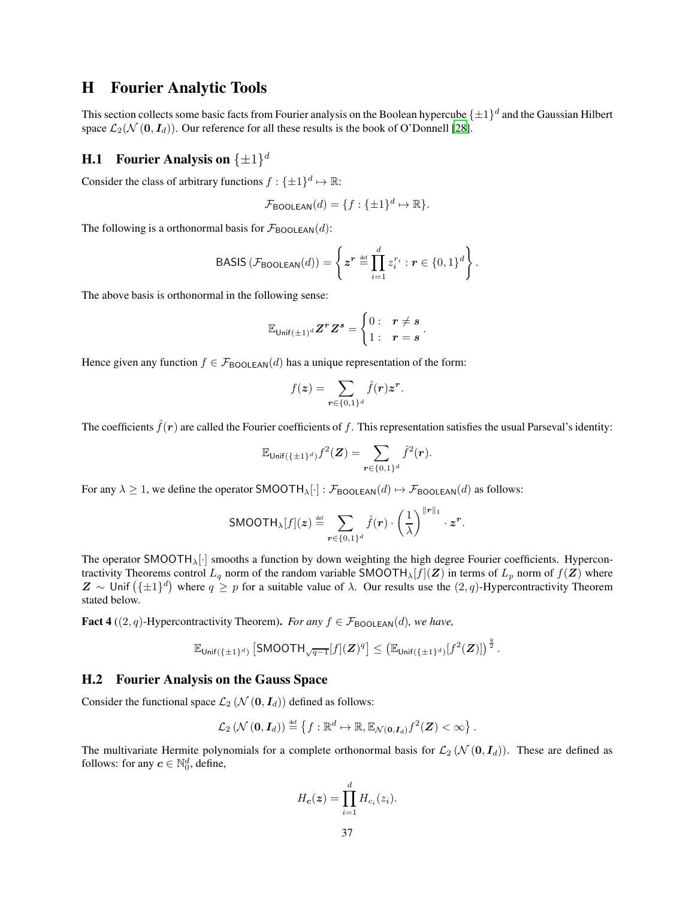### H Fourier Analytic Tools

This section collects some basic facts from Fourier analysis on the Boolean hypercube  $\{\pm 1\}^d$  and the Gaussian Hilbert space  $\mathcal{L}_2(\mathcal{N}(0, I_d))$ . Our reference for all these results is the book of O'Donnell [\[28](#page-39-11)].

# <span id="page-36-1"></span>**H.1** Fourier Analysis on  $\{\pm 1\}^d$

Consider the class of arbitrary functions  $f: \{\pm 1\}^d \mapsto \mathbb{R}$ :

$$
\mathcal{F}_{\text{BOOLEAN}}(d) = \{f: \{\pm 1\}^d \mapsto \mathbb{R}\}.
$$

The following is a orthonormal basis for  $\mathcal{F}_{\text{BOOLEAN}}(d)$ :

BASIS 
$$
(\mathcal{F}_{\text{BOOLEAN}}(d)) = \left\{ z^r \stackrel{\text{def}}{=} \prod_{i=1}^d z_i^{r_i} : r \in \{0,1\}^d \right\}.
$$

The above basis is orthonormal in the following sense:

$$
\mathbb{E}_{\mathsf{Unif}(\pm 1)^d} Z^r Z^s = \begin{cases} 0: & r \neq s \\ 1: & r = s \end{cases}.
$$

Hence given any function  $f \in \mathcal{F}_{\text{BOOLEAN}}(d)$  has a unique representation of the form:

$$
f(\boldsymbol{z}) = \sum_{\boldsymbol{r} \in \{0,1\}^d} \hat{f}(\boldsymbol{r}) \boldsymbol{z}^{\boldsymbol{r}}.
$$

The coefficients  $\hat{f}(\mathbf{r})$  are called the Fourier coefficients of f. This representation satisfies the usual Parseval's identity:

$$
\mathbb{E}_{\mathsf{Unif}(\{\pm 1\}^d)}f^2(\boldsymbol{Z}) = \sum_{\boldsymbol{r}\in\{0,1\}^d} \hat{f}^2(\boldsymbol{r}).
$$

For any  $\lambda \geq 1$ , we define the operator SMOOTH<sub> $\lambda$ </sub>[·] :  $\mathcal{F}_{\text{BOOLEAN}}(d) \rightarrow \mathcal{F}_{\text{BOOLEAN}}(d)$  as follows:

$$
\mathsf{SMOOTH}_{\lambda}[f](\boldsymbol{z}) \stackrel{\text{def}}{=} \sum_{\boldsymbol{r} \in \{0,1\}^d} \hat{f}(\boldsymbol{r}) \cdot \left(\frac{1}{\lambda}\right)^{\|\boldsymbol{r}\|_1} \cdot \boldsymbol{z}^{\boldsymbol{r}}.
$$

The operator  $SMOOTH_{\lambda}[\cdot]$  smooths a function by down weighting the high degree Fourier coefficients. Hypercontractivity Theorems control  $L_q$  norm of the random variable SMOOTH<sub> $\lambda$ </sub>[f](Z) in terms of  $L_p$  norm of  $f(Z)$  where  $\mathbf{Z} \sim$  Unif  $(\{\pm 1\}^d)$  where  $q \geq p$  for a suitable value of  $\lambda$ . Our results use the  $(2, q)$ -Hypercontractivity Theorem stated below.

<span id="page-36-2"></span>**Fact 4** ((2, q)-Hypercontractivity Theorem). *For any*  $f \in \mathcal{F}_{\text{BOOLEAN}}(d)$ *, we have,* 

$$
\mathbb{E}_{\mathsf{Unif}(\{\pm 1\}^d)}\left[\mathsf{SMOOTH}_{\sqrt{q-1}}[f](\boldsymbol{Z})^q\right] \leq \left(\mathbb{E}_{\mathsf{Unif}(\{\pm 1\}^d)}[f^2(\boldsymbol{Z})]\right)^{\frac{q}{2}}.
$$

#### <span id="page-36-0"></span>H.2 Fourier Analysis on the Gauss Space

Consider the functional space  $\mathcal{L}_2$  ( $\mathcal{N}(\mathbf{0}, \mathbf{I}_d)$ ) defined as follows:

$$
\mathcal{L}_2\left(\mathcal{N}\left(\mathbf{0},\mathbf{I}_d\right)\right) \stackrel{\text{def}}{=} \left\{f: \mathbb{R}^d \mapsto \mathbb{R}, \mathbb{E}_{\mathcal{N}(\mathbf{0},\mathbf{I}_d)}f^2(\mathbf{Z}) < \infty\right\}.
$$

The multivariate Hermite polynomials for a complete orthonormal basis for  $\mathcal{L}_2$  ( $\mathcal{N}(\mathbf{0}, \mathbf{I}_d)$ ). These are defined as follows: for any  $c \in \mathbb{N}_0^d$ , define,

$$
H_{\boldsymbol{c}}(\boldsymbol{z}) = \prod_{i=1}^d H_{c_i}(z_i).
$$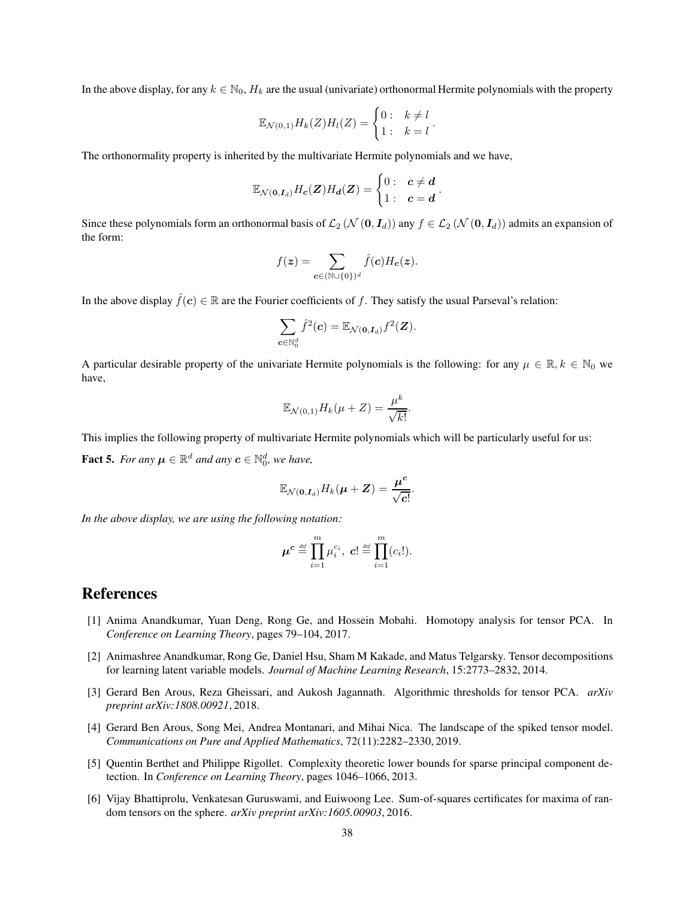In the above display, for any  $k \in \mathbb{N}_0$ ,  $H_k$  are the usual (univariate) orthonormal Hermite polynomials with the property

$$
\mathbb{E}_{\mathcal{N}(0,1)}H_k(Z)H_l(Z)=\begin{cases}0: & k\neq l\\ 1: & k=l\end{cases}.
$$

The orthonormality property is inherited by the multivariate Hermite polynomials and we have,

$$
\mathbb{E}_{\mathcal{N}(\mathbf{0},\mathbf{I}_d)}H_c(\boldsymbol{Z})H_d(\boldsymbol{Z}) = \begin{cases} 0: & c \neq d \\ 1: & c = d \end{cases}
$$

.

Since these polynomials form an orthonormal basis of  $\mathcal{L}_2$  ( $\mathcal{N}(0, I_d)$ ) any  $f \in \mathcal{L}_2$  ( $\mathcal{N}(0, I_d)$ ) admits an expansion of the form:

$$
f(\boldsymbol{z}) = \sum_{\boldsymbol{c} \in (\mathbb{N} \cup \{0\})^d} \hat{f}(\boldsymbol{c}) H_{\boldsymbol{c}}(\boldsymbol{z}).
$$

In the above display  $\hat{f}(c) \in \mathbb{R}$  are the Fourier coefficients of f. They satisfy the usual Parseval's relation:

$$
\sum_{\boldsymbol{c}\in\mathbb{N}_0^d}\hat{f}^2(\boldsymbol{c})=\mathbb{E}_{\mathcal{N}(\boldsymbol{0},\boldsymbol{I}_d)}f^2(\boldsymbol{Z}).
$$

A particular desirable property of the univariate Hermite polynomials is the following: for any  $\mu \in \mathbb{R}$ ,  $k \in \mathbb{N}_0$  we have,

$$
\mathbb{E}_{\mathcal{N}(0,1)} H_k(\mu + Z) = \frac{\mu^k}{\sqrt{k!}}.
$$

This implies the following property of multivariate Hermite polynomials which will be particularly useful for us:

<span id="page-37-6"></span>**Fact 5.** For any  $\mu \in \mathbb{R}^d$  and any  $\mathbf{c} \in \mathbb{N}_0^d$ , we have,

$$
\mathbb{E}_{\mathcal{N}(\mathbf{0}, \boldsymbol{I}_d)} H_k(\boldsymbol{\mu} + \boldsymbol{Z}) = \frac{\boldsymbol{\mu}^c}{\sqrt{c!}}.
$$

*In the above display, we are using the following notation:*

$$
\boldsymbol{\mu}^{\boldsymbol{c}} \stackrel{\text{\tiny def}}{=} \prod_{i=1}^m \mu_i^{c_i}, \ \boldsymbol{c}! \stackrel{\text{\tiny def}}{=} \prod_{i=1}^m (c_i!).
$$

### References

- <span id="page-37-5"></span>[1] Anima Anandkumar, Yuan Deng, Rong Ge, and Hossein Mobahi. Homotopy analysis for tensor PCA. In *Conference on Learning Theory*, pages 79–104, 2017.
- <span id="page-37-0"></span>[2] Animashree Anandkumar, Rong Ge, Daniel Hsu, Sham M Kakade, and Matus Telgarsky. Tensor decompositions for learning latent variable models. *Journal of Machine Learning Research*, 15:2773–2832, 2014.
- <span id="page-37-3"></span>[3] Gerard Ben Arous, Reza Gheissari, and Aukosh Jagannath. Algorithmic thresholds for tensor PCA. *arXiv preprint arXiv:1808.00921*, 2018.
- <span id="page-37-2"></span>[4] Gerard Ben Arous, Song Mei, Andrea Montanari, and Mihai Nica. The landscape of the spiked tensor model. *Communications on Pure and Applied Mathematics*, 72(11):2282–2330, 2019.
- <span id="page-37-1"></span>[5] Quentin Berthet and Philippe Rigollet. Complexity theoretic lower bounds for sparse principal component detection. In *Conference on Learning Theory*, pages 1046–1066, 2013.
- <span id="page-37-4"></span>[6] Vijay Bhattiprolu, Venkatesan Guruswami, and Euiwoong Lee. Sum-of-squares certificates for maxima of random tensors on the sphere. *arXiv preprint arXiv:1605.00903*, 2016.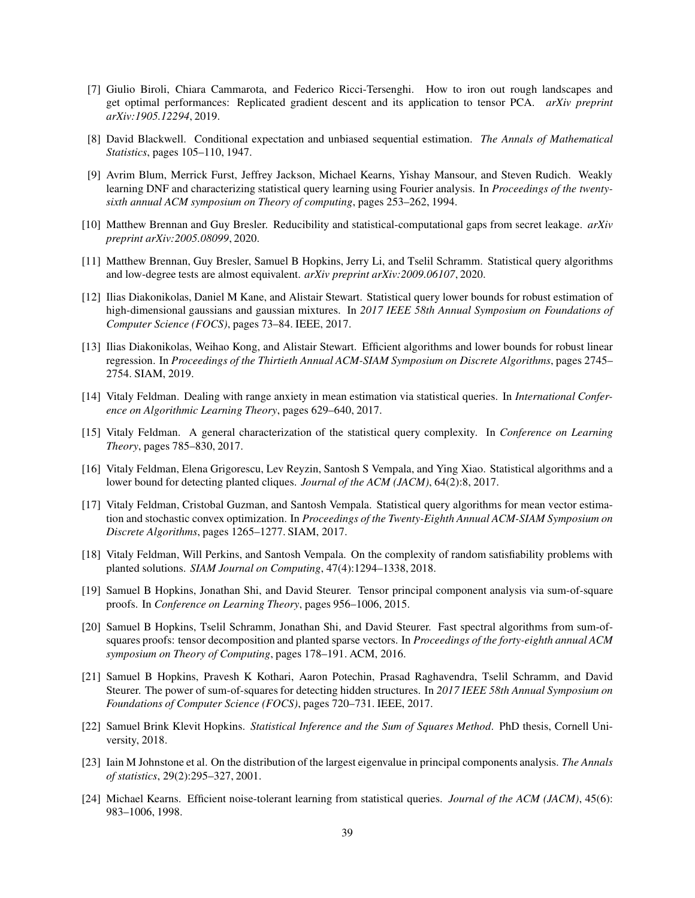- <span id="page-38-15"></span>[7] Giulio Biroli, Chiara Cammarota, and Federico Ricci-Tersenghi. How to iron out rough landscapes and get optimal performances: Replicated gradient descent and its application to tensor PCA. *arXiv preprint arXiv:1905.12294*, 2019.
- <span id="page-38-17"></span>[8] David Blackwell. Conditional expectation and unbiased sequential estimation. *The Annals of Mathematical Statistics*, pages 105–110, 1947.
- <span id="page-38-12"></span>[9] Avrim Blum, Merrick Furst, Jeffrey Jackson, Michael Kearns, Yishay Mansour, and Steven Rudich. Weakly learning DNF and characterizing statistical query learning using Fourier analysis. In *Proceedings of the twentysixth annual ACM symposium on Theory of computing*, pages 253–262, 1994.
- <span id="page-38-11"></span>[10] Matthew Brennan and Guy Bresler. Reducibility and statistical-computational gaps from secret leakage. *arXiv preprint arXiv:2005.08099*, 2020.
- <span id="page-38-13"></span>[11] Matthew Brennan, Guy Bresler, Samuel B Hopkins, Jerry Li, and Tselil Schramm. Statistical query algorithms and low-degree tests are almost equivalent. *arXiv preprint arXiv:2009.06107*, 2020.
- <span id="page-38-5"></span>[12] Ilias Diakonikolas, Daniel M Kane, and Alistair Stewart. Statistical query lower bounds for robust estimation of high-dimensional gaussians and gaussian mixtures. In *2017 IEEE 58th Annual Symposium on Foundations of Computer Science (FOCS)*, pages 73–84. IEEE, 2017.
- <span id="page-38-6"></span>[13] Ilias Diakonikolas, Weihao Kong, and Alistair Stewart. Efficient algorithms and lower bounds for robust linear regression. In *Proceedings of the Thirtieth Annual ACM-SIAM Symposium on Discrete Algorithms*, pages 2745– 2754. SIAM, 2019.
- <span id="page-38-16"></span>[14] Vitaly Feldman. Dealing with range anxiety in mean estimation via statistical queries. In *International Conference on Algorithmic Learning Theory*, pages 629–640, 2017.
- <span id="page-38-14"></span>[15] Vitaly Feldman. A general characterization of the statistical query complexity. In *Conference on Learning Theory*, pages 785–830, 2017.
- <span id="page-38-4"></span>[16] Vitaly Feldman, Elena Grigorescu, Lev Reyzin, Santosh S Vempala, and Ying Xiao. Statistical algorithms and a lower bound for detecting planted cliques. *Journal of the ACM (JACM)*, 64(2):8, 2017.
- <span id="page-38-7"></span>[17] Vitaly Feldman, Cristobal Guzman, and Santosh Vempala. Statistical query algorithms for mean vector estimation and stochastic convex optimization. In *Proceedings of the Twenty-Eighth Annual ACM-SIAM Symposium on Discrete Algorithms*, pages 1265–1277. SIAM, 2017.
- <span id="page-38-0"></span>[18] Vitaly Feldman, Will Perkins, and Santosh Vempala. On the complexity of random satisfiability problems with planted solutions. *SIAM Journal on Computing*, 47(4):1294–1338, 2018.
- <span id="page-38-2"></span>[19] Samuel B Hopkins, Jonathan Shi, and David Steurer. Tensor principal component analysis via sum-of-square proofs. In *Conference on Learning Theory*, pages 956–1006, 2015.
- <span id="page-38-9"></span>[20] Samuel B Hopkins, Tselil Schramm, Jonathan Shi, and David Steurer. Fast spectral algorithms from sum-ofsquares proofs: tensor decomposition and planted sparse vectors. In *Proceedings of the forty-eighth annual ACM symposium on Theory of Computing*, pages 178–191. ACM, 2016.
- <span id="page-38-10"></span>[21] Samuel B Hopkins, Pravesh K Kothari, Aaron Potechin, Prasad Raghavendra, Tselil Schramm, and David Steurer. The power of sum-of-squares for detecting hidden structures. In *2017 IEEE 58th Annual Symposium on Foundations of Computer Science (FOCS)*, pages 720–731. IEEE, 2017.
- <span id="page-38-8"></span>[22] Samuel Brink Klevit Hopkins. *Statistical Inference and the Sum of Squares Method*. PhD thesis, Cornell University, 2018.
- <span id="page-38-1"></span>[23] Iain M Johnstone et al. On the distribution of the largest eigenvalue in principal components analysis. *The Annals of statistics*, 29(2):295–327, 2001.
- <span id="page-38-3"></span>[24] Michael Kearns. Efficient noise-tolerant learning from statistical queries. *Journal of the ACM (JACM)*, 45(6): 983–1006, 1998.